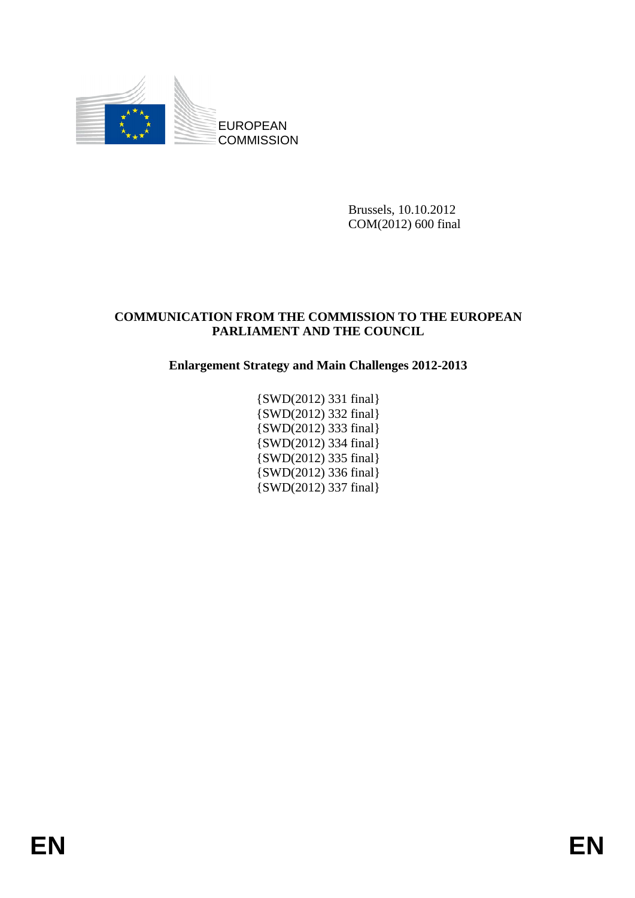

Brussels, 10.10.2012 COM(2012) 600 final

### **COMMUNICATION FROM THE COMMISSION TO THE EUROPEAN PARLIAMENT AND THE COUNCIL**

## **Enlargement Strategy and Main Challenges 2012-2013**

{SWD(2012) 331 final} {SWD(2012) 332 final} {SWD(2012) 333 final} {SWD(2012) 334 final} {SWD(2012) 335 final} {SWD(2012) 336 final} {SWD(2012) 337 final}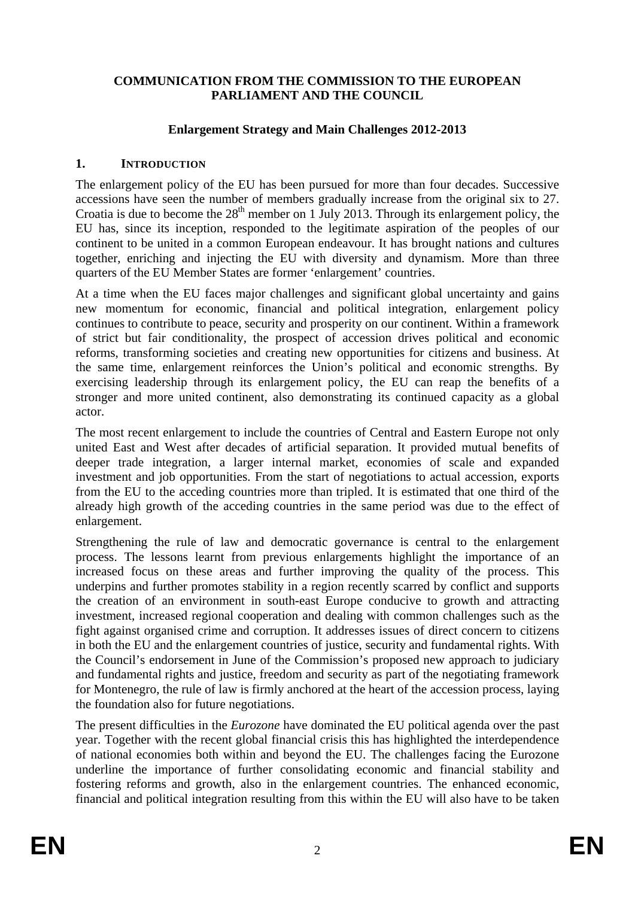#### **COMMUNICATION FROM THE COMMISSION TO THE EUROPEAN PARLIAMENT AND THE COUNCIL**

#### **Enlargement Strategy and Main Challenges 2012-2013**

### **1. INTRODUCTION**

The enlargement policy of the EU has been pursued for more than four decades. Successive accessions have seen the number of members gradually increase from the original six to 27. Croatia is due to become the  $28<sup>th</sup>$  member on 1 July 2013. Through its enlargement policy, the EU has, since its inception, responded to the legitimate aspiration of the peoples of our continent to be united in a common European endeavour. It has brought nations and cultures together, enriching and injecting the EU with diversity and dynamism. More than three quarters of the EU Member States are former 'enlargement' countries.

At a time when the EU faces major challenges and significant global uncertainty and gains new momentum for economic, financial and political integration, enlargement policy continues to contribute to peace, security and prosperity on our continent. Within a framework of strict but fair conditionality, the prospect of accession drives political and economic reforms, transforming societies and creating new opportunities for citizens and business. At the same time, enlargement reinforces the Union's political and economic strengths. By exercising leadership through its enlargement policy, the EU can reap the benefits of a stronger and more united continent, also demonstrating its continued capacity as a global actor.

The most recent enlargement to include the countries of Central and Eastern Europe not only united East and West after decades of artificial separation. It provided mutual benefits of deeper trade integration, a larger internal market, economies of scale and expanded investment and job opportunities. From the start of negotiations to actual accession, exports from the EU to the acceding countries more than tripled. It is estimated that one third of the already high growth of the acceding countries in the same period was due to the effect of enlargement.

Strengthening the rule of law and democratic governance is central to the enlargement process. The lessons learnt from previous enlargements highlight the importance of an increased focus on these areas and further improving the quality of the process. This underpins and further promotes stability in a region recently scarred by conflict and supports the creation of an environment in south-east Europe conducive to growth and attracting investment, increased regional cooperation and dealing with common challenges such as the fight against organised crime and corruption. It addresses issues of direct concern to citizens in both the EU and the enlargement countries of justice, security and fundamental rights. With the Council's endorsement in June of the Commission's proposed new approach to judiciary and fundamental rights and justice, freedom and security as part of the negotiating framework for Montenegro, the rule of law is firmly anchored at the heart of the accession process, laying the foundation also for future negotiations.

The present difficulties in the *Eurozone* have dominated the EU political agenda over the past year. Together with the recent global financial crisis this has highlighted the interdependence of national economies both within and beyond the EU. The challenges facing the Eurozone underline the importance of further consolidating economic and financial stability and fostering reforms and growth, also in the enlargement countries. The enhanced economic, financial and political integration resulting from this within the EU will also have to be taken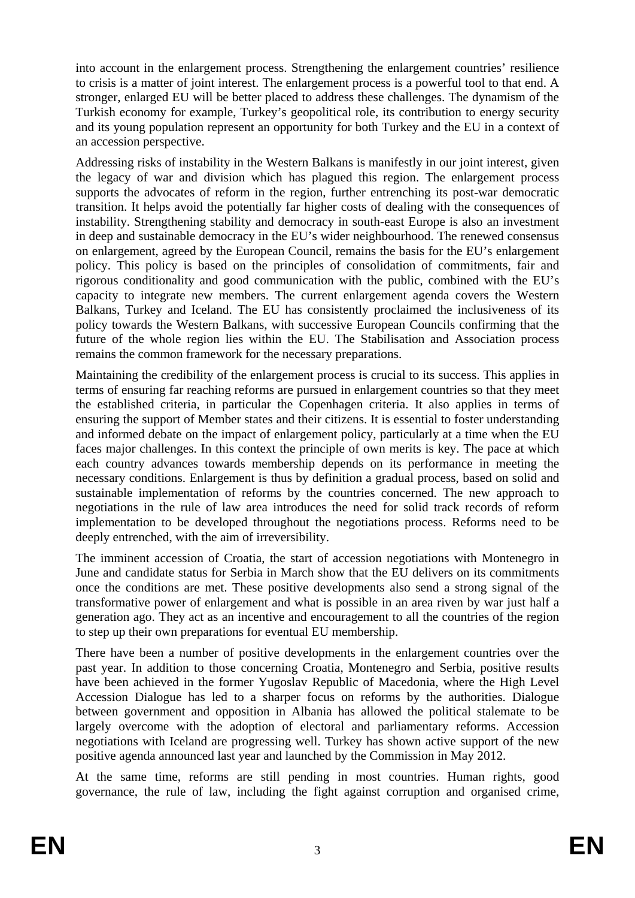into account in the enlargement process. Strengthening the enlargement countries' resilience to crisis is a matter of joint interest. The enlargement process is a powerful tool to that end. A stronger, enlarged EU will be better placed to address these challenges. The dynamism of the Turkish economy for example, Turkey's geopolitical role, its contribution to energy security and its young population represent an opportunity for both Turkey and the EU in a context of an accession perspective.

Addressing risks of instability in the Western Balkans is manifestly in our joint interest, given the legacy of war and division which has plagued this region. The enlargement process supports the advocates of reform in the region, further entrenching its post-war democratic transition. It helps avoid the potentially far higher costs of dealing with the consequences of instability. Strengthening stability and democracy in south-east Europe is also an investment in deep and sustainable democracy in the EU's wider neighbourhood. The renewed consensus on enlargement, agreed by the European Council, remains the basis for the EU's enlargement policy. This policy is based on the principles of consolidation of commitments, fair and rigorous conditionality and good communication with the public, combined with the EU's capacity to integrate new members. The current enlargement agenda covers the Western Balkans, Turkey and Iceland. The EU has consistently proclaimed the inclusiveness of its policy towards the Western Balkans, with successive European Councils confirming that the future of the whole region lies within the EU. The Stabilisation and Association process remains the common framework for the necessary preparations.

Maintaining the credibility of the enlargement process is crucial to its success. This applies in terms of ensuring far reaching reforms are pursued in enlargement countries so that they meet the established criteria, in particular the Copenhagen criteria. It also applies in terms of ensuring the support of Member states and their citizens. It is essential to foster understanding and informed debate on the impact of enlargement policy, particularly at a time when the EU faces major challenges. In this context the principle of own merits is key. The pace at which each country advances towards membership depends on its performance in meeting the necessary conditions. Enlargement is thus by definition a gradual process, based on solid and sustainable implementation of reforms by the countries concerned. The new approach to negotiations in the rule of law area introduces the need for solid track records of reform implementation to be developed throughout the negotiations process. Reforms need to be deeply entrenched, with the aim of irreversibility.

The imminent accession of Croatia, the start of accession negotiations with Montenegro in June and candidate status for Serbia in March show that the EU delivers on its commitments once the conditions are met. These positive developments also send a strong signal of the transformative power of enlargement and what is possible in an area riven by war just half a generation ago. They act as an incentive and encouragement to all the countries of the region to step up their own preparations for eventual EU membership.

There have been a number of positive developments in the enlargement countries over the past year. In addition to those concerning Croatia, Montenegro and Serbia, positive results have been achieved in the former Yugoslav Republic of Macedonia, where the High Level Accession Dialogue has led to a sharper focus on reforms by the authorities. Dialogue between government and opposition in Albania has allowed the political stalemate to be largely overcome with the adoption of electoral and parliamentary reforms. Accession negotiations with Iceland are progressing well. Turkey has shown active support of the new positive agenda announced last year and launched by the Commission in May 2012.

At the same time, reforms are still pending in most countries. Human rights, good governance, the rule of law, including the fight against corruption and organised crime,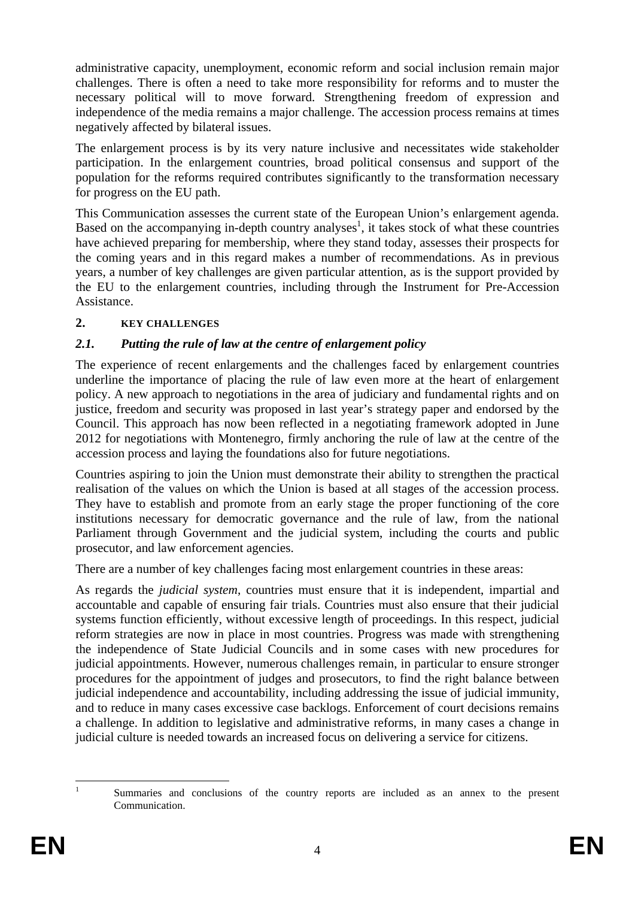administrative capacity, unemployment, economic reform and social inclusion remain major challenges. There is often a need to take more responsibility for reforms and to muster the necessary political will to move forward. Strengthening freedom of expression and independence of the media remains a major challenge. The accession process remains at times negatively affected by bilateral issues.

The enlargement process is by its very nature inclusive and necessitates wide stakeholder participation. In the enlargement countries, broad political consensus and support of the population for the reforms required contributes significantly to the transformation necessary for progress on the EU path.

This Communication assesses the current state of the European Union's enlargement agenda. Based on the accompanying in-depth country analyses<sup>1</sup>, it takes stock of what these countries have achieved preparing for membership, where they stand today, assesses their prospects for the coming years and in this regard makes a number of recommendations. As in previous years, a number of key challenges are given particular attention, as is the support provided by the EU to the enlargement countries, including through the Instrument for Pre-Accession Assistance.

#### **2. KEY CHALLENGES**

#### *2.1. Putting the rule of law at the centre of enlargement policy*

The experience of recent enlargements and the challenges faced by enlargement countries underline the importance of placing the rule of law even more at the heart of enlargement policy. A new approach to negotiations in the area of judiciary and fundamental rights and on justice, freedom and security was proposed in last year's strategy paper and endorsed by the Council. This approach has now been reflected in a negotiating framework adopted in June 2012 for negotiations with Montenegro, firmly anchoring the rule of law at the centre of the accession process and laying the foundations also for future negotiations.

Countries aspiring to join the Union must demonstrate their ability to strengthen the practical realisation of the values on which the Union is based at all stages of the accession process. They have to establish and promote from an early stage the proper functioning of the core institutions necessary for democratic governance and the rule of law, from the national Parliament through Government and the judicial system, including the courts and public prosecutor, and law enforcement agencies.

There are a number of key challenges facing most enlargement countries in these areas:

As regards the *judicial system*, countries must ensure that it is independent, impartial and accountable and capable of ensuring fair trials. Countries must also ensure that their judicial systems function efficiently, without excessive length of proceedings. In this respect, judicial reform strategies are now in place in most countries. Progress was made with strengthening the independence of State Judicial Councils and in some cases with new procedures for judicial appointments. However, numerous challenges remain, in particular to ensure stronger procedures for the appointment of judges and prosecutors, to find the right balance between judicial independence and accountability, including addressing the issue of judicial immunity, and to reduce in many cases excessive case backlogs. Enforcement of court decisions remains a challenge. In addition to legislative and administrative reforms, in many cases a change in judicial culture is needed towards an increased focus on delivering a service for citizens.

 $\frac{1}{1}$ 

Summaries and conclusions of the country reports are included as an annex to the present Communication.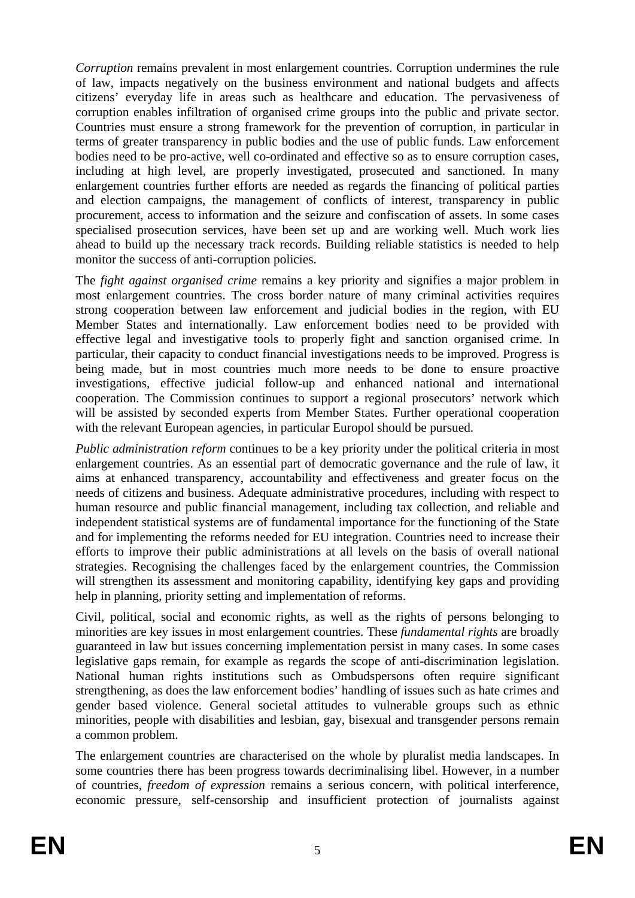*Corruption* remains prevalent in most enlargement countries. Corruption undermines the rule of law, impacts negatively on the business environment and national budgets and affects citizens' everyday life in areas such as healthcare and education. The pervasiveness of corruption enables infiltration of organised crime groups into the public and private sector. Countries must ensure a strong framework for the prevention of corruption, in particular in terms of greater transparency in public bodies and the use of public funds. Law enforcement bodies need to be pro-active, well co-ordinated and effective so as to ensure corruption cases, including at high level, are properly investigated, prosecuted and sanctioned. In many enlargement countries further efforts are needed as regards the financing of political parties and election campaigns, the management of conflicts of interest, transparency in public procurement, access to information and the seizure and confiscation of assets. In some cases specialised prosecution services, have been set up and are working well. Much work lies ahead to build up the necessary track records. Building reliable statistics is needed to help monitor the success of anti-corruption policies.

The *fight against organised crime* remains a key priority and signifies a major problem in most enlargement countries. The cross border nature of many criminal activities requires strong cooperation between law enforcement and judicial bodies in the region, with EU Member States and internationally. Law enforcement bodies need to be provided with effective legal and investigative tools to properly fight and sanction organised crime. In particular, their capacity to conduct financial investigations needs to be improved. Progress is being made, but in most countries much more needs to be done to ensure proactive investigations, effective judicial follow-up and enhanced national and international cooperation. The Commission continues to support a regional prosecutors' network which will be assisted by seconded experts from Member States. Further operational cooperation with the relevant European agencies, in particular Europol should be pursued.

*Public administration reform* continues to be a key priority under the political criteria in most enlargement countries. As an essential part of democratic governance and the rule of law, it aims at enhanced transparency, accountability and effectiveness and greater focus on the needs of citizens and business. Adequate administrative procedures, including with respect to human resource and public financial management, including tax collection, and reliable and independent statistical systems are of fundamental importance for the functioning of the State and for implementing the reforms needed for EU integration. Countries need to increase their efforts to improve their public administrations at all levels on the basis of overall national strategies. Recognising the challenges faced by the enlargement countries, the Commission will strengthen its assessment and monitoring capability, identifying key gaps and providing help in planning, priority setting and implementation of reforms.

Civil, political, social and economic rights, as well as the rights of persons belonging to minorities are key issues in most enlargement countries. These *fundamental rights* are broadly guaranteed in law but issues concerning implementation persist in many cases. In some cases legislative gaps remain, for example as regards the scope of anti-discrimination legislation. National human rights institutions such as Ombudspersons often require significant strengthening, as does the law enforcement bodies' handling of issues such as hate crimes and gender based violence. General societal attitudes to vulnerable groups such as ethnic minorities, people with disabilities and lesbian, gay, bisexual and transgender persons remain a common problem.

The enlargement countries are characterised on the whole by pluralist media landscapes. In some countries there has been progress towards decriminalising libel. However, in a number of countries, *freedom of expression* remains a serious concern, with political interference, economic pressure, self-censorship and insufficient protection of journalists against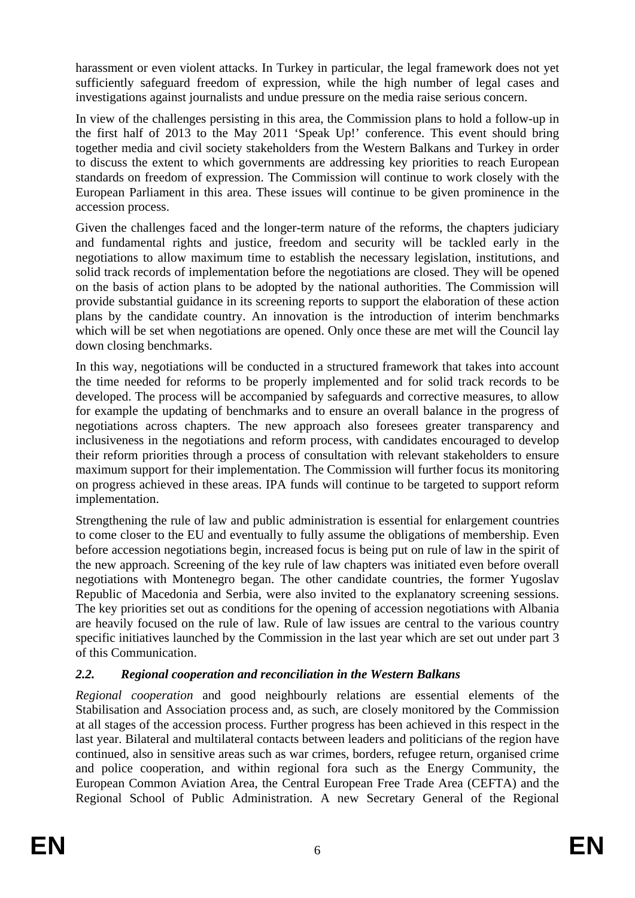harassment or even violent attacks. In Turkey in particular, the legal framework does not yet sufficiently safeguard freedom of expression, while the high number of legal cases and investigations against journalists and undue pressure on the media raise serious concern.

In view of the challenges persisting in this area, the Commission plans to hold a follow-up in the first half of 2013 to the May 2011 'Speak Up!' conference. This event should bring together media and civil society stakeholders from the Western Balkans and Turkey in order to discuss the extent to which governments are addressing key priorities to reach European standards on freedom of expression. The Commission will continue to work closely with the European Parliament in this area. These issues will continue to be given prominence in the accession process.

Given the challenges faced and the longer-term nature of the reforms, the chapters judiciary and fundamental rights and justice, freedom and security will be tackled early in the negotiations to allow maximum time to establish the necessary legislation, institutions, and solid track records of implementation before the negotiations are closed. They will be opened on the basis of action plans to be adopted by the national authorities. The Commission will provide substantial guidance in its screening reports to support the elaboration of these action plans by the candidate country. An innovation is the introduction of interim benchmarks which will be set when negotiations are opened. Only once these are met will the Council lay down closing benchmarks.

In this way, negotiations will be conducted in a structured framework that takes into account the time needed for reforms to be properly implemented and for solid track records to be developed. The process will be accompanied by safeguards and corrective measures, to allow for example the updating of benchmarks and to ensure an overall balance in the progress of negotiations across chapters. The new approach also foresees greater transparency and inclusiveness in the negotiations and reform process, with candidates encouraged to develop their reform priorities through a process of consultation with relevant stakeholders to ensure maximum support for their implementation. The Commission will further focus its monitoring on progress achieved in these areas. IPA funds will continue to be targeted to support reform implementation.

Strengthening the rule of law and public administration is essential for enlargement countries to come closer to the EU and eventually to fully assume the obligations of membership. Even before accession negotiations begin, increased focus is being put on rule of law in the spirit of the new approach. Screening of the key rule of law chapters was initiated even before overall negotiations with Montenegro began. The other candidate countries, the former Yugoslav Republic of Macedonia and Serbia, were also invited to the explanatory screening sessions. The key priorities set out as conditions for the opening of accession negotiations with Albania are heavily focused on the rule of law. Rule of law issues are central to the various country specific initiatives launched by the Commission in the last year which are set out under part 3 of this Communication.

# *2.2. Regional cooperation and reconciliation in the Western Balkans*

*Regional cooperation* and good neighbourly relations are essential elements of the Stabilisation and Association process and, as such, are closely monitored by the Commission at all stages of the accession process. Further progress has been achieved in this respect in the last year. Bilateral and multilateral contacts between leaders and politicians of the region have continued, also in sensitive areas such as war crimes, borders, refugee return, organised crime and police cooperation, and within regional fora such as the Energy Community, the European Common Aviation Area, the Central European Free Trade Area (CEFTA) and the Regional School of Public Administration. A new Secretary General of the Regional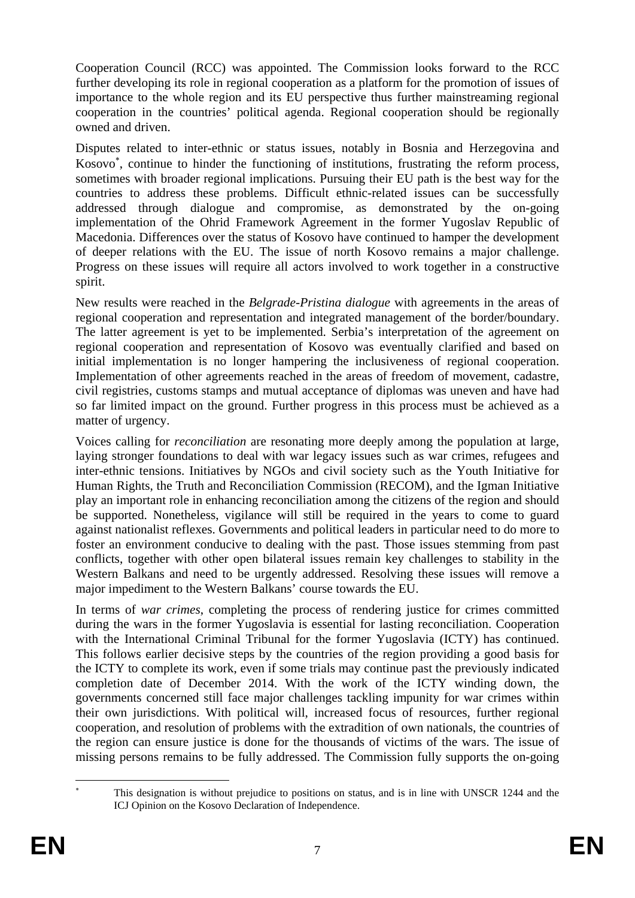Cooperation Council (RCC) was appointed. The Commission looks forward to the RCC further developing its role in regional cooperation as a platform for the promotion of issues of importance to the whole region and its EU perspective thus further mainstreaming regional cooperation in the countries' political agenda. Regional cooperation should be regionally owned and driven.

Disputes related to inter-ethnic or status issues, notably in Bosnia and Herzegovina and Kosovo<sup>\*</sup>, continue to hinder the functioning of institutions, frustrating the reform process, sometimes with broader regional implications. Pursuing their EU path is the best way for the countries to address these problems. Difficult ethnic-related issues can be successfully addressed through dialogue and compromise, as demonstrated by the on-going implementation of the Ohrid Framework Agreement in the former Yugoslav Republic of Macedonia. Differences over the status of Kosovo have continued to hamper the development of deeper relations with the EU. The issue of north Kosovo remains a major challenge. Progress on these issues will require all actors involved to work together in a constructive spirit.

New results were reached in the *Belgrade-Pristina dialogue* with agreements in the areas of regional cooperation and representation and integrated management of the border/boundary. The latter agreement is yet to be implemented. Serbia's interpretation of the agreement on regional cooperation and representation of Kosovo was eventually clarified and based on initial implementation is no longer hampering the inclusiveness of regional cooperation. Implementation of other agreements reached in the areas of freedom of movement, cadastre, civil registries, customs stamps and mutual acceptance of diplomas was uneven and have had so far limited impact on the ground. Further progress in this process must be achieved as a matter of urgency.

Voices calling for *reconciliation* are resonating more deeply among the population at large, laying stronger foundations to deal with war legacy issues such as war crimes, refugees and inter-ethnic tensions. Initiatives by NGOs and civil society such as the Youth Initiative for Human Rights, the Truth and Reconciliation Commission (RECOM), and the Igman Initiative play an important role in enhancing reconciliation among the citizens of the region and should be supported. Nonetheless, vigilance will still be required in the years to come to guard against nationalist reflexes. Governments and political leaders in particular need to do more to foster an environment conducive to dealing with the past. Those issues stemming from past conflicts, together with other open bilateral issues remain key challenges to stability in the Western Balkans and need to be urgently addressed. Resolving these issues will remove a major impediment to the Western Balkans' course towards the EU.

In terms of *war crimes*, completing the process of rendering justice for crimes committed during the wars in the former Yugoslavia is essential for lasting reconciliation. Cooperation with the International Criminal Tribunal for the former Yugoslavia (ICTY) has continued. This follows earlier decisive steps by the countries of the region providing a good basis for the ICTY to complete its work, even if some trials may continue past the previously indicated completion date of December 2014. With the work of the ICTY winding down, the governments concerned still face major challenges tackling impunity for war crimes within their own jurisdictions. With political will, increased focus of resources, further regional cooperation, and resolution of problems with the extradition of own nationals, the countries of the region can ensure justice is done for the thousands of victims of the wars. The issue of missing persons remains to be fully addressed. The Commission fully supports the on-going

<u>.</u> ∗

This designation is without prejudice to positions on status, and is in line with UNSCR 1244 and the ICJ Opinion on the Kosovo Declaration of Independence.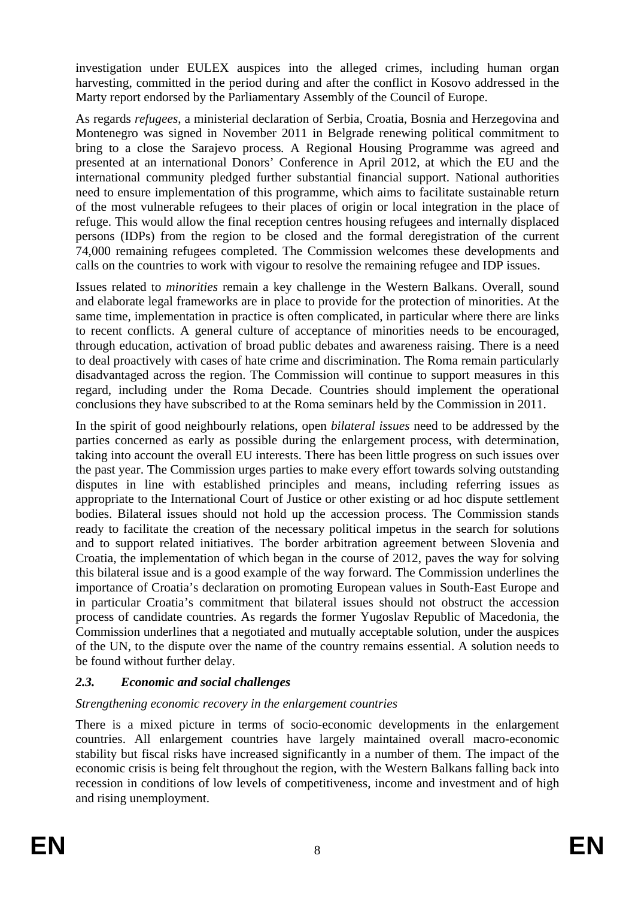investigation under EULEX auspices into the alleged crimes, including human organ harvesting, committed in the period during and after the conflict in Kosovo addressed in the Marty report endorsed by the Parliamentary Assembly of the Council of Europe.

As regards *refugees*, a ministerial declaration of Serbia, Croatia, Bosnia and Herzegovina and Montenegro was signed in November 2011 in Belgrade renewing political commitment to bring to a close the Sarajevo process*.* A Regional Housing Programme was agreed and presented at an international Donors' Conference in April 2012, at which the EU and the international community pledged further substantial financial support. National authorities need to ensure implementation of this programme, which aims to facilitate sustainable return of the most vulnerable refugees to their places of origin or local integration in the place of refuge. This would allow the final reception centres housing refugees and internally displaced persons (IDPs) from the region to be closed and the formal deregistration of the current 74,000 remaining refugees completed. The Commission welcomes these developments and calls on the countries to work with vigour to resolve the remaining refugee and IDP issues.

Issues related to *minorities* remain a key challenge in the Western Balkans. Overall, sound and elaborate legal frameworks are in place to provide for the protection of minorities. At the same time, implementation in practice is often complicated, in particular where there are links to recent conflicts. A general culture of acceptance of minorities needs to be encouraged, through education, activation of broad public debates and awareness raising. There is a need to deal proactively with cases of hate crime and discrimination. The Roma remain particularly disadvantaged across the region. The Commission will continue to support measures in this regard, including under the Roma Decade. Countries should implement the operational conclusions they have subscribed to at the Roma seminars held by the Commission in 2011.

In the spirit of good neighbourly relations, open *bilateral issues* need to be addressed by the parties concerned as early as possible during the enlargement process, with determination, taking into account the overall EU interests. There has been little progress on such issues over the past year. The Commission urges parties to make every effort towards solving outstanding disputes in line with established principles and means, including referring issues as appropriate to the International Court of Justice or other existing or ad hoc dispute settlement bodies. Bilateral issues should not hold up the accession process. The Commission stands ready to facilitate the creation of the necessary political impetus in the search for solutions and to support related initiatives. The border arbitration agreement between Slovenia and Croatia, the implementation of which began in the course of 2012, paves the way for solving this bilateral issue and is a good example of the way forward. The Commission underlines the importance of Croatia's declaration on promoting European values in South-East Europe and in particular Croatia's commitment that bilateral issues should not obstruct the accession process of candidate countries. As regards the former Yugoslav Republic of Macedonia, the Commission underlines that a negotiated and mutually acceptable solution, under the auspices of the UN, to the dispute over the name of the country remains essential. A solution needs to be found without further delay.

# *2.3. Economic and social challenges*

# *Strengthening economic recovery in the enlargement countries*

There is a mixed picture in terms of socio-economic developments in the enlargement countries. All enlargement countries have largely maintained overall macro-economic stability but fiscal risks have increased significantly in a number of them. The impact of the economic crisis is being felt throughout the region, with the Western Balkans falling back into recession in conditions of low levels of competitiveness, income and investment and of high and rising unemployment.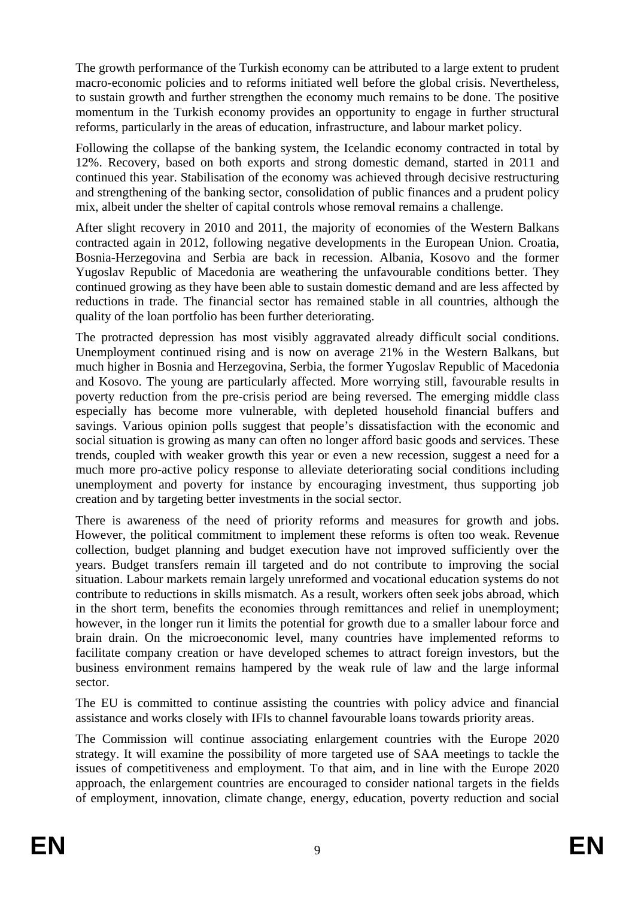The growth performance of the Turkish economy can be attributed to a large extent to prudent macro-economic policies and to reforms initiated well before the global crisis. Nevertheless, to sustain growth and further strengthen the economy much remains to be done. The positive momentum in the Turkish economy provides an opportunity to engage in further structural reforms, particularly in the areas of education, infrastructure, and labour market policy.

Following the collapse of the banking system, the Icelandic economy contracted in total by 12%. Recovery, based on both exports and strong domestic demand, started in 2011 and continued this year. Stabilisation of the economy was achieved through decisive restructuring and strengthening of the banking sector, consolidation of public finances and a prudent policy mix, albeit under the shelter of capital controls whose removal remains a challenge.

After slight recovery in 2010 and 2011, the majority of economies of the Western Balkans contracted again in 2012, following negative developments in the European Union. Croatia, Bosnia-Herzegovina and Serbia are back in recession. Albania, Kosovo and the former Yugoslav Republic of Macedonia are weathering the unfavourable conditions better. They continued growing as they have been able to sustain domestic demand and are less affected by reductions in trade. The financial sector has remained stable in all countries, although the quality of the loan portfolio has been further deteriorating.

The protracted depression has most visibly aggravated already difficult social conditions. Unemployment continued rising and is now on average 21% in the Western Balkans, but much higher in Bosnia and Herzegovina, Serbia, the former Yugoslav Republic of Macedonia and Kosovo. The young are particularly affected. More worrying still, favourable results in poverty reduction from the pre-crisis period are being reversed. The emerging middle class especially has become more vulnerable, with depleted household financial buffers and savings. Various opinion polls suggest that people's dissatisfaction with the economic and social situation is growing as many can often no longer afford basic goods and services. These trends, coupled with weaker growth this year or even a new recession, suggest a need for a much more pro-active policy response to alleviate deteriorating social conditions including unemployment and poverty for instance by encouraging investment, thus supporting job creation and by targeting better investments in the social sector.

There is awareness of the need of priority reforms and measures for growth and jobs. However, the political commitment to implement these reforms is often too weak. Revenue collection, budget planning and budget execution have not improved sufficiently over the years. Budget transfers remain ill targeted and do not contribute to improving the social situation. Labour markets remain largely unreformed and vocational education systems do not contribute to reductions in skills mismatch. As a result, workers often seek jobs abroad, which in the short term, benefits the economies through remittances and relief in unemployment; however, in the longer run it limits the potential for growth due to a smaller labour force and brain drain. On the microeconomic level, many countries have implemented reforms to facilitate company creation or have developed schemes to attract foreign investors, but the business environment remains hampered by the weak rule of law and the large informal sector.

The EU is committed to continue assisting the countries with policy advice and financial assistance and works closely with IFIs to channel favourable loans towards priority areas.

The Commission will continue associating enlargement countries with the Europe 2020 strategy. It will examine the possibility of more targeted use of SAA meetings to tackle the issues of competitiveness and employment. To that aim, and in line with the Europe 2020 approach, the enlargement countries are encouraged to consider national targets in the fields of employment, innovation, climate change, energy, education, poverty reduction and social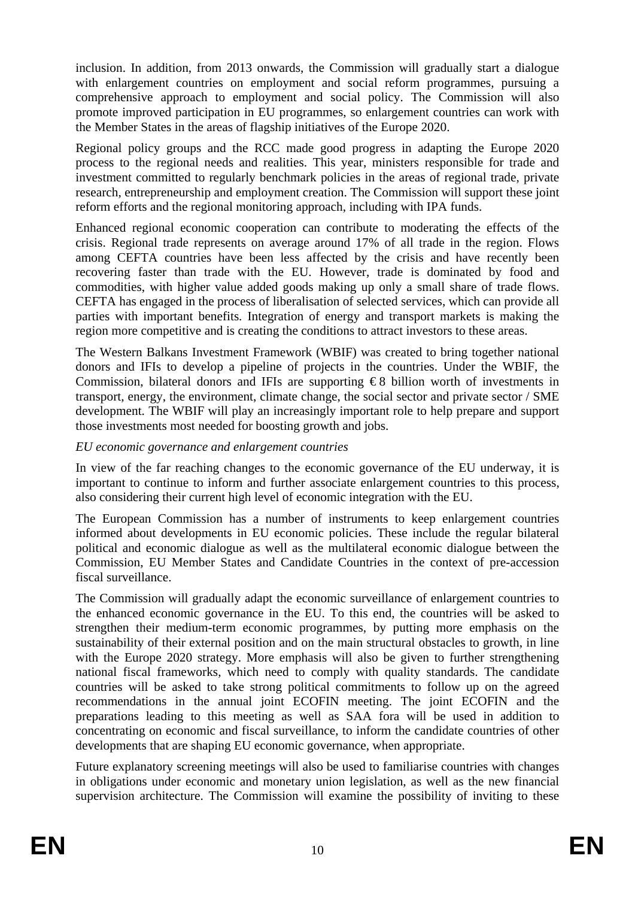inclusion. In addition, from 2013 onwards, the Commission will gradually start a dialogue with enlargement countries on employment and social reform programmes, pursuing a comprehensive approach to employment and social policy. The Commission will also promote improved participation in EU programmes, so enlargement countries can work with the Member States in the areas of flagship initiatives of the Europe 2020.

Regional policy groups and the RCC made good progress in adapting the Europe 2020 process to the regional needs and realities. This year, ministers responsible for trade and investment committed to regularly benchmark policies in the areas of regional trade, private research, entrepreneurship and employment creation. The Commission will support these joint reform efforts and the regional monitoring approach, including with IPA funds.

Enhanced regional economic cooperation can contribute to moderating the effects of the crisis. Regional trade represents on average around 17% of all trade in the region. Flows among CEFTA countries have been less affected by the crisis and have recently been recovering faster than trade with the EU. However, trade is dominated by food and commodities, with higher value added goods making up only a small share of trade flows. CEFTA has engaged in the process of liberalisation of selected services, which can provide all parties with important benefits. Integration of energy and transport markets is making the region more competitive and is creating the conditions to attract investors to these areas.

The Western Balkans Investment Framework (WBIF) was created to bring together national donors and IFIs to develop a pipeline of projects in the countries. Under the WBIF, the Commission, bilateral donors and IFIs are supporting  $\epsilon$ 8 billion worth of investments in transport, energy, the environment, climate change, the social sector and private sector / SME development. The WBIF will play an increasingly important role to help prepare and support those investments most needed for boosting growth and jobs.

### *EU economic governance and enlargement countries*

In view of the far reaching changes to the economic governance of the EU underway, it is important to continue to inform and further associate enlargement countries to this process, also considering their current high level of economic integration with the EU.

The European Commission has a number of instruments to keep enlargement countries informed about developments in EU economic policies. These include the regular bilateral political and economic dialogue as well as the multilateral economic dialogue between the Commission, EU Member States and Candidate Countries in the context of pre-accession fiscal surveillance.

The Commission will gradually adapt the economic surveillance of enlargement countries to the enhanced economic governance in the EU. To this end, the countries will be asked to strengthen their medium-term economic programmes, by putting more emphasis on the sustainability of their external position and on the main structural obstacles to growth, in line with the Europe 2020 strategy. More emphasis will also be given to further strengthening national fiscal frameworks, which need to comply with quality standards. The candidate countries will be asked to take strong political commitments to follow up on the agreed recommendations in the annual joint ECOFIN meeting. The joint ECOFIN and the preparations leading to this meeting as well as SAA fora will be used in addition to concentrating on economic and fiscal surveillance, to inform the candidate countries of other developments that are shaping EU economic governance, when appropriate.

Future explanatory screening meetings will also be used to familiarise countries with changes in obligations under economic and monetary union legislation, as well as the new financial supervision architecture. The Commission will examine the possibility of inviting to these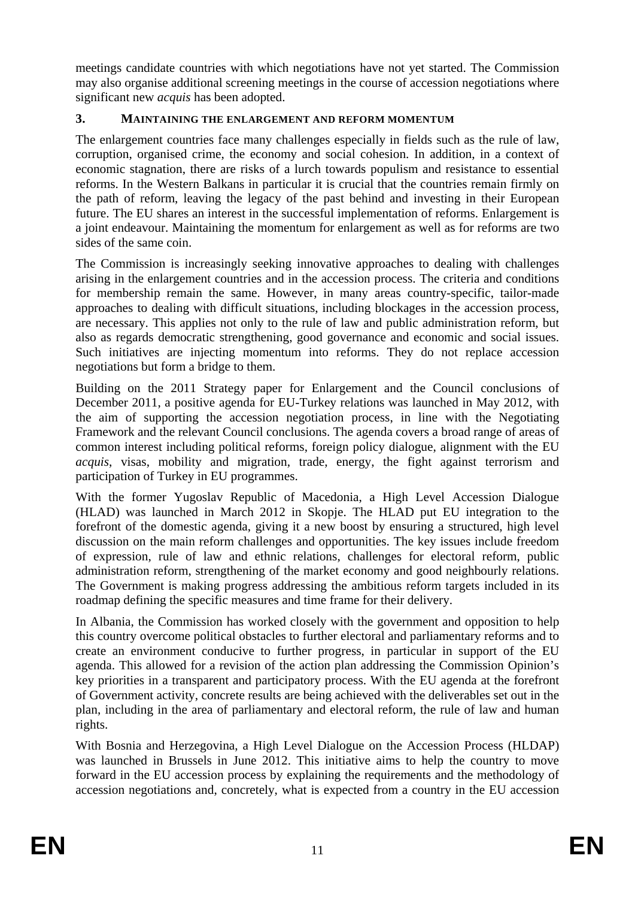meetings candidate countries with which negotiations have not yet started. The Commission may also organise additional screening meetings in the course of accession negotiations where significant new *acquis* has been adopted.

### **3. MAINTAINING THE ENLARGEMENT AND REFORM MOMENTUM**

The enlargement countries face many challenges especially in fields such as the rule of law, corruption, organised crime, the economy and social cohesion. In addition, in a context of economic stagnation, there are risks of a lurch towards populism and resistance to essential reforms. In the Western Balkans in particular it is crucial that the countries remain firmly on the path of reform, leaving the legacy of the past behind and investing in their European future. The EU shares an interest in the successful implementation of reforms. Enlargement is a joint endeavour. Maintaining the momentum for enlargement as well as for reforms are two sides of the same coin.

The Commission is increasingly seeking innovative approaches to dealing with challenges arising in the enlargement countries and in the accession process. The criteria and conditions for membership remain the same. However, in many areas country-specific, tailor-made approaches to dealing with difficult situations, including blockages in the accession process, are necessary. This applies not only to the rule of law and public administration reform, but also as regards democratic strengthening, good governance and economic and social issues. Such initiatives are injecting momentum into reforms. They do not replace accession negotiations but form a bridge to them.

Building on the 2011 Strategy paper for Enlargement and the Council conclusions of December 2011, a positive agenda for EU-Turkey relations was launched in May 2012, with the aim of supporting the accession negotiation process, in line with the Negotiating Framework and the relevant Council conclusions. The agenda covers a broad range of areas of common interest including political reforms, foreign policy dialogue, alignment with the EU *acquis*, visas, mobility and migration, trade, energy, the fight against terrorism and participation of Turkey in EU programmes.

With the former Yugoslav Republic of Macedonia, a High Level Accession Dialogue (HLAD) was launched in March 2012 in Skopje. The HLAD put EU integration to the forefront of the domestic agenda, giving it a new boost by ensuring a structured, high level discussion on the main reform challenges and opportunities. The key issues include freedom of expression, rule of law and ethnic relations, challenges for electoral reform, public administration reform, strengthening of the market economy and good neighbourly relations. The Government is making progress addressing the ambitious reform targets included in its roadmap defining the specific measures and time frame for their delivery.

In Albania, the Commission has worked closely with the government and opposition to help this country overcome political obstacles to further electoral and parliamentary reforms and to create an environment conducive to further progress, in particular in support of the EU agenda. This allowed for a revision of the action plan addressing the Commission Opinion's key priorities in a transparent and participatory process. With the EU agenda at the forefront of Government activity, concrete results are being achieved with the deliverables set out in the plan, including in the area of parliamentary and electoral reform, the rule of law and human rights.

With Bosnia and Herzegovina, a High Level Dialogue on the Accession Process (HLDAP) was launched in Brussels in June 2012. This initiative aims to help the country to move forward in the EU accession process by explaining the requirements and the methodology of accession negotiations and, concretely, what is expected from a country in the EU accession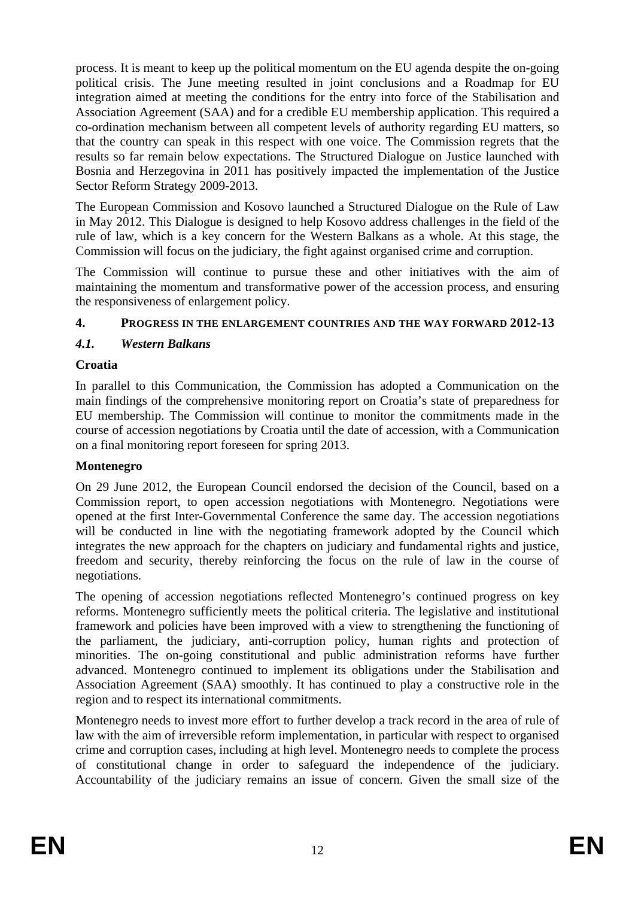process. It is meant to keep up the political momentum on the EU agenda despite the on-going political crisis. The June meeting resulted in joint conclusions and a Roadmap for EU integration aimed at meeting the conditions for the entry into force of the Stabilisation and Association Agreement (SAA) and for a credible EU membership application. This required a co-ordination mechanism between all competent levels of authority regarding EU matters, so that the country can speak in this respect with one voice. The Commission regrets that the results so far remain below expectations. The Structured Dialogue on Justice launched with Bosnia and Herzegovina in 2011 has positively impacted the implementation of the Justice Sector Reform Strategy 2009-2013.

The European Commission and Kosovo launched a Structured Dialogue on the Rule of Law in May 2012. This Dialogue is designed to help Kosovo address challenges in the field of the rule of law, which is a key concern for the Western Balkans as a whole. At this stage, the Commission will focus on the judiciary, the fight against organised crime and corruption.

The Commission will continue to pursue these and other initiatives with the aim of maintaining the momentum and transformative power of the accession process, and ensuring the responsiveness of enlargement policy.

## **4. PROGRESS IN THE ENLARGEMENT COUNTRIES AND THE WAY FORWARD 2012-13**

# *4.1. Western Balkans*

# **Croatia**

In parallel to this Communication, the Commission has adopted a Communication on the main findings of the comprehensive monitoring report on Croatia's state of preparedness for EU membership. The Commission will continue to monitor the commitments made in the course of accession negotiations by Croatia until the date of accession, with a Communication on a final monitoring report foreseen for spring 2013.

## **Montenegro**

On 29 June 2012, the European Council endorsed the decision of the Council, based on a Commission report, to open accession negotiations with Montenegro. Negotiations were opened at the first Inter-Governmental Conference the same day. The accession negotiations will be conducted in line with the negotiating framework adopted by the Council which integrates the new approach for the chapters on judiciary and fundamental rights and justice, freedom and security, thereby reinforcing the focus on the rule of law in the course of negotiations.

The opening of accession negotiations reflected Montenegro's continued progress on key reforms. Montenegro sufficiently meets the political criteria. The legislative and institutional framework and policies have been improved with a view to strengthening the functioning of the parliament, the judiciary, anti-corruption policy, human rights and protection of minorities. The on-going constitutional and public administration reforms have further advanced. Montenegro continued to implement its obligations under the Stabilisation and Association Agreement (SAA) smoothly. It has continued to play a constructive role in the region and to respect its international commitments.

Montenegro needs to invest more effort to further develop a track record in the area of rule of law with the aim of irreversible reform implementation, in particular with respect to organised crime and corruption cases, including at high level. Montenegro needs to complete the process of constitutional change in order to safeguard the independence of the judiciary. Accountability of the judiciary remains an issue of concern. Given the small size of the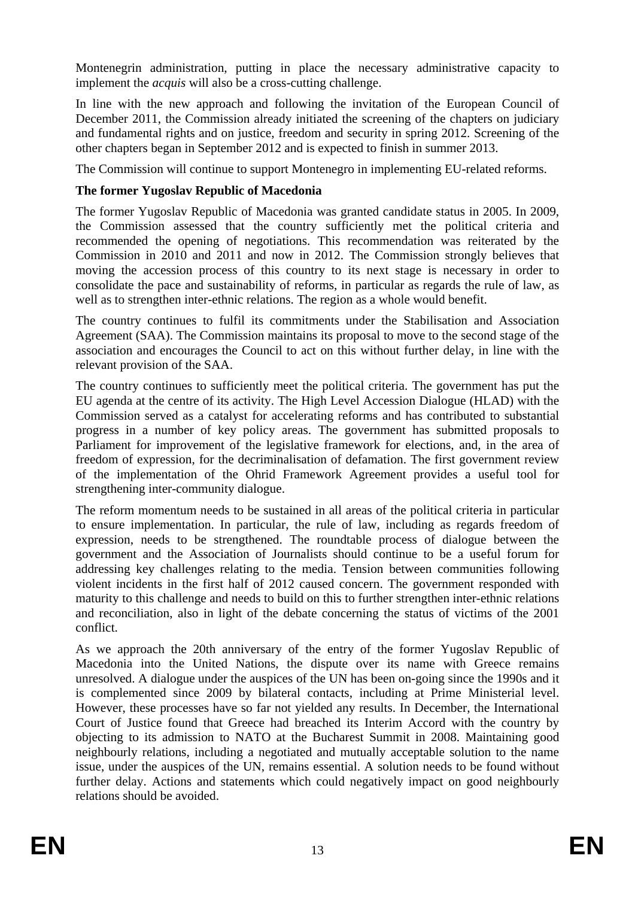Montenegrin administration, putting in place the necessary administrative capacity to implement the *acquis* will also be a cross-cutting challenge.

In line with the new approach and following the invitation of the European Council of December 2011, the Commission already initiated the screening of the chapters on judiciary and fundamental rights and on justice, freedom and security in spring 2012. Screening of the other chapters began in September 2012 and is expected to finish in summer 2013.

The Commission will continue to support Montenegro in implementing EU-related reforms.

## **The former Yugoslav Republic of Macedonia**

The former Yugoslav Republic of Macedonia was granted candidate status in 2005. In 2009, the Commission assessed that the country sufficiently met the political criteria and recommended the opening of negotiations. This recommendation was reiterated by the Commission in 2010 and 2011 and now in 2012. The Commission strongly believes that moving the accession process of this country to its next stage is necessary in order to consolidate the pace and sustainability of reforms, in particular as regards the rule of law, as well as to strengthen inter-ethnic relations. The region as a whole would benefit.

The country continues to fulfil its commitments under the Stabilisation and Association Agreement (SAA). The Commission maintains its proposal to move to the second stage of the association and encourages the Council to act on this without further delay, in line with the relevant provision of the SAA.

The country continues to sufficiently meet the political criteria. The government has put the EU agenda at the centre of its activity. The High Level Accession Dialogue (HLAD) with the Commission served as a catalyst for accelerating reforms and has contributed to substantial progress in a number of key policy areas. The government has submitted proposals to Parliament for improvement of the legislative framework for elections, and, in the area of freedom of expression, for the decriminalisation of defamation. The first government review of the implementation of the Ohrid Framework Agreement provides a useful tool for strengthening inter-community dialogue.

The reform momentum needs to be sustained in all areas of the political criteria in particular to ensure implementation. In particular, the rule of law, including as regards freedom of expression, needs to be strengthened. The roundtable process of dialogue between the government and the Association of Journalists should continue to be a useful forum for addressing key challenges relating to the media. Tension between communities following violent incidents in the first half of 2012 caused concern. The government responded with maturity to this challenge and needs to build on this to further strengthen inter-ethnic relations and reconciliation, also in light of the debate concerning the status of victims of the 2001 conflict.

As we approach the 20th anniversary of the entry of the former Yugoslav Republic of Macedonia into the United Nations, the dispute over its name with Greece remains unresolved. A dialogue under the auspices of the UN has been on-going since the 1990s and it is complemented since 2009 by bilateral contacts, including at Prime Ministerial level. However, these processes have so far not yielded any results. In December, the International Court of Justice found that Greece had breached its Interim Accord with the country by objecting to its admission to NATO at the Bucharest Summit in 2008. Maintaining good neighbourly relations, including a negotiated and mutually acceptable solution to the name issue, under the auspices of the UN, remains essential. A solution needs to be found without further delay. Actions and statements which could negatively impact on good neighbourly relations should be avoided.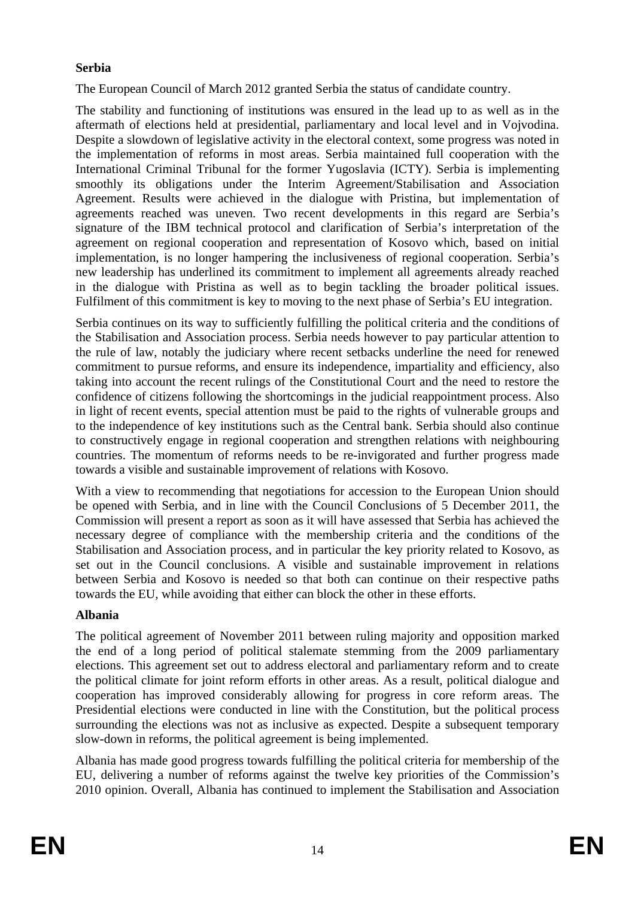### **Serbia**

The European Council of March 2012 granted Serbia the status of candidate country.

The stability and functioning of institutions was ensured in the lead up to as well as in the aftermath of elections held at presidential, parliamentary and local level and in Vojvodina. Despite a slowdown of legislative activity in the electoral context, some progress was noted in the implementation of reforms in most areas. Serbia maintained full cooperation with the International Criminal Tribunal for the former Yugoslavia (ICTY). Serbia is implementing smoothly its obligations under the Interim Agreement/Stabilisation and Association Agreement. Results were achieved in the dialogue with Pristina, but implementation of agreements reached was uneven. Two recent developments in this regard are Serbia's signature of the IBM technical protocol and clarification of Serbia's interpretation of the agreement on regional cooperation and representation of Kosovo which, based on initial implementation, is no longer hampering the inclusiveness of regional cooperation. Serbia's new leadership has underlined its commitment to implement all agreements already reached in the dialogue with Pristina as well as to begin tackling the broader political issues. Fulfilment of this commitment is key to moving to the next phase of Serbia's EU integration.

Serbia continues on its way to sufficiently fulfilling the political criteria and the conditions of the Stabilisation and Association process. Serbia needs however to pay particular attention to the rule of law, notably the judiciary where recent setbacks underline the need for renewed commitment to pursue reforms, and ensure its independence, impartiality and efficiency, also taking into account the recent rulings of the Constitutional Court and the need to restore the confidence of citizens following the shortcomings in the judicial reappointment process. Also in light of recent events, special attention must be paid to the rights of vulnerable groups and to the independence of key institutions such as the Central bank. Serbia should also continue to constructively engage in regional cooperation and strengthen relations with neighbouring countries. The momentum of reforms needs to be re-invigorated and further progress made towards a visible and sustainable improvement of relations with Kosovo.

With a view to recommending that negotiations for accession to the European Union should be opened with Serbia, and in line with the Council Conclusions of 5 December 2011, the Commission will present a report as soon as it will have assessed that Serbia has achieved the necessary degree of compliance with the membership criteria and the conditions of the Stabilisation and Association process, and in particular the key priority related to Kosovo, as set out in the Council conclusions. A visible and sustainable improvement in relations between Serbia and Kosovo is needed so that both can continue on their respective paths towards the EU, while avoiding that either can block the other in these efforts.

## **Albania**

The political agreement of November 2011 between ruling majority and opposition marked the end of a long period of political stalemate stemming from the 2009 parliamentary elections. This agreement set out to address electoral and parliamentary reform and to create the political climate for joint reform efforts in other areas. As a result, political dialogue and cooperation has improved considerably allowing for progress in core reform areas. The Presidential elections were conducted in line with the Constitution, but the political process surrounding the elections was not as inclusive as expected. Despite a subsequent temporary slow-down in reforms, the political agreement is being implemented.

Albania has made good progress towards fulfilling the political criteria for membership of the EU, delivering a number of reforms against the twelve key priorities of the Commission's 2010 opinion. Overall, Albania has continued to implement the Stabilisation and Association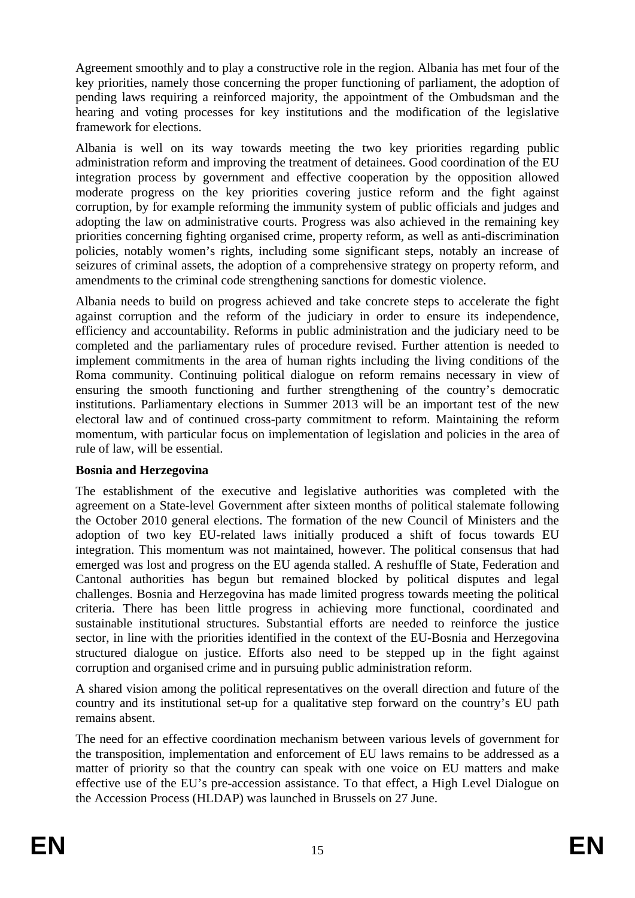Agreement smoothly and to play a constructive role in the region. Albania has met four of the key priorities, namely those concerning the proper functioning of parliament, the adoption of pending laws requiring a reinforced majority, the appointment of the Ombudsman and the hearing and voting processes for key institutions and the modification of the legislative framework for elections.

Albania is well on its way towards meeting the two key priorities regarding public administration reform and improving the treatment of detainees. Good coordination of the EU integration process by government and effective cooperation by the opposition allowed moderate progress on the key priorities covering justice reform and the fight against corruption, by for example reforming the immunity system of public officials and judges and adopting the law on administrative courts. Progress was also achieved in the remaining key priorities concerning fighting organised crime, property reform, as well as anti-discrimination policies, notably women's rights, including some significant steps, notably an increase of seizures of criminal assets, the adoption of a comprehensive strategy on property reform, and amendments to the criminal code strengthening sanctions for domestic violence.

Albania needs to build on progress achieved and take concrete steps to accelerate the fight against corruption and the reform of the judiciary in order to ensure its independence, efficiency and accountability. Reforms in public administration and the judiciary need to be completed and the parliamentary rules of procedure revised. Further attention is needed to implement commitments in the area of human rights including the living conditions of the Roma community. Continuing political dialogue on reform remains necessary in view of ensuring the smooth functioning and further strengthening of the country's democratic institutions. Parliamentary elections in Summer 2013 will be an important test of the new electoral law and of continued cross-party commitment to reform. Maintaining the reform momentum, with particular focus on implementation of legislation and policies in the area of rule of law, will be essential.

## **Bosnia and Herzegovina**

The establishment of the executive and legislative authorities was completed with the agreement on a State-level Government after sixteen months of political stalemate following the October 2010 general elections. The formation of the new Council of Ministers and the adoption of two key EU-related laws initially produced a shift of focus towards EU integration. This momentum was not maintained, however. The political consensus that had emerged was lost and progress on the EU agenda stalled. A reshuffle of State, Federation and Cantonal authorities has begun but remained blocked by political disputes and legal challenges. Bosnia and Herzegovina has made limited progress towards meeting the political criteria. There has been little progress in achieving more functional, coordinated and sustainable institutional structures. Substantial efforts are needed to reinforce the justice sector, in line with the priorities identified in the context of the EU-Bosnia and Herzegovina structured dialogue on justice. Efforts also need to be stepped up in the fight against corruption and organised crime and in pursuing public administration reform.

A shared vision among the political representatives on the overall direction and future of the country and its institutional set-up for a qualitative step forward on the country's EU path remains absent.

The need for an effective coordination mechanism between various levels of government for the transposition, implementation and enforcement of EU laws remains to be addressed as a matter of priority so that the country can speak with one voice on EU matters and make effective use of the EU's pre-accession assistance. To that effect, a High Level Dialogue on the Accession Process (HLDAP) was launched in Brussels on 27 June.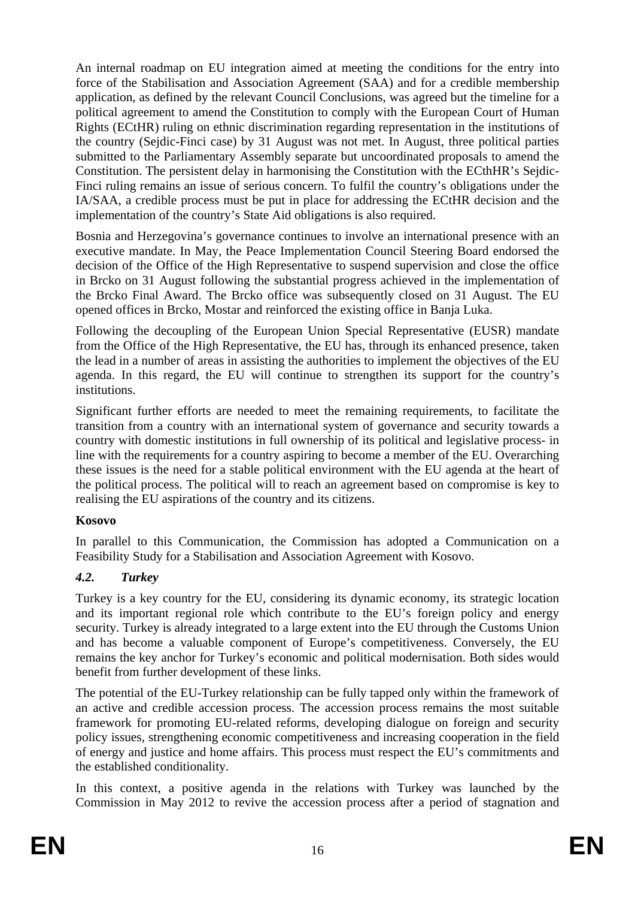An internal roadmap on EU integration aimed at meeting the conditions for the entry into force of the Stabilisation and Association Agreement (SAA) and for a credible membership application, as defined by the relevant Council Conclusions, was agreed but the timeline for a political agreement to amend the Constitution to comply with the European Court of Human Rights (ECtHR) ruling on ethnic discrimination regarding representation in the institutions of the country (Sejdic-Finci case) by 31 August was not met. In August, three political parties submitted to the Parliamentary Assembly separate but uncoordinated proposals to amend the Constitution. The persistent delay in harmonising the Constitution with the ECthHR's Sejdic-Finci ruling remains an issue of serious concern. To fulfil the country's obligations under the IA/SAA, a credible process must be put in place for addressing the ECtHR decision and the implementation of the country's State Aid obligations is also required.

Bosnia and Herzegovina's governance continues to involve an international presence with an executive mandate. In May, the Peace Implementation Council Steering Board endorsed the decision of the Office of the High Representative to suspend supervision and close the office in Brcko on 31 August following the substantial progress achieved in the implementation of the Brcko Final Award. The Brcko office was subsequently closed on 31 August. The EU opened offices in Brcko, Mostar and reinforced the existing office in Banja Luka.

Following the decoupling of the European Union Special Representative (EUSR) mandate from the Office of the High Representative, the EU has, through its enhanced presence, taken the lead in a number of areas in assisting the authorities to implement the objectives of the EU agenda. In this regard, the EU will continue to strengthen its support for the country's institutions.

Significant further efforts are needed to meet the remaining requirements, to facilitate the transition from a country with an international system of governance and security towards a country with domestic institutions in full ownership of its political and legislative process- in line with the requirements for a country aspiring to become a member of the EU. Overarching these issues is the need for a stable political environment with the EU agenda at the heart of the political process. The political will to reach an agreement based on compromise is key to realising the EU aspirations of the country and its citizens.

## **Kosovo**

In parallel to this Communication, the Commission has adopted a Communication on a Feasibility Study for a Stabilisation and Association Agreement with Kosovo.

# *4.2. Turkey*

Turkey is a key country for the EU, considering its dynamic economy, its strategic location and its important regional role which contribute to the EU's foreign policy and energy security. Turkey is already integrated to a large extent into the EU through the Customs Union and has become a valuable component of Europe's competitiveness. Conversely, the EU remains the key anchor for Turkey's economic and political modernisation. Both sides would benefit from further development of these links.

The potential of the EU-Turkey relationship can be fully tapped only within the framework of an active and credible accession process. The accession process remains the most suitable framework for promoting EU-related reforms, developing dialogue on foreign and security policy issues, strengthening economic competitiveness and increasing cooperation in the field of energy and justice and home affairs. This process must respect the EU's commitments and the established conditionality.

In this context, a positive agenda in the relations with Turkey was launched by the Commission in May 2012 to revive the accession process after a period of stagnation and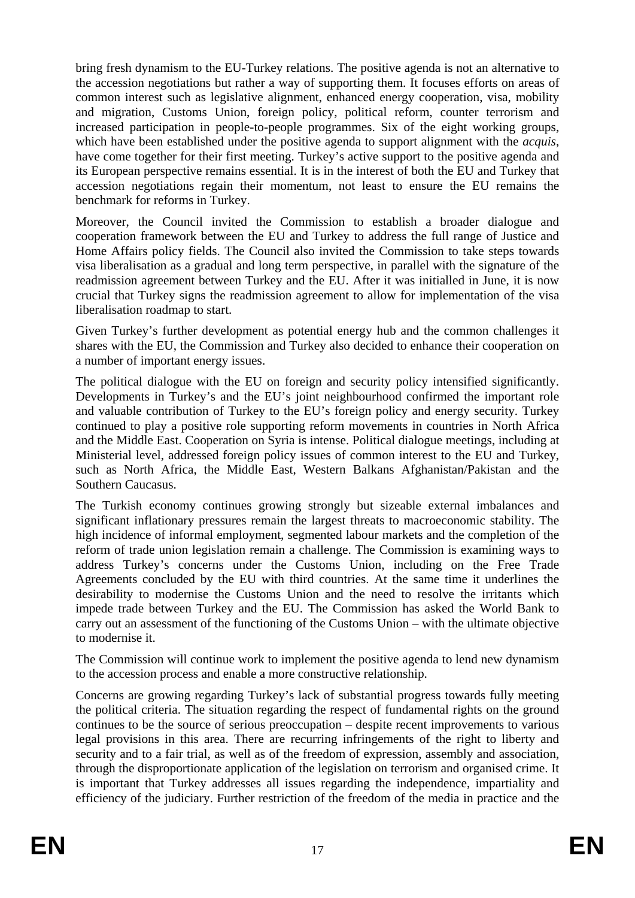bring fresh dynamism to the EU-Turkey relations. The positive agenda is not an alternative to the accession negotiations but rather a way of supporting them. It focuses efforts on areas of common interest such as legislative alignment, enhanced energy cooperation, visa, mobility and migration, Customs Union, foreign policy, political reform, counter terrorism and increased participation in people-to-people programmes. Six of the eight working groups, which have been established under the positive agenda to support alignment with the *acquis*, have come together for their first meeting. Turkey's active support to the positive agenda and its European perspective remains essential. It is in the interest of both the EU and Turkey that accession negotiations regain their momentum, not least to ensure the EU remains the benchmark for reforms in Turkey.

Moreover, the Council invited the Commission to establish a broader dialogue and cooperation framework between the EU and Turkey to address the full range of Justice and Home Affairs policy fields. The Council also invited the Commission to take steps towards visa liberalisation as a gradual and long term perspective, in parallel with the signature of the readmission agreement between Turkey and the EU. After it was initialled in June, it is now crucial that Turkey signs the readmission agreement to allow for implementation of the visa liberalisation roadmap to start.

Given Turkey's further development as potential energy hub and the common challenges it shares with the EU, the Commission and Turkey also decided to enhance their cooperation on a number of important energy issues.

The political dialogue with the EU on foreign and security policy intensified significantly. Developments in Turkey's and the EU's joint neighbourhood confirmed the important role and valuable contribution of Turkey to the EU's foreign policy and energy security. Turkey continued to play a positive role supporting reform movements in countries in North Africa and the Middle East. Cooperation on Syria is intense. Political dialogue meetings, including at Ministerial level, addressed foreign policy issues of common interest to the EU and Turkey, such as North Africa, the Middle East, Western Balkans Afghanistan/Pakistan and the Southern Caucasus.

The Turkish economy continues growing strongly but sizeable external imbalances and significant inflationary pressures remain the largest threats to macroeconomic stability. The high incidence of informal employment, segmented labour markets and the completion of the reform of trade union legislation remain a challenge. The Commission is examining ways to address Turkey's concerns under the Customs Union, including on the Free Trade Agreements concluded by the EU with third countries. At the same time it underlines the desirability to modernise the Customs Union and the need to resolve the irritants which impede trade between Turkey and the EU. The Commission has asked the World Bank to carry out an assessment of the functioning of the Customs Union – with the ultimate objective to modernise it.

The Commission will continue work to implement the positive agenda to lend new dynamism to the accession process and enable a more constructive relationship.

Concerns are growing regarding Turkey's lack of substantial progress towards fully meeting the political criteria. The situation regarding the respect of fundamental rights on the ground continues to be the source of serious preoccupation – despite recent improvements to various legal provisions in this area. There are recurring infringements of the right to liberty and security and to a fair trial, as well as of the freedom of expression, assembly and association, through the disproportionate application of the legislation on terrorism and organised crime. It is important that Turkey addresses all issues regarding the independence, impartiality and efficiency of the judiciary. Further restriction of the freedom of the media in practice and the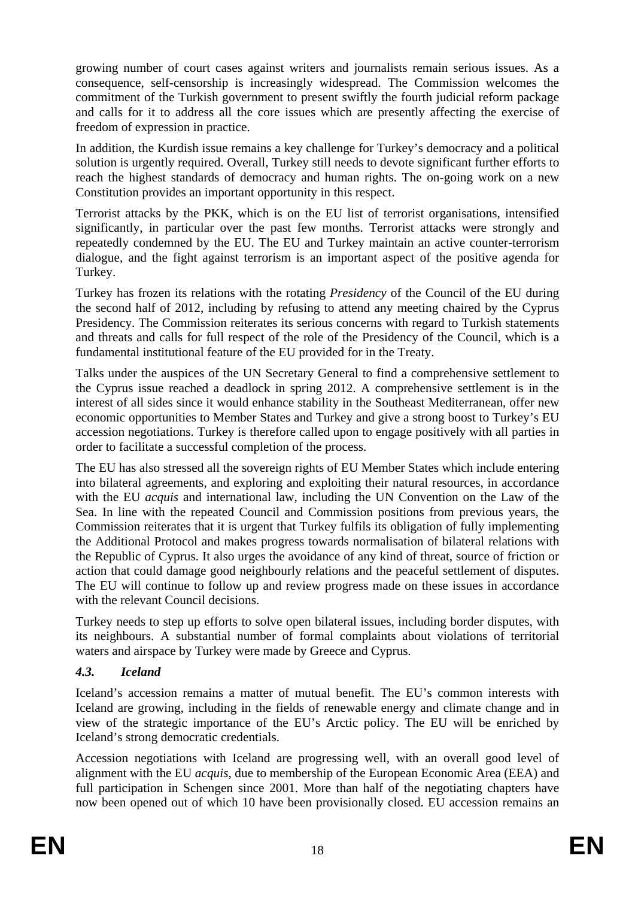growing number of court cases against writers and journalists remain serious issues. As a consequence, self-censorship is increasingly widespread. The Commission welcomes the commitment of the Turkish government to present swiftly the fourth judicial reform package and calls for it to address all the core issues which are presently affecting the exercise of freedom of expression in practice.

In addition, the Kurdish issue remains a key challenge for Turkey's democracy and a political solution is urgently required. Overall, Turkey still needs to devote significant further efforts to reach the highest standards of democracy and human rights. The on-going work on a new Constitution provides an important opportunity in this respect.

Terrorist attacks by the PKK, which is on the EU list of terrorist organisations, intensified significantly, in particular over the past few months. Terrorist attacks were strongly and repeatedly condemned by the EU. The EU and Turkey maintain an active counter-terrorism dialogue, and the fight against terrorism is an important aspect of the positive agenda for Turkey.

Turkey has frozen its relations with the rotating *Presidency* of the Council of the EU during the second half of 2012, including by refusing to attend any meeting chaired by the Cyprus Presidency. The Commission reiterates its serious concerns with regard to Turkish statements and threats and calls for full respect of the role of the Presidency of the Council, which is a fundamental institutional feature of the EU provided for in the Treaty.

Talks under the auspices of the UN Secretary General to find a comprehensive settlement to the Cyprus issue reached a deadlock in spring 2012. A comprehensive settlement is in the interest of all sides since it would enhance stability in the Southeast Mediterranean, offer new economic opportunities to Member States and Turkey and give a strong boost to Turkey's EU accession negotiations. Turkey is therefore called upon to engage positively with all parties in order to facilitate a successful completion of the process.

The EU has also stressed all the sovereign rights of EU Member States which include entering into bilateral agreements, and exploring and exploiting their natural resources, in accordance with the EU *acquis* and international law, including the UN Convention on the Law of the Sea. In line with the repeated Council and Commission positions from previous years, the Commission reiterates that it is urgent that Turkey fulfils its obligation of fully implementing the Additional Protocol and makes progress towards normalisation of bilateral relations with the Republic of Cyprus. It also urges the avoidance of any kind of threat, source of friction or action that could damage good neighbourly relations and the peaceful settlement of disputes. The EU will continue to follow up and review progress made on these issues in accordance with the relevant Council decisions.

Turkey needs to step up efforts to solve open bilateral issues, including border disputes, with its neighbours. A substantial number of formal complaints about violations of territorial waters and airspace by Turkey were made by Greece and Cyprus*.* 

# *4.3. Iceland*

Iceland's accession remains a matter of mutual benefit. The EU's common interests with Iceland are growing, including in the fields of renewable energy and climate change and in view of the strategic importance of the EU's Arctic policy. The EU will be enriched by Iceland's strong democratic credentials.

Accession negotiations with Iceland are progressing well, with an overall good level of alignment with the EU *acquis*, due to membership of the European Economic Area (EEA) and full participation in Schengen since 2001. More than half of the negotiating chapters have now been opened out of which 10 have been provisionally closed. EU accession remains an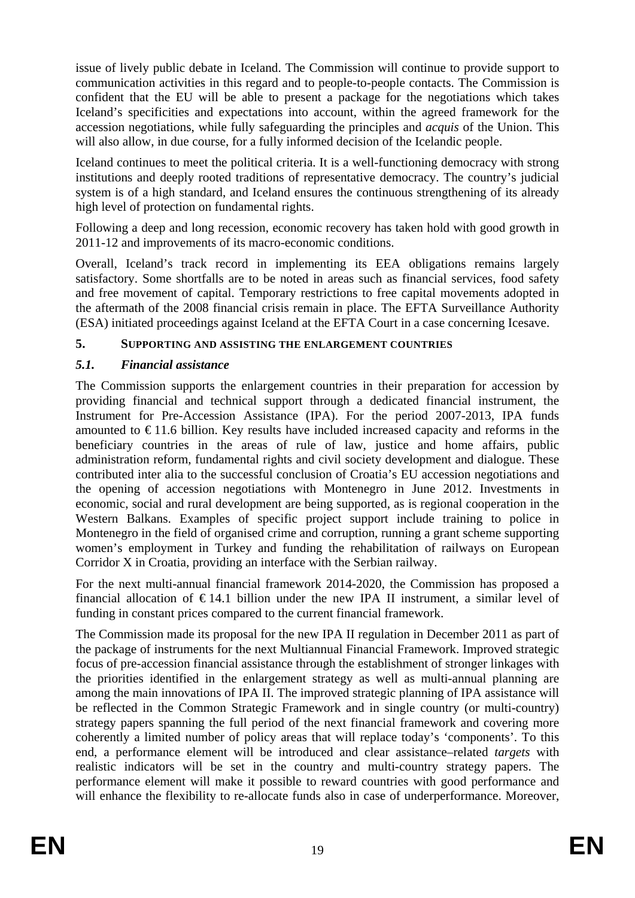issue of lively public debate in Iceland. The Commission will continue to provide support to communication activities in this regard and to people-to-people contacts. The Commission is confident that the EU will be able to present a package for the negotiations which takes Iceland's specificities and expectations into account, within the agreed framework for the accession negotiations, while fully safeguarding the principles and *acquis* of the Union. This will also allow, in due course, for a fully informed decision of the Icelandic people.

Iceland continues to meet the political criteria. It is a well-functioning democracy with strong institutions and deeply rooted traditions of representative democracy. The country's judicial system is of a high standard, and Iceland ensures the continuous strengthening of its already high level of protection on fundamental rights.

Following a deep and long recession, economic recovery has taken hold with good growth in 2011-12 and improvements of its macro-economic conditions.

Overall, Iceland's track record in implementing its EEA obligations remains largely satisfactory. Some shortfalls are to be noted in areas such as financial services, food safety and free movement of capital. Temporary restrictions to free capital movements adopted in the aftermath of the 2008 financial crisis remain in place. The EFTA Surveillance Authority (ESA) initiated proceedings against Iceland at the EFTA Court in a case concerning Icesave.

## **5. SUPPORTING AND ASSISTING THE ENLARGEMENT COUNTRIES**

## *5.1. Financial assistance*

The Commission supports the enlargement countries in their preparation for accession by providing financial and technical support through a dedicated financial instrument, the Instrument for Pre-Accession Assistance (IPA). For the period 2007-2013, IPA funds amounted to  $\epsilon$ 11.6 billion. Key results have included increased capacity and reforms in the beneficiary countries in the areas of rule of law, justice and home affairs, public administration reform, fundamental rights and civil society development and dialogue. These contributed inter alia to the successful conclusion of Croatia's EU accession negotiations and the opening of accession negotiations with Montenegro in June 2012. Investments in economic, social and rural development are being supported, as is regional cooperation in the Western Balkans. Examples of specific project support include training to police in Montenegro in the field of organised crime and corruption, running a grant scheme supporting women's employment in Turkey and funding the rehabilitation of railways on European Corridor X in Croatia, providing an interface with the Serbian railway.

For the next multi-annual financial framework 2014-2020, the Commission has proposed a financial allocation of  $\epsilon$ 14.1 billion under the new IPA II instrument, a similar level of funding in constant prices compared to the current financial framework.

The Commission made its proposal for the new IPA II regulation in December 2011 as part of the package of instruments for the next Multiannual Financial Framework. Improved strategic focus of pre-accession financial assistance through the establishment of stronger linkages with the priorities identified in the enlargement strategy as well as multi-annual planning are among the main innovations of IPA II. The improved strategic planning of IPA assistance will be reflected in the Common Strategic Framework and in single country (or multi-country) strategy papers spanning the full period of the next financial framework and covering more coherently a limited number of policy areas that will replace today's 'components'. To this end, a performance element will be introduced and clear assistance–related *targets* with realistic indicators will be set in the country and multi-country strategy papers. The performance element will make it possible to reward countries with good performance and will enhance the flexibility to re-allocate funds also in case of underperformance. Moreover,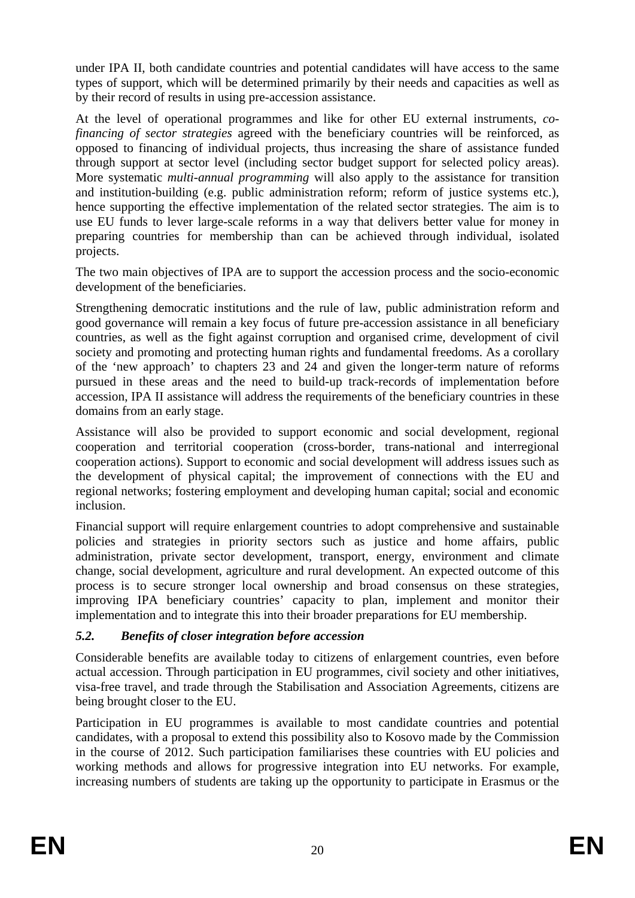under IPA II, both candidate countries and potential candidates will have access to the same types of support, which will be determined primarily by their needs and capacities as well as by their record of results in using pre-accession assistance.

At the level of operational programmes and like for other EU external instruments, *cofinancing of sector strategies* agreed with the beneficiary countries will be reinforced, as opposed to financing of individual projects, thus increasing the share of assistance funded through support at sector level (including sector budget support for selected policy areas). More systematic *multi-annual programming* will also apply to the assistance for transition and institution-building (e.g. public administration reform; reform of justice systems etc.), hence supporting the effective implementation of the related sector strategies. The aim is to use EU funds to lever large-scale reforms in a way that delivers better value for money in preparing countries for membership than can be achieved through individual, isolated projects.

The two main objectives of IPA are to support the accession process and the socio-economic development of the beneficiaries.

Strengthening democratic institutions and the rule of law, public administration reform and good governance will remain a key focus of future pre-accession assistance in all beneficiary countries, as well as the fight against corruption and organised crime, development of civil society and promoting and protecting human rights and fundamental freedoms. As a corollary of the 'new approach' to chapters 23 and 24 and given the longer-term nature of reforms pursued in these areas and the need to build-up track-records of implementation before accession, IPA II assistance will address the requirements of the beneficiary countries in these domains from an early stage.

Assistance will also be provided to support economic and social development, regional cooperation and territorial cooperation (cross-border, trans-national and interregional cooperation actions). Support to economic and social development will address issues such as the development of physical capital; the improvement of connections with the EU and regional networks; fostering employment and developing human capital; social and economic inclusion.

Financial support will require enlargement countries to adopt comprehensive and sustainable policies and strategies in priority sectors such as justice and home affairs, public administration, private sector development, transport, energy, environment and climate change, social development, agriculture and rural development. An expected outcome of this process is to secure stronger local ownership and broad consensus on these strategies, improving IPA beneficiary countries' capacity to plan, implement and monitor their implementation and to integrate this into their broader preparations for EU membership.

# *5.2. Benefits of closer integration before accession*

Considerable benefits are available today to citizens of enlargement countries, even before actual accession. Through participation in EU programmes, civil society and other initiatives, visa-free travel, and trade through the Stabilisation and Association Agreements, citizens are being brought closer to the EU.

Participation in EU programmes is available to most candidate countries and potential candidates, with a proposal to extend this possibility also to Kosovo made by the Commission in the course of 2012. Such participation familiarises these countries with EU policies and working methods and allows for progressive integration into EU networks. For example, increasing numbers of students are taking up the opportunity to participate in Erasmus or the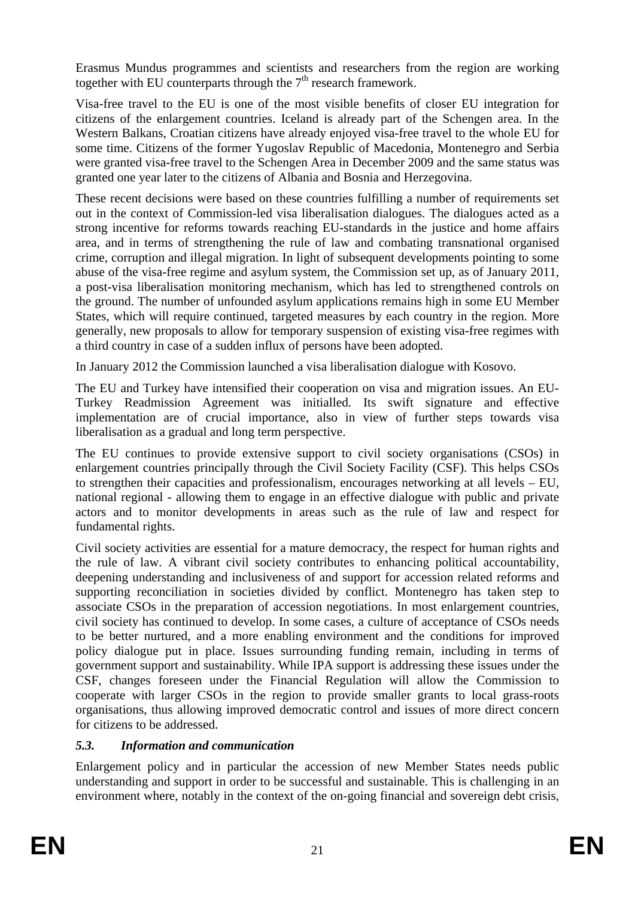Erasmus Mundus programmes and scientists and researchers from the region are working together with EU counterparts through the  $7<sup>th</sup>$  research framework.

Visa-free travel to the EU is one of the most visible benefits of closer EU integration for citizens of the enlargement countries. Iceland is already part of the Schengen area. In the Western Balkans, Croatian citizens have already enjoyed visa-free travel to the whole EU for some time. Citizens of the former Yugoslav Republic of Macedonia, Montenegro and Serbia were granted visa-free travel to the Schengen Area in December 2009 and the same status was granted one year later to the citizens of Albania and Bosnia and Herzegovina.

These recent decisions were based on these countries fulfilling a number of requirements set out in the context of Commission-led visa liberalisation dialogues. The dialogues acted as a strong incentive for reforms towards reaching EU-standards in the justice and home affairs area, and in terms of strengthening the rule of law and combating transnational organised crime, corruption and illegal migration. In light of subsequent developments pointing to some abuse of the visa-free regime and asylum system, the Commission set up, as of January 2011, a post-visa liberalisation monitoring mechanism, which has led to strengthened controls on the ground. The number of unfounded asylum applications remains high in some EU Member States, which will require continued, targeted measures by each country in the region. More generally, new proposals to allow for temporary suspension of existing visa-free regimes with a third country in case of a sudden influx of persons have been adopted.

In January 2012 the Commission launched a visa liberalisation dialogue with Kosovo.

The EU and Turkey have intensified their cooperation on visa and migration issues. An EU-Turkey Readmission Agreement was initialled. Its swift signature and effective implementation are of crucial importance, also in view of further steps towards visa liberalisation as a gradual and long term perspective.

The EU continues to provide extensive support to civil society organisations (CSOs) in enlargement countries principally through the Civil Society Facility (CSF). This helps CSOs to strengthen their capacities and professionalism, encourages networking at all levels – EU, national regional - allowing them to engage in an effective dialogue with public and private actors and to monitor developments in areas such as the rule of law and respect for fundamental rights.

Civil society activities are essential for a mature democracy, the respect for human rights and the rule of law. A vibrant civil society contributes to enhancing political accountability, deepening understanding and inclusiveness of and support for accession related reforms and supporting reconciliation in societies divided by conflict. Montenegro has taken step to associate CSOs in the preparation of accession negotiations. In most enlargement countries, civil society has continued to develop. In some cases, a culture of acceptance of CSOs needs to be better nurtured, and a more enabling environment and the conditions for improved policy dialogue put in place. Issues surrounding funding remain, including in terms of government support and sustainability. While IPA support is addressing these issues under the CSF, changes foreseen under the Financial Regulation will allow the Commission to cooperate with larger CSOs in the region to provide smaller grants to local grass-roots organisations, thus allowing improved democratic control and issues of more direct concern for citizens to be addressed.

# *5.3. Information and communication*

Enlargement policy and in particular the accession of new Member States needs public understanding and support in order to be successful and sustainable. This is challenging in an environment where, notably in the context of the on-going financial and sovereign debt crisis,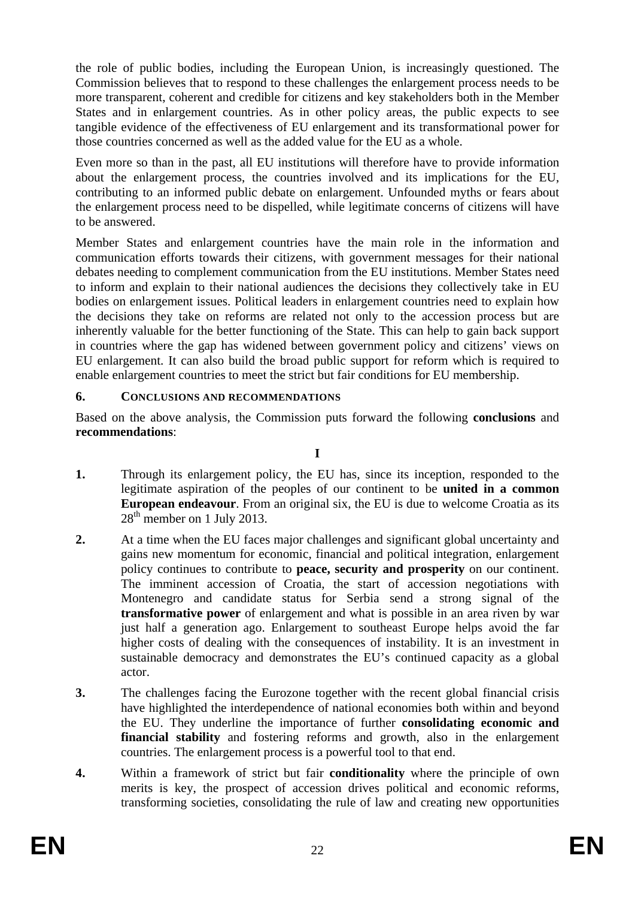the role of public bodies, including the European Union, is increasingly questioned. The Commission believes that to respond to these challenges the enlargement process needs to be more transparent, coherent and credible for citizens and key stakeholders both in the Member States and in enlargement countries. As in other policy areas, the public expects to see tangible evidence of the effectiveness of EU enlargement and its transformational power for those countries concerned as well as the added value for the EU as a whole.

Even more so than in the past, all EU institutions will therefore have to provide information about the enlargement process, the countries involved and its implications for the EU, contributing to an informed public debate on enlargement. Unfounded myths or fears about the enlargement process need to be dispelled, while legitimate concerns of citizens will have to be answered.

Member States and enlargement countries have the main role in the information and communication efforts towards their citizens, with government messages for their national debates needing to complement communication from the EU institutions. Member States need to inform and explain to their national audiences the decisions they collectively take in EU bodies on enlargement issues. Political leaders in enlargement countries need to explain how the decisions they take on reforms are related not only to the accession process but are inherently valuable for the better functioning of the State. This can help to gain back support in countries where the gap has widened between government policy and citizens' views on EU enlargement. It can also build the broad public support for reform which is required to enable enlargement countries to meet the strict but fair conditions for EU membership.

#### **6. CONCLUSIONS AND RECOMMENDATIONS**

Based on the above analysis, the Commission puts forward the following **conclusions** and **recommendations**:

**I** 

- **1.** Through its enlargement policy, the EU has, since its inception, responded to the legitimate aspiration of the peoples of our continent to be **united in a common European endeavour**. From an original six, the EU is due to welcome Croatia as its 28<sup>th</sup> member on 1 July 2013.
- **2.** At a time when the EU faces major challenges and significant global uncertainty and gains new momentum for economic, financial and political integration, enlargement policy continues to contribute to **peace, security and prosperity** on our continent. The imminent accession of Croatia, the start of accession negotiations with Montenegro and candidate status for Serbia send a strong signal of the **transformative power** of enlargement and what is possible in an area riven by war just half a generation ago. Enlargement to southeast Europe helps avoid the far higher costs of dealing with the consequences of instability. It is an investment in sustainable democracy and demonstrates the EU's continued capacity as a global actor.
- **3.** The challenges facing the Eurozone together with the recent global financial crisis have highlighted the interdependence of national economies both within and beyond the EU. They underline the importance of further **consolidating economic and financial stability** and fostering reforms and growth, also in the enlargement countries. The enlargement process is a powerful tool to that end.
- **4.** Within a framework of strict but fair **conditionality** where the principle of own merits is key, the prospect of accession drives political and economic reforms, transforming societies, consolidating the rule of law and creating new opportunities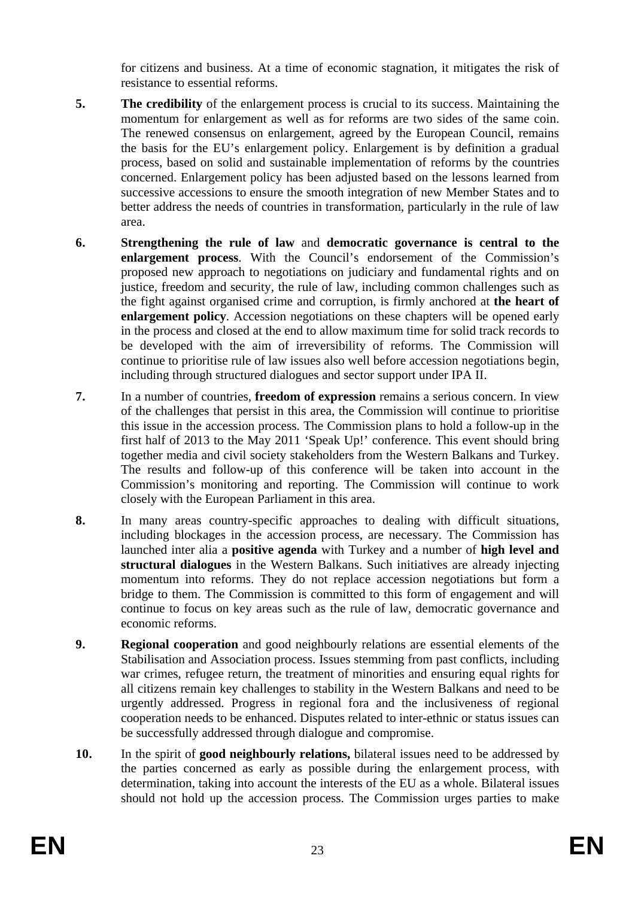for citizens and business. At a time of economic stagnation, it mitigates the risk of resistance to essential reforms.

- **5. The credibility** of the enlargement process is crucial to its success. Maintaining the momentum for enlargement as well as for reforms are two sides of the same coin. The renewed consensus on enlargement, agreed by the European Council, remains the basis for the EU's enlargement policy. Enlargement is by definition a gradual process, based on solid and sustainable implementation of reforms by the countries concerned. Enlargement policy has been adjusted based on the lessons learned from successive accessions to ensure the smooth integration of new Member States and to better address the needs of countries in transformation, particularly in the rule of law area.
- **6. Strengthening the rule of law** and **democratic governance is central to the enlargement process**. With the Council's endorsement of the Commission's proposed new approach to negotiations on judiciary and fundamental rights and on justice, freedom and security, the rule of law, including common challenges such as the fight against organised crime and corruption, is firmly anchored at **the heart of enlargement policy**. Accession negotiations on these chapters will be opened early in the process and closed at the end to allow maximum time for solid track records to be developed with the aim of irreversibility of reforms. The Commission will continue to prioritise rule of law issues also well before accession negotiations begin, including through structured dialogues and sector support under IPA II.
- **7.** In a number of countries, **freedom of expression** remains a serious concern. In view of the challenges that persist in this area, the Commission will continue to prioritise this issue in the accession process. The Commission plans to hold a follow-up in the first half of 2013 to the May 2011 'Speak Up!' conference. This event should bring together media and civil society stakeholders from the Western Balkans and Turkey. The results and follow-up of this conference will be taken into account in the Commission's monitoring and reporting. The Commission will continue to work closely with the European Parliament in this area.
- **8.** In many areas country-specific approaches to dealing with difficult situations, including blockages in the accession process, are necessary. The Commission has launched inter alia a **positive agenda** with Turkey and a number of **high level and structural dialogues** in the Western Balkans. Such initiatives are already injecting momentum into reforms. They do not replace accession negotiations but form a bridge to them. The Commission is committed to this form of engagement and will continue to focus on key areas such as the rule of law, democratic governance and economic reforms.
- **9. Regional cooperation** and good neighbourly relations are essential elements of the Stabilisation and Association process. Issues stemming from past conflicts, including war crimes, refugee return, the treatment of minorities and ensuring equal rights for all citizens remain key challenges to stability in the Western Balkans and need to be urgently addressed. Progress in regional fora and the inclusiveness of regional cooperation needs to be enhanced. Disputes related to inter-ethnic or status issues can be successfully addressed through dialogue and compromise.
- **10.** In the spirit of **good neighbourly relations,** bilateral issues need to be addressed by the parties concerned as early as possible during the enlargement process, with determination, taking into account the interests of the EU as a whole. Bilateral issues should not hold up the accession process. The Commission urges parties to make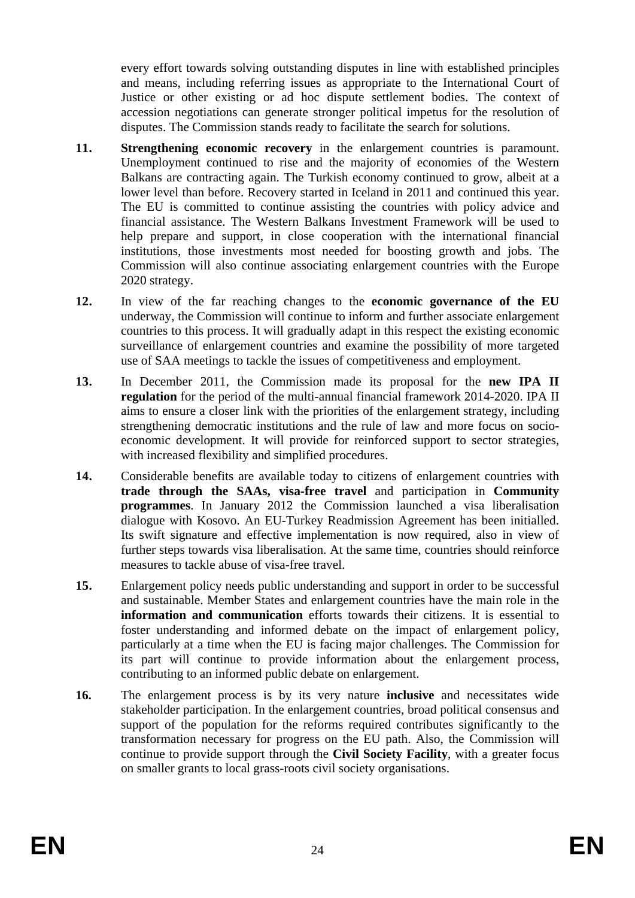every effort towards solving outstanding disputes in line with established principles and means, including referring issues as appropriate to the International Court of Justice or other existing or ad hoc dispute settlement bodies. The context of accession negotiations can generate stronger political impetus for the resolution of disputes. The Commission stands ready to facilitate the search for solutions.

- **11. Strengthening economic recovery** in the enlargement countries is paramount. Unemployment continued to rise and the majority of economies of the Western Balkans are contracting again. The Turkish economy continued to grow, albeit at a lower level than before. Recovery started in Iceland in 2011 and continued this year. The EU is committed to continue assisting the countries with policy advice and financial assistance. The Western Balkans Investment Framework will be used to help prepare and support, in close cooperation with the international financial institutions, those investments most needed for boosting growth and jobs. The Commission will also continue associating enlargement countries with the Europe 2020 strategy.
- **12.** In view of the far reaching changes to the **economic governance of the EU** underway, the Commission will continue to inform and further associate enlargement countries to this process. It will gradually adapt in this respect the existing economic surveillance of enlargement countries and examine the possibility of more targeted use of SAA meetings to tackle the issues of competitiveness and employment.
- **13.** In December 2011, the Commission made its proposal for the **new IPA II regulation** for the period of the multi-annual financial framework 2014-2020. IPA II aims to ensure a closer link with the priorities of the enlargement strategy, including strengthening democratic institutions and the rule of law and more focus on socioeconomic development. It will provide for reinforced support to sector strategies, with increased flexibility and simplified procedures.
- **14.** Considerable benefits are available today to citizens of enlargement countries with **trade through the SAAs, visa-free travel** and participation in **Community programmes**. In January 2012 the Commission launched a visa liberalisation dialogue with Kosovo. An EU-Turkey Readmission Agreement has been initialled. Its swift signature and effective implementation is now required, also in view of further steps towards visa liberalisation. At the same time, countries should reinforce measures to tackle abuse of visa-free travel.
- **15.** Enlargement policy needs public understanding and support in order to be successful and sustainable. Member States and enlargement countries have the main role in the **information and communication** efforts towards their citizens. It is essential to foster understanding and informed debate on the impact of enlargement policy, particularly at a time when the EU is facing major challenges. The Commission for its part will continue to provide information about the enlargement process, contributing to an informed public debate on enlargement.
- **16.** The enlargement process is by its very nature **inclusive** and necessitates wide stakeholder participation. In the enlargement countries, broad political consensus and support of the population for the reforms required contributes significantly to the transformation necessary for progress on the EU path. Also, the Commission will continue to provide support through the **Civil Society Facility**, with a greater focus on smaller grants to local grass-roots civil society organisations.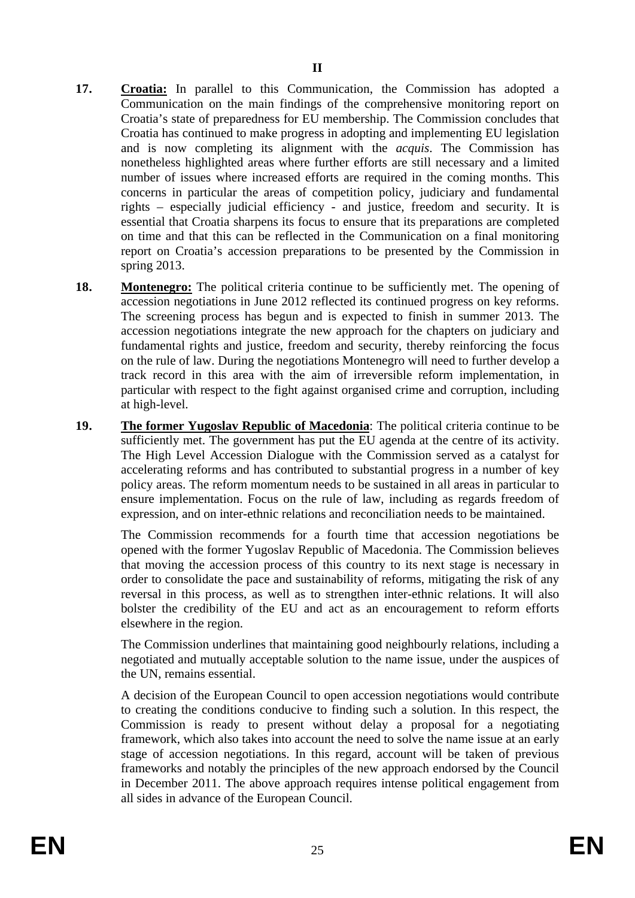- **17. Croatia:** In parallel to this Communication, the Commission has adopted a Communication on the main findings of the comprehensive monitoring report on Croatia's state of preparedness for EU membership. The Commission concludes that Croatia has continued to make progress in adopting and implementing EU legislation and is now completing its alignment with the *acquis*. The Commission has nonetheless highlighted areas where further efforts are still necessary and a limited number of issues where increased efforts are required in the coming months. This concerns in particular the areas of competition policy, judiciary and fundamental rights – especially judicial efficiency - and justice, freedom and security. It is essential that Croatia sharpens its focus to ensure that its preparations are completed on time and that this can be reflected in the Communication on a final monitoring report on Croatia's accession preparations to be presented by the Commission in spring 2013.
- **18. Montenegro:** The political criteria continue to be sufficiently met. The opening of accession negotiations in June 2012 reflected its continued progress on key reforms. The screening process has begun and is expected to finish in summer 2013. The accession negotiations integrate the new approach for the chapters on judiciary and fundamental rights and justice, freedom and security, thereby reinforcing the focus on the rule of law. During the negotiations Montenegro will need to further develop a track record in this area with the aim of irreversible reform implementation, in particular with respect to the fight against organised crime and corruption, including at high-level.
- **19. The former Yugoslav Republic of Macedonia**: The political criteria continue to be sufficiently met. The government has put the EU agenda at the centre of its activity. The High Level Accession Dialogue with the Commission served as a catalyst for accelerating reforms and has contributed to substantial progress in a number of key policy areas. The reform momentum needs to be sustained in all areas in particular to ensure implementation. Focus on the rule of law, including as regards freedom of expression, and on inter-ethnic relations and reconciliation needs to be maintained.

The Commission recommends for a fourth time that accession negotiations be opened with the former Yugoslav Republic of Macedonia. The Commission believes that moving the accession process of this country to its next stage is necessary in order to consolidate the pace and sustainability of reforms, mitigating the risk of any reversal in this process, as well as to strengthen inter-ethnic relations. It will also bolster the credibility of the EU and act as an encouragement to reform efforts elsewhere in the region.

The Commission underlines that maintaining good neighbourly relations, including a negotiated and mutually acceptable solution to the name issue, under the auspices of the UN, remains essential.

A decision of the European Council to open accession negotiations would contribute to creating the conditions conducive to finding such a solution. In this respect, the Commission is ready to present without delay a proposal for a negotiating framework, which also takes into account the need to solve the name issue at an early stage of accession negotiations. In this regard, account will be taken of previous frameworks and notably the principles of the new approach endorsed by the Council in December 2011. The above approach requires intense political engagement from all sides in advance of the European Council.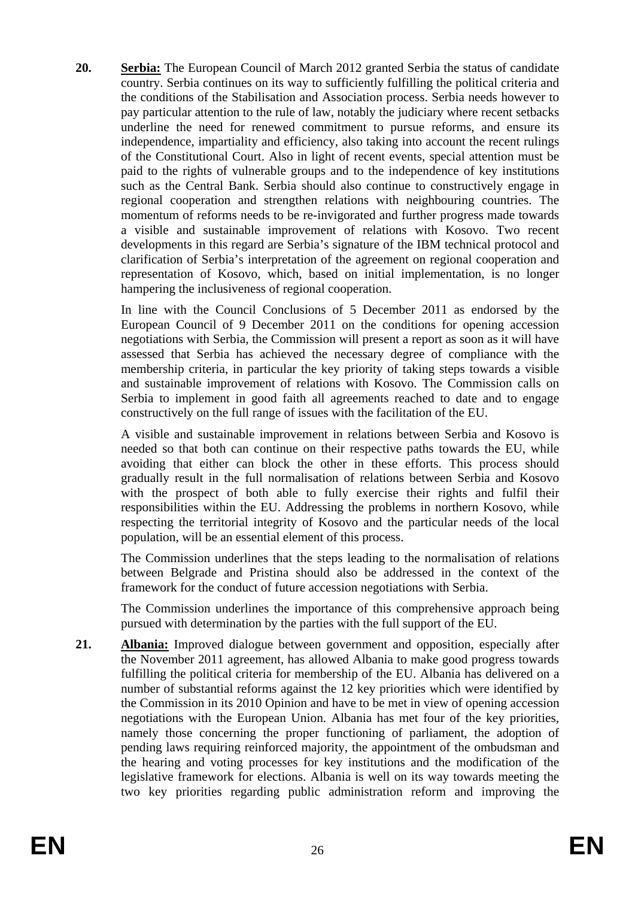**20. Serbia:** The European Council of March 2012 granted Serbia the status of candidate country. Serbia continues on its way to sufficiently fulfilling the political criteria and the conditions of the Stabilisation and Association process. Serbia needs however to pay particular attention to the rule of law, notably the judiciary where recent setbacks underline the need for renewed commitment to pursue reforms, and ensure its independence, impartiality and efficiency, also taking into account the recent rulings of the Constitutional Court. Also in light of recent events, special attention must be paid to the rights of vulnerable groups and to the independence of key institutions such as the Central Bank. Serbia should also continue to constructively engage in regional cooperation and strengthen relations with neighbouring countries. The momentum of reforms needs to be re-invigorated and further progress made towards a visible and sustainable improvement of relations with Kosovo. Two recent developments in this regard are Serbia's signature of the IBM technical protocol and clarification of Serbia's interpretation of the agreement on regional cooperation and representation of Kosovo, which, based on initial implementation, is no longer hampering the inclusiveness of regional cooperation.

In line with the Council Conclusions of 5 December 2011 as endorsed by the European Council of 9 December 2011 on the conditions for opening accession negotiations with Serbia, the Commission will present a report as soon as it will have assessed that Serbia has achieved the necessary degree of compliance with the membership criteria, in particular the key priority of taking steps towards a visible and sustainable improvement of relations with Kosovo. The Commission calls on Serbia to implement in good faith all agreements reached to date and to engage constructively on the full range of issues with the facilitation of the EU.

A visible and sustainable improvement in relations between Serbia and Kosovo is needed so that both can continue on their respective paths towards the EU, while avoiding that either can block the other in these efforts. This process should gradually result in the full normalisation of relations between Serbia and Kosovo with the prospect of both able to fully exercise their rights and fulfil their responsibilities within the EU. Addressing the problems in northern Kosovo, while respecting the territorial integrity of Kosovo and the particular needs of the local population, will be an essential element of this process.

The Commission underlines that the steps leading to the normalisation of relations between Belgrade and Pristina should also be addressed in the context of the framework for the conduct of future accession negotiations with Serbia.

The Commission underlines the importance of this comprehensive approach being pursued with determination by the parties with the full support of the EU.

**21. Albania:** Improved dialogue between government and opposition, especially after the November 2011 agreement, has allowed Albania to make good progress towards fulfilling the political criteria for membership of the EU. Albania has delivered on a number of substantial reforms against the 12 key priorities which were identified by the Commission in its 2010 Opinion and have to be met in view of opening accession negotiations with the European Union. Albania has met four of the key priorities, namely those concerning the proper functioning of parliament, the adoption of pending laws requiring reinforced majority, the appointment of the ombudsman and the hearing and voting processes for key institutions and the modification of the legislative framework for elections. Albania is well on its way towards meeting the two key priorities regarding public administration reform and improving the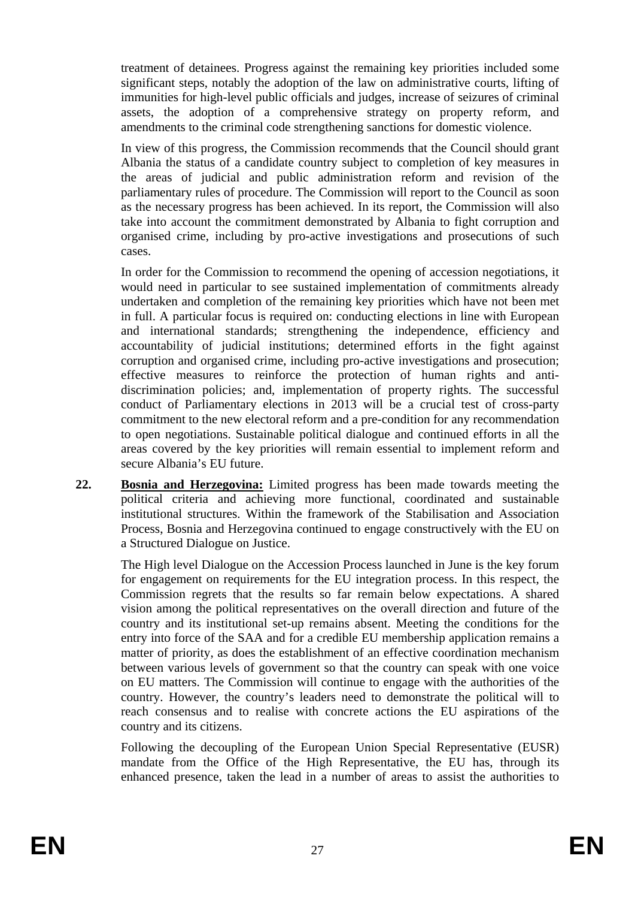treatment of detainees. Progress against the remaining key priorities included some significant steps, notably the adoption of the law on administrative courts, lifting of immunities for high-level public officials and judges, increase of seizures of criminal assets, the adoption of a comprehensive strategy on property reform, and amendments to the criminal code strengthening sanctions for domestic violence.

In view of this progress, the Commission recommends that the Council should grant Albania the status of a candidate country subject to completion of key measures in the areas of judicial and public administration reform and revision of the parliamentary rules of procedure. The Commission will report to the Council as soon as the necessary progress has been achieved. In its report, the Commission will also take into account the commitment demonstrated by Albania to fight corruption and organised crime, including by pro-active investigations and prosecutions of such cases.

In order for the Commission to recommend the opening of accession negotiations, it would need in particular to see sustained implementation of commitments already undertaken and completion of the remaining key priorities which have not been met in full. A particular focus is required on: conducting elections in line with European and international standards; strengthening the independence, efficiency and accountability of judicial institutions; determined efforts in the fight against corruption and organised crime, including pro-active investigations and prosecution; effective measures to reinforce the protection of human rights and antidiscrimination policies; and, implementation of property rights. The successful conduct of Parliamentary elections in 2013 will be a crucial test of cross-party commitment to the new electoral reform and a pre-condition for any recommendation to open negotiations. Sustainable political dialogue and continued efforts in all the areas covered by the key priorities will remain essential to implement reform and secure Albania's EU future.

**22. Bosnia and Herzegovina:** Limited progress has been made towards meeting the political criteria and achieving more functional, coordinated and sustainable institutional structures. Within the framework of the Stabilisation and Association Process, Bosnia and Herzegovina continued to engage constructively with the EU on a Structured Dialogue on Justice.

The High level Dialogue on the Accession Process launched in June is the key forum for engagement on requirements for the EU integration process. In this respect, the Commission regrets that the results so far remain below expectations. A shared vision among the political representatives on the overall direction and future of the country and its institutional set-up remains absent. Meeting the conditions for the entry into force of the SAA and for a credible EU membership application remains a matter of priority, as does the establishment of an effective coordination mechanism between various levels of government so that the country can speak with one voice on EU matters. The Commission will continue to engage with the authorities of the country. However, the country's leaders need to demonstrate the political will to reach consensus and to realise with concrete actions the EU aspirations of the country and its citizens.

Following the decoupling of the European Union Special Representative (EUSR) mandate from the Office of the High Representative, the EU has, through its enhanced presence, taken the lead in a number of areas to assist the authorities to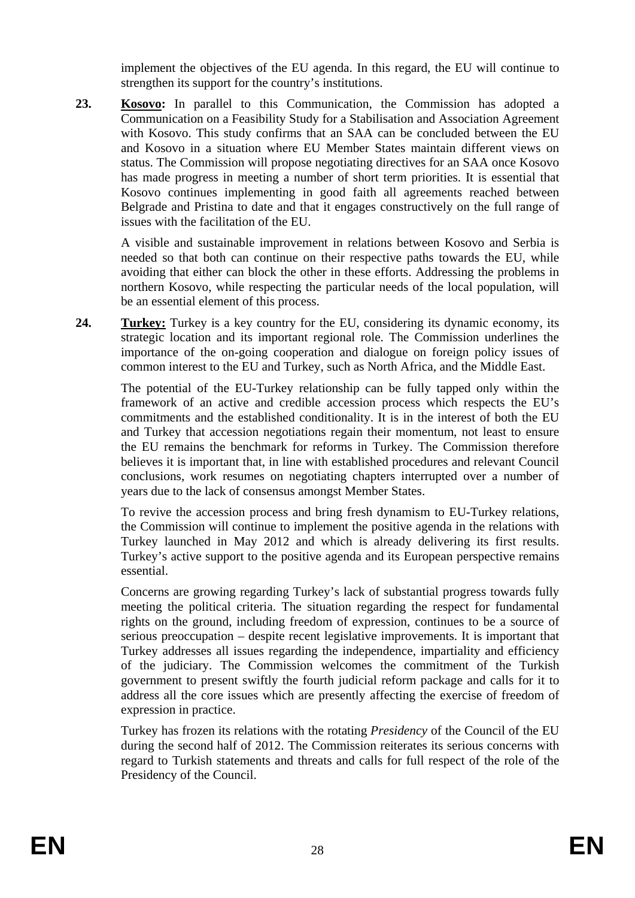implement the objectives of the EU agenda. In this regard, the EU will continue to strengthen its support for the country's institutions.

**23. Kosovo:** In parallel to this Communication, the Commission has adopted a Communication on a Feasibility Study for a Stabilisation and Association Agreement with Kosovo. This study confirms that an SAA can be concluded between the EU and Kosovo in a situation where EU Member States maintain different views on status. The Commission will propose negotiating directives for an SAA once Kosovo has made progress in meeting a number of short term priorities. It is essential that Kosovo continues implementing in good faith all agreements reached between Belgrade and Pristina to date and that it engages constructively on the full range of issues with the facilitation of the EU.

A visible and sustainable improvement in relations between Kosovo and Serbia is needed so that both can continue on their respective paths towards the EU, while avoiding that either can block the other in these efforts. Addressing the problems in northern Kosovo, while respecting the particular needs of the local population, will be an essential element of this process.

**24. Turkey:** Turkey is a key country for the EU, considering its dynamic economy, its strategic location and its important regional role. The Commission underlines the importance of the on-going cooperation and dialogue on foreign policy issues of common interest to the EU and Turkey, such as North Africa, and the Middle East.

The potential of the EU-Turkey relationship can be fully tapped only within the framework of an active and credible accession process which respects the EU's commitments and the established conditionality. It is in the interest of both the EU and Turkey that accession negotiations regain their momentum, not least to ensure the EU remains the benchmark for reforms in Turkey. The Commission therefore believes it is important that, in line with established procedures and relevant Council conclusions, work resumes on negotiating chapters interrupted over a number of years due to the lack of consensus amongst Member States.

To revive the accession process and bring fresh dynamism to EU-Turkey relations, the Commission will continue to implement the positive agenda in the relations with Turkey launched in May 2012 and which is already delivering its first results. Turkey's active support to the positive agenda and its European perspective remains essential.

Concerns are growing regarding Turkey's lack of substantial progress towards fully meeting the political criteria. The situation regarding the respect for fundamental rights on the ground, including freedom of expression, continues to be a source of serious preoccupation – despite recent legislative improvements. It is important that Turkey addresses all issues regarding the independence, impartiality and efficiency of the judiciary. The Commission welcomes the commitment of the Turkish government to present swiftly the fourth judicial reform package and calls for it to address all the core issues which are presently affecting the exercise of freedom of expression in practice.

Turkey has frozen its relations with the rotating *Presidency* of the Council of the EU during the second half of 2012. The Commission reiterates its serious concerns with regard to Turkish statements and threats and calls for full respect of the role of the Presidency of the Council.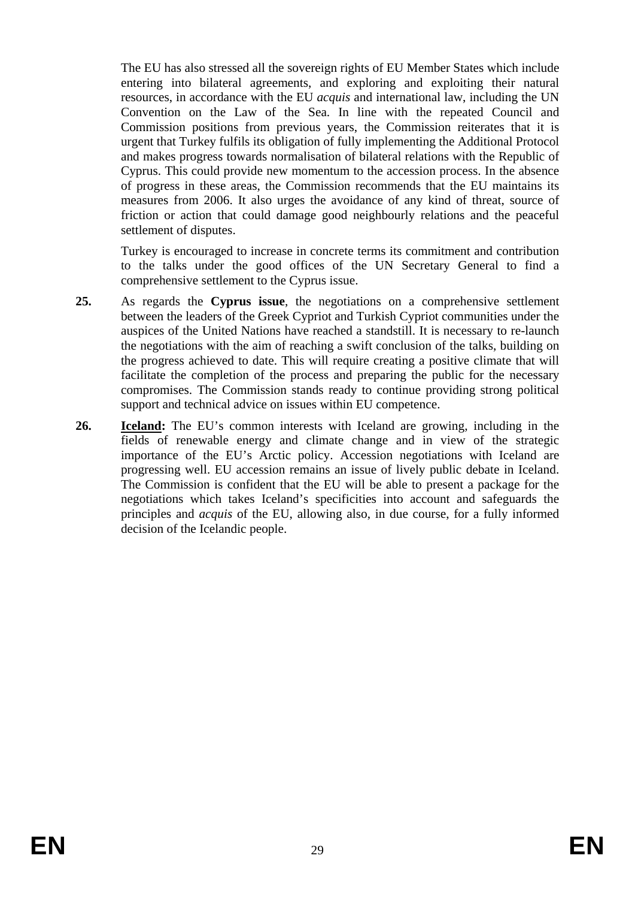The EU has also stressed all the sovereign rights of EU Member States which include entering into bilateral agreements, and exploring and exploiting their natural resources, in accordance with the EU *acquis* and international law, including the UN Convention on the Law of the Sea. In line with the repeated Council and Commission positions from previous years, the Commission reiterates that it is urgent that Turkey fulfils its obligation of fully implementing the Additional Protocol and makes progress towards normalisation of bilateral relations with the Republic of Cyprus. This could provide new momentum to the accession process. In the absence of progress in these areas, the Commission recommends that the EU maintains its measures from 2006. It also urges the avoidance of any kind of threat, source of friction or action that could damage good neighbourly relations and the peaceful settlement of disputes.

Turkey is encouraged to increase in concrete terms its commitment and contribution to the talks under the good offices of the UN Secretary General to find a comprehensive settlement to the Cyprus issue.

- **25.** As regards the **Cyprus issue**, the negotiations on a comprehensive settlement between the leaders of the Greek Cypriot and Turkish Cypriot communities under the auspices of the United Nations have reached a standstill. It is necessary to re-launch the negotiations with the aim of reaching a swift conclusion of the talks, building on the progress achieved to date. This will require creating a positive climate that will facilitate the completion of the process and preparing the public for the necessary compromises. The Commission stands ready to continue providing strong political support and technical advice on issues within EU competence.
- **26. Iceland:** The EU's common interests with Iceland are growing, including in the fields of renewable energy and climate change and in view of the strategic importance of the EU's Arctic policy. Accession negotiations with Iceland are progressing well. EU accession remains an issue of lively public debate in Iceland. The Commission is confident that the EU will be able to present a package for the negotiations which takes Iceland's specificities into account and safeguards the principles and *acquis* of the EU, allowing also, in due course, for a fully informed decision of the Icelandic people.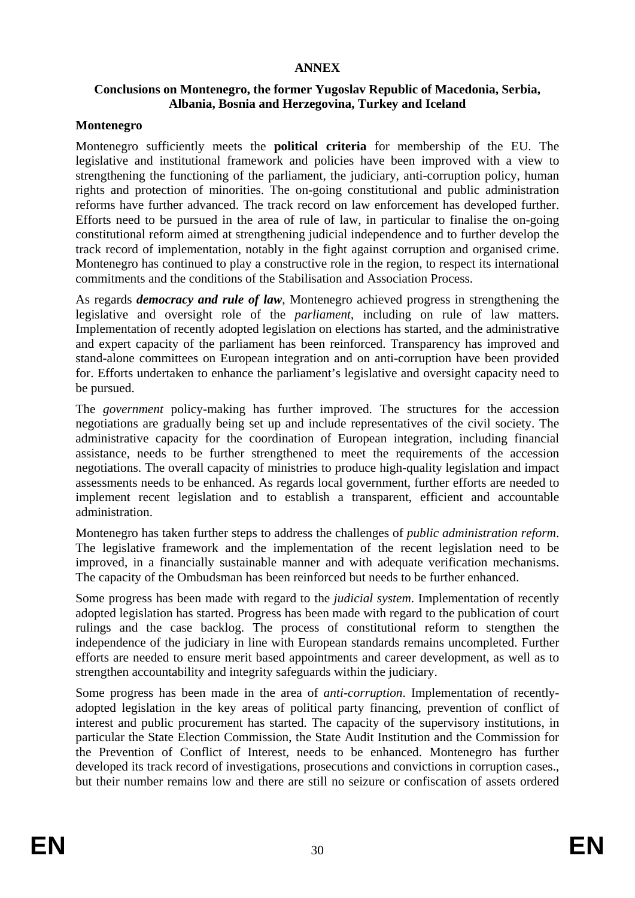#### **ANNEX**

#### **Conclusions on Montenegro, the former Yugoslav Republic of Macedonia, Serbia, Albania, Bosnia and Herzegovina, Turkey and Iceland**

#### **Montenegro**

Montenegro sufficiently meets the **political criteria** for membership of the EU. The legislative and institutional framework and policies have been improved with a view to strengthening the functioning of the parliament, the judiciary, anti-corruption policy, human rights and protection of minorities. The on-going constitutional and public administration reforms have further advanced. The track record on law enforcement has developed further. Efforts need to be pursued in the area of rule of law, in particular to finalise the on-going constitutional reform aimed at strengthening judicial independence and to further develop the track record of implementation, notably in the fight against corruption and organised crime. Montenegro has continued to play a constructive role in the region, to respect its international commitments and the conditions of the Stabilisation and Association Process.

As regards *democracy and rule of law*, Montenegro achieved progress in strengthening the legislative and oversight role of the *parliament*, including on rule of law matters. Implementation of recently adopted legislation on elections has started, and the administrative and expert capacity of the parliament has been reinforced. Transparency has improved and stand-alone committees on European integration and on anti-corruption have been provided for. Efforts undertaken to enhance the parliament's legislative and oversight capacity need to be pursued.

The *government* policy-making has further improved. The structures for the accession negotiations are gradually being set up and include representatives of the civil society. The administrative capacity for the coordination of European integration, including financial assistance, needs to be further strengthened to meet the requirements of the accession negotiations. The overall capacity of ministries to produce high-quality legislation and impact assessments needs to be enhanced. As regards local government, further efforts are needed to implement recent legislation and to establish a transparent, efficient and accountable administration.

Montenegro has taken further steps to address the challenges of *public administration reform*. The legislative framework and the implementation of the recent legislation need to be improved, in a financially sustainable manner and with adequate verification mechanisms. The capacity of the Ombudsman has been reinforced but needs to be further enhanced.

Some progress has been made with regard to the *judicial system*. Implementation of recently adopted legislation has started. Progress has been made with regard to the publication of court rulings and the case backlog. The process of constitutional reform to stengthen the independence of the judiciary in line with European standards remains uncompleted. Further efforts are needed to ensure merit based appointments and career development, as well as to strengthen accountability and integrity safeguards within the judiciary.

Some progress has been made in the area of *anti-corruption*. Implementation of recentlyadopted legislation in the key areas of political party financing, prevention of conflict of interest and public procurement has started. The capacity of the supervisory institutions, in particular the State Election Commission, the State Audit Institution and the Commission for the Prevention of Conflict of Interest, needs to be enhanced. Montenegro has further developed its track record of investigations, prosecutions and convictions in corruption cases., but their number remains low and there are still no seizure or confiscation of assets ordered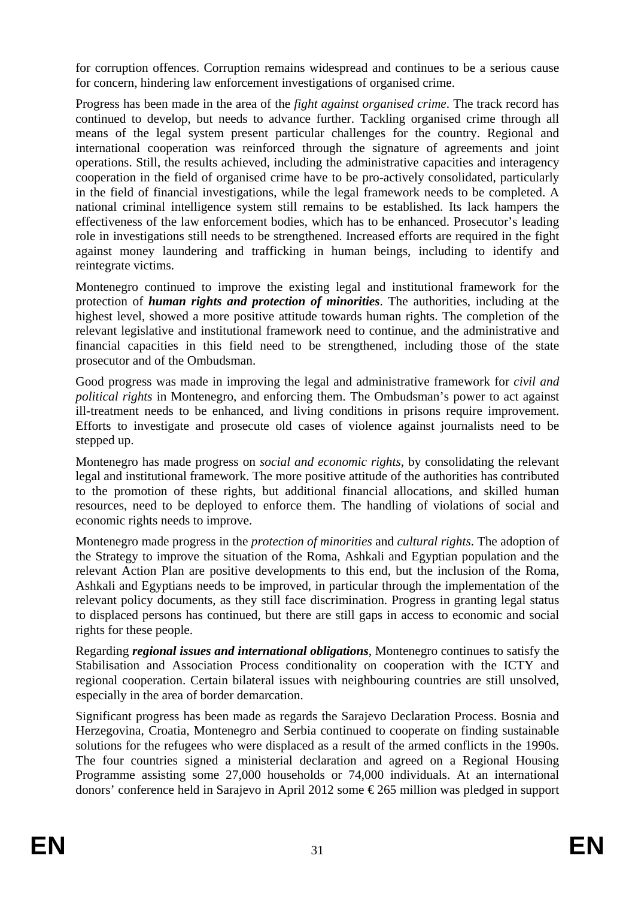for corruption offences. Corruption remains widespread and continues to be a serious cause for concern, hindering law enforcement investigations of organised crime.

Progress has been made in the area of the *fight against organised crime*. The track record has continued to develop, but needs to advance further. Tackling organised crime through all means of the legal system present particular challenges for the country. Regional and international cooperation was reinforced through the signature of agreements and joint operations. Still, the results achieved, including the administrative capacities and interagency cooperation in the field of organised crime have to be pro-actively consolidated, particularly in the field of financial investigations, while the legal framework needs to be completed. A national criminal intelligence system still remains to be established. Its lack hampers the effectiveness of the law enforcement bodies, which has to be enhanced. Prosecutor's leading role in investigations still needs to be strengthened. Increased efforts are required in the fight against money laundering and trafficking in human beings, including to identify and reintegrate victims.

Montenegro continued to improve the existing legal and institutional framework for the protection of *human rights and protection of minorities*. The authorities, including at the highest level, showed a more positive attitude towards human rights. The completion of the relevant legislative and institutional framework need to continue, and the administrative and financial capacities in this field need to be strengthened, including those of the state prosecutor and of the Ombudsman.

Good progress was made in improving the legal and administrative framework for *civil and political rights* in Montenegro, and enforcing them. The Ombudsman's power to act against ill-treatment needs to be enhanced, and living conditions in prisons require improvement. Efforts to investigate and prosecute old cases of violence against journalists need to be stepped up.

Montenegro has made progress on *social and economic rights*, by consolidating the relevant legal and institutional framework. The more positive attitude of the authorities has contributed to the promotion of these rights, but additional financial allocations, and skilled human resources, need to be deployed to enforce them. The handling of violations of social and economic rights needs to improve.

Montenegro made progress in the *protection of minorities* and *cultural rights*. The adoption of the Strategy to improve the situation of the Roma, Ashkali and Egyptian population and the relevant Action Plan are positive developments to this end, but the inclusion of the Roma, Ashkali and Egyptians needs to be improved, in particular through the implementation of the relevant policy documents, as they still face discrimination. Progress in granting legal status to displaced persons has continued, but there are still gaps in access to economic and social rights for these people.

Regarding *regional issues and international obligations*, Montenegro continues to satisfy the Stabilisation and Association Process conditionality on cooperation with the ICTY and regional cooperation. Certain bilateral issues with neighbouring countries are still unsolved, especially in the area of border demarcation.

Significant progress has been made as regards the Sarajevo Declaration Process. Bosnia and Herzegovina, Croatia, Montenegro and Serbia continued to cooperate on finding sustainable solutions for the refugees who were displaced as a result of the armed conflicts in the 1990s. The four countries signed a ministerial declaration and agreed on a Regional Housing Programme assisting some 27,000 households or 74,000 individuals. At an international donors' conference held in Sarajevo in April 2012 some € 265 million was pledged in support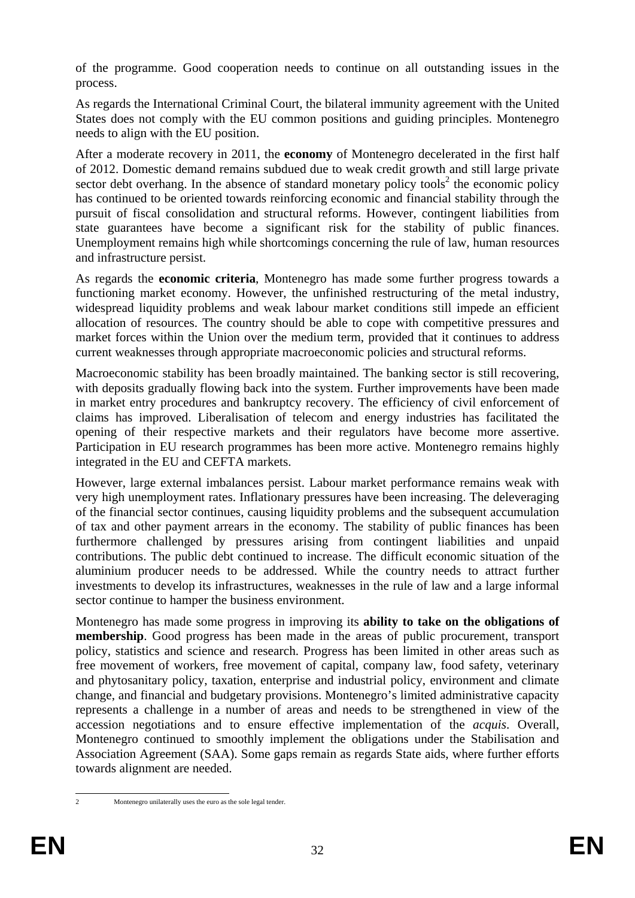of the programme. Good cooperation needs to continue on all outstanding issues in the process.

As regards the International Criminal Court, the bilateral immunity agreement with the United States does not comply with the EU common positions and guiding principles. Montenegro needs to align with the EU position.

After a moderate recovery in 2011, the **economy** of Montenegro decelerated in the first half of 2012. Domestic demand remains subdued due to weak credit growth and still large private sector debt overhang. In the absence of standard monetary policy tools<sup>2</sup> the economic policy has continued to be oriented towards reinforcing economic and financial stability through the pursuit of fiscal consolidation and structural reforms. However, contingent liabilities from state guarantees have become a significant risk for the stability of public finances. Unemployment remains high while shortcomings concerning the rule of law, human resources and infrastructure persist.

As regards the **economic criteria**, Montenegro has made some further progress towards a functioning market economy. However, the unfinished restructuring of the metal industry, widespread liquidity problems and weak labour market conditions still impede an efficient allocation of resources. The country should be able to cope with competitive pressures and market forces within the Union over the medium term, provided that it continues to address current weaknesses through appropriate macroeconomic policies and structural reforms.

Macroeconomic stability has been broadly maintained. The banking sector is still recovering, with deposits gradually flowing back into the system. Further improvements have been made in market entry procedures and bankruptcy recovery. The efficiency of civil enforcement of claims has improved. Liberalisation of telecom and energy industries has facilitated the opening of their respective markets and their regulators have become more assertive. Participation in EU research programmes has been more active. Montenegro remains highly integrated in the EU and CEFTA markets.

However, large external imbalances persist. Labour market performance remains weak with very high unemployment rates. Inflationary pressures have been increasing. The deleveraging of the financial sector continues, causing liquidity problems and the subsequent accumulation of tax and other payment arrears in the economy. The stability of public finances has been furthermore challenged by pressures arising from contingent liabilities and unpaid contributions. The public debt continued to increase. The difficult economic situation of the aluminium producer needs to be addressed. While the country needs to attract further investments to develop its infrastructures, weaknesses in the rule of law and a large informal sector continue to hamper the business environment.

Montenegro has made some progress in improving its **ability to take on the obligations of membership**. Good progress has been made in the areas of public procurement, transport policy, statistics and science and research. Progress has been limited in other areas such as free movement of workers, free movement of capital, company law, food safety, veterinary and phytosanitary policy, taxation, enterprise and industrial policy, environment and climate change, and financial and budgetary provisions. Montenegro's limited administrative capacity represents a challenge in a number of areas and needs to be strengthened in view of the accession negotiations and to ensure effective implementation of the *acquis*. Overall, Montenegro continued to smoothly implement the obligations under the Stabilisation and Association Agreement (SAA). Some gaps remain as regards State aids, where further efforts towards alignment are needed.

 $\overline{2}$ 

<sup>2</sup> Montenegro unilaterally uses the euro as the sole legal tender.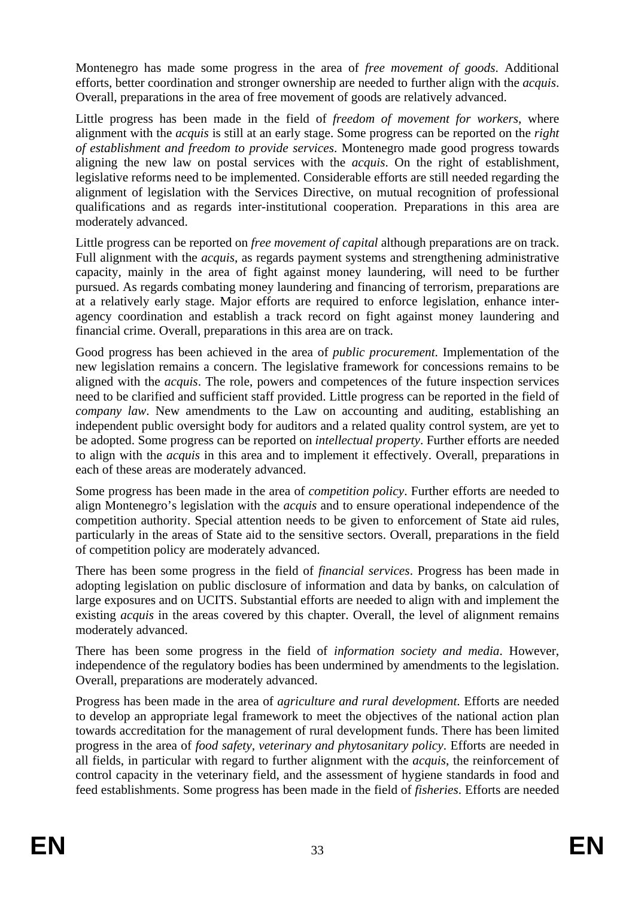Montenegro has made some progress in the area of *free movement of goods*. Additional efforts, better coordination and stronger ownership are needed to further align with the *acquis*. Overall, preparations in the area of free movement of goods are relatively advanced.

Little progress has been made in the field of *freedom of movement for workers*, where alignment with the *acquis* is still at an early stage. Some progress can be reported on the *right of establishment and freedom to provide services*. Montenegro made good progress towards aligning the new law on postal services with the *acquis*. On the right of establishment, legislative reforms need to be implemented. Considerable efforts are still needed regarding the alignment of legislation with the Services Directive, on mutual recognition of professional qualifications and as regards inter-institutional cooperation. Preparations in this area are moderately advanced.

Little progress can be reported on *free movement of capital* although preparations are on track. Full alignment with the *acquis*, as regards payment systems and strengthening administrative capacity, mainly in the area of fight against money laundering, will need to be further pursued. As regards combating money laundering and financing of terrorism, preparations are at a relatively early stage. Major efforts are required to enforce legislation, enhance interagency coordination and establish a track record on fight against money laundering and financial crime. Overall, preparations in this area are on track.

Good progress has been achieved in the area of *public procurement*. Implementation of the new legislation remains a concern. The legislative framework for concessions remains to be aligned with the *acquis*. The role, powers and competences of the future inspection services need to be clarified and sufficient staff provided. Little progress can be reported in the field of *company law*. New amendments to the Law on accounting and auditing, establishing an independent public oversight body for auditors and a related quality control system, are yet to be adopted. Some progress can be reported on *intellectual property*. Further efforts are needed to align with the *acquis* in this area and to implement it effectively. Overall, preparations in each of these areas are moderately advanced.

Some progress has been made in the area of *competition policy*. Further efforts are needed to align Montenegro's legislation with the *acquis* and to ensure operational independence of the competition authority. Special attention needs to be given to enforcement of State aid rules, particularly in the areas of State aid to the sensitive sectors. Overall, preparations in the field of competition policy are moderately advanced.

There has been some progress in the field of *financial services*. Progress has been made in adopting legislation on public disclosure of information and data by banks, on calculation of large exposures and on UCITS. Substantial efforts are needed to align with and implement the existing *acquis* in the areas covered by this chapter. Overall, the level of alignment remains moderately advanced.

There has been some progress in the field of *information society and media*. However, independence of the regulatory bodies has been undermined by amendments to the legislation. Overall, preparations are moderately advanced.

Progress has been made in the area of *agriculture and rural development*. Efforts are needed to develop an appropriate legal framework to meet the objectives of the national action plan towards accreditation for the management of rural development funds. There has been limited progress in the area of *food safety, veterinary and phytosanitary policy*. Efforts are needed in all fields, in particular with regard to further alignment with the *acquis*, the reinforcement of control capacity in the veterinary field, and the assessment of hygiene standards in food and feed establishments. Some progress has been made in the field of *fisheries*. Efforts are needed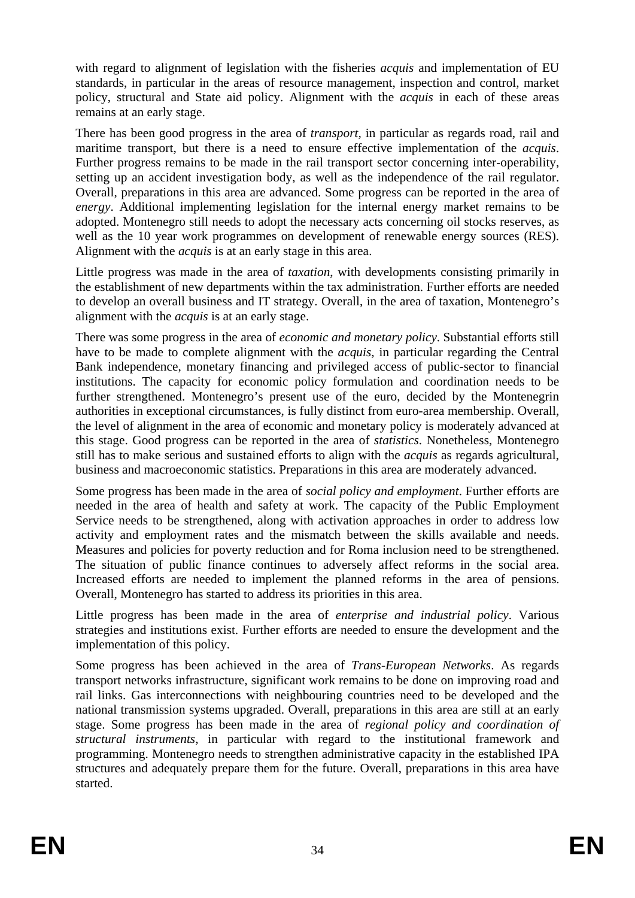with regard to alignment of legislation with the fisheries *acquis* and implementation of EU standards, in particular in the areas of resource management, inspection and control, market policy, structural and State aid policy. Alignment with the *acquis* in each of these areas remains at an early stage.

There has been good progress in the area of *transport*, in particular as regards road, rail and maritime transport, but there is a need to ensure effective implementation of the *acquis*. Further progress remains to be made in the rail transport sector concerning inter-operability, setting up an accident investigation body, as well as the independence of the rail regulator. Overall, preparations in this area are advanced. Some progress can be reported in the area of *energy*. Additional implementing legislation for the internal energy market remains to be adopted. Montenegro still needs to adopt the necessary acts concerning oil stocks reserves, as well as the 10 year work programmes on development of renewable energy sources (RES). Alignment with the *acquis* is at an early stage in this area.

Little progress was made in the area of *taxation*, with developments consisting primarily in the establishment of new departments within the tax administration. Further efforts are needed to develop an overall business and IT strategy. Overall, in the area of taxation, Montenegro's alignment with the *acquis* is at an early stage.

There was some progress in the area of *economic and monetary policy*. Substantial efforts still have to be made to complete alignment with the *acquis*, in particular regarding the Central Bank independence, monetary financing and privileged access of public-sector to financial institutions. The capacity for economic policy formulation and coordination needs to be further strengthened. Montenegro's present use of the euro, decided by the Montenegrin authorities in exceptional circumstances, is fully distinct from euro-area membership. Overall, the level of alignment in the area of economic and monetary policy is moderately advanced at this stage. Good progress can be reported in the area of *statistics*. Nonetheless, Montenegro still has to make serious and sustained efforts to align with the *acquis* as regards agricultural, business and macroeconomic statistics. Preparations in this area are moderately advanced.

Some progress has been made in the area of *social policy and employment*. Further efforts are needed in the area of health and safety at work. The capacity of the Public Employment Service needs to be strengthened, along with activation approaches in order to address low activity and employment rates and the mismatch between the skills available and needs. Measures and policies for poverty reduction and for Roma inclusion need to be strengthened. The situation of public finance continues to adversely affect reforms in the social area. Increased efforts are needed to implement the planned reforms in the area of pensions. Overall, Montenegro has started to address its priorities in this area.

Little progress has been made in the area of *enterprise and industrial policy*. Various strategies and institutions exist. Further efforts are needed to ensure the development and the implementation of this policy.

Some progress has been achieved in the area of *Trans-European Networks*. As regards transport networks infrastructure, significant work remains to be done on improving road and rail links. Gas interconnections with neighbouring countries need to be developed and the national transmission systems upgraded. Overall, preparations in this area are still at an early stage. Some progress has been made in the area of *regional policy and coordination of structural instruments*, in particular with regard to the institutional framework and programming. Montenegro needs to strengthen administrative capacity in the established IPA structures and adequately prepare them for the future. Overall, preparations in this area have started.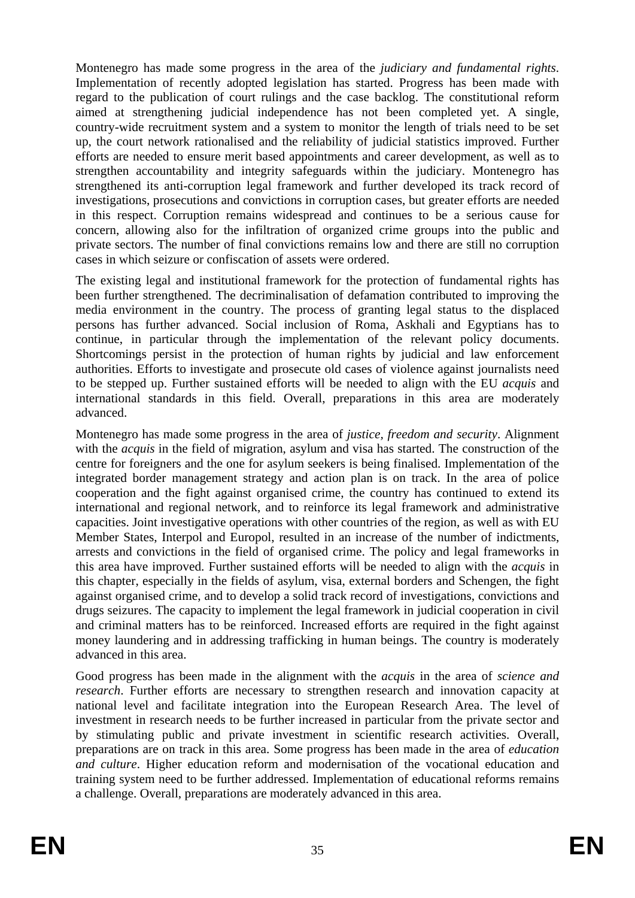Montenegro has made some progress in the area of the *judiciary and fundamental rights*. Implementation of recently adopted legislation has started. Progress has been made with regard to the publication of court rulings and the case backlog. The constitutional reform aimed at strengthening judicial independence has not been completed yet. A single, country-wide recruitment system and a system to monitor the length of trials need to be set up, the court network rationalised and the reliability of judicial statistics improved. Further efforts are needed to ensure merit based appointments and career development, as well as to strengthen accountability and integrity safeguards within the judiciary. Montenegro has strengthened its anti-corruption legal framework and further developed its track record of investigations, prosecutions and convictions in corruption cases, but greater efforts are needed in this respect. Corruption remains widespread and continues to be a serious cause for concern, allowing also for the infiltration of organized crime groups into the public and private sectors. The number of final convictions remains low and there are still no corruption cases in which seizure or confiscation of assets were ordered.

The existing legal and institutional framework for the protection of fundamental rights has been further strengthened. The decriminalisation of defamation contributed to improving the media environment in the country. The process of granting legal status to the displaced persons has further advanced. Social inclusion of Roma, Askhali and Egyptians has to continue, in particular through the implementation of the relevant policy documents. Shortcomings persist in the protection of human rights by judicial and law enforcement authorities. Efforts to investigate and prosecute old cases of violence against journalists need to be stepped up. Further sustained efforts will be needed to align with the EU *acquis* and international standards in this field. Overall, preparations in this area are moderately advanced.

Montenegro has made some progress in the area of *justice, freedom and security*. Alignment with the *acquis* in the field of migration, asylum and visa has started. The construction of the centre for foreigners and the one for asylum seekers is being finalised. Implementation of the integrated border management strategy and action plan is on track. In the area of police cooperation and the fight against organised crime, the country has continued to extend its international and regional network, and to reinforce its legal framework and administrative capacities. Joint investigative operations with other countries of the region, as well as with EU Member States, Interpol and Europol, resulted in an increase of the number of indictments, arrests and convictions in the field of organised crime. The policy and legal frameworks in this area have improved. Further sustained efforts will be needed to align with the *acquis* in this chapter, especially in the fields of asylum, visa, external borders and Schengen, the fight against organised crime, and to develop a solid track record of investigations, convictions and drugs seizures. The capacity to implement the legal framework in judicial cooperation in civil and criminal matters has to be reinforced. Increased efforts are required in the fight against money laundering and in addressing trafficking in human beings. The country is moderately advanced in this area.

Good progress has been made in the alignment with the *acquis* in the area of *science and research*. Further efforts are necessary to strengthen research and innovation capacity at national level and facilitate integration into the European Research Area. The level of investment in research needs to be further increased in particular from the private sector and by stimulating public and private investment in scientific research activities. Overall, preparations are on track in this area. Some progress has been made in the area of *education and culture*. Higher education reform and modernisation of the vocational education and training system need to be further addressed. Implementation of educational reforms remains a challenge. Overall, preparations are moderately advanced in this area.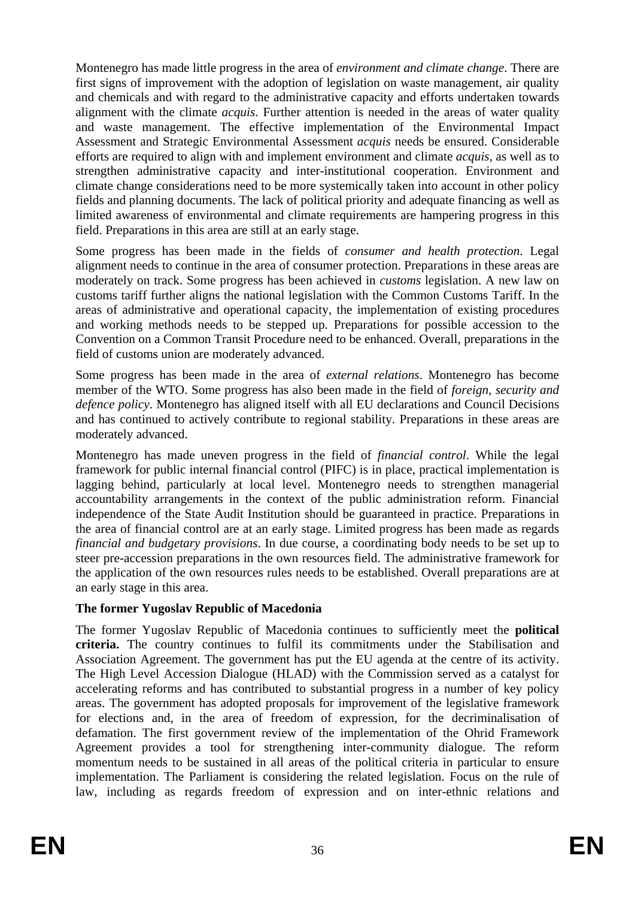Montenegro has made little progress in the area of *environment and climate change*. There are first signs of improvement with the adoption of legislation on waste management, air quality and chemicals and with regard to the administrative capacity and efforts undertaken towards alignment with the climate *acquis*. Further attention is needed in the areas of water quality and waste management. The effective implementation of the Environmental Impact Assessment and Strategic Environmental Assessment *acquis* needs be ensured. Considerable efforts are required to align with and implement environment and climate *acquis*, as well as to strengthen administrative capacity and inter-institutional cooperation. Environment and climate change considerations need to be more systemically taken into account in other policy fields and planning documents. The lack of political priority and adequate financing as well as limited awareness of environmental and climate requirements are hampering progress in this field. Preparations in this area are still at an early stage.

Some progress has been made in the fields of *consumer and health protection*. Legal alignment needs to continue in the area of consumer protection. Preparations in these areas are moderately on track. Some progress has been achieved in *customs* legislation. A new law on customs tariff further aligns the national legislation with the Common Customs Tariff. In the areas of administrative and operational capacity, the implementation of existing procedures and working methods needs to be stepped up. Preparations for possible accession to the Convention on a Common Transit Procedure need to be enhanced. Overall, preparations in the field of customs union are moderately advanced.

Some progress has been made in the area of *external relations*. Montenegro has become member of the WTO. Some progress has also been made in the field of *foreign, security and defence policy*. Montenegro has aligned itself with all EU declarations and Council Decisions and has continued to actively contribute to regional stability. Preparations in these areas are moderately advanced.

Montenegro has made uneven progress in the field of *financial control*. While the legal framework for public internal financial control (PIFC) is in place, practical implementation is lagging behind, particularly at local level. Montenegro needs to strengthen managerial accountability arrangements in the context of the public administration reform. Financial independence of the State Audit Institution should be guaranteed in practice. Preparations in the area of financial control are at an early stage. Limited progress has been made as regards *financial and budgetary provisions*. In due course, a coordinating body needs to be set up to steer pre-accession preparations in the own resources field. The administrative framework for the application of the own resources rules needs to be established. Overall preparations are at an early stage in this area.

## **The former Yugoslav Republic of Macedonia**

The former Yugoslav Republic of Macedonia continues to sufficiently meet the **political criteria.** The country continues to fulfil its commitments under the Stabilisation and Association Agreement. The government has put the EU agenda at the centre of its activity. The High Level Accession Dialogue (HLAD) with the Commission served as a catalyst for accelerating reforms and has contributed to substantial progress in a number of key policy areas. The government has adopted proposals for improvement of the legislative framework for elections and, in the area of freedom of expression, for the decriminalisation of defamation. The first government review of the implementation of the Ohrid Framework Agreement provides a tool for strengthening inter-community dialogue. The reform momentum needs to be sustained in all areas of the political criteria in particular to ensure implementation. The Parliament is considering the related legislation. Focus on the rule of law, including as regards freedom of expression and on inter-ethnic relations and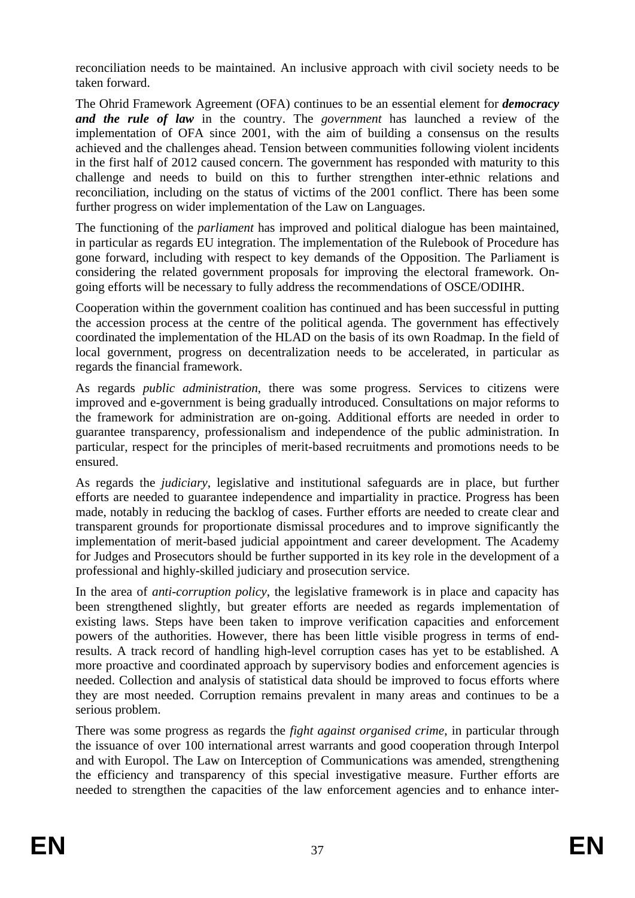reconciliation needs to be maintained. An inclusive approach with civil society needs to be taken forward.

The Ohrid Framework Agreement (OFA) continues to be an essential element for *democracy and the rule of law* in the country. The *government* has launched a review of the implementation of OFA since 2001, with the aim of building a consensus on the results achieved and the challenges ahead. Tension between communities following violent incidents in the first half of 2012 caused concern. The government has responded with maturity to this challenge and needs to build on this to further strengthen inter-ethnic relations and reconciliation, including on the status of victims of the 2001 conflict. There has been some further progress on wider implementation of the Law on Languages.

The functioning of the *parliament* has improved and political dialogue has been maintained, in particular as regards EU integration. The implementation of the Rulebook of Procedure has gone forward, including with respect to key demands of the Opposition. The Parliament is considering the related government proposals for improving the electoral framework. Ongoing efforts will be necessary to fully address the recommendations of OSCE/ODIHR.

Cooperation within the government coalition has continued and has been successful in putting the accession process at the centre of the political agenda. The government has effectively coordinated the implementation of the HLAD on the basis of its own Roadmap. In the field of local government, progress on decentralization needs to be accelerated, in particular as regards the financial framework.

As regards *public administration*, there was some progress. Services to citizens were improved and e-government is being gradually introduced. Consultations on major reforms to the framework for administration are on-going. Additional efforts are needed in order to guarantee transparency, professionalism and independence of the public administration. In particular, respect for the principles of merit-based recruitments and promotions needs to be ensured.

As regards the *judiciary*, legislative and institutional safeguards are in place, but further efforts are needed to guarantee independence and impartiality in practice. Progress has been made, notably in reducing the backlog of cases. Further efforts are needed to create clear and transparent grounds for proportionate dismissal procedures and to improve significantly the implementation of merit-based judicial appointment and career development. The Academy for Judges and Prosecutors should be further supported in its key role in the development of a professional and highly-skilled judiciary and prosecution service.

In the area of *anti-corruption policy*, the legislative framework is in place and capacity has been strengthened slightly, but greater efforts are needed as regards implementation of existing laws. Steps have been taken to improve verification capacities and enforcement powers of the authorities. However, there has been little visible progress in terms of endresults. A track record of handling high-level corruption cases has yet to be established. A more proactive and coordinated approach by supervisory bodies and enforcement agencies is needed. Collection and analysis of statistical data should be improved to focus efforts where they are most needed. Corruption remains prevalent in many areas and continues to be a serious problem.

There was some progress as regards the *fight against organised crime*, in particular through the issuance of over 100 international arrest warrants and good cooperation through Interpol and with Europol. The Law on Interception of Communications was amended, strengthening the efficiency and transparency of this special investigative measure. Further efforts are needed to strengthen the capacities of the law enforcement agencies and to enhance inter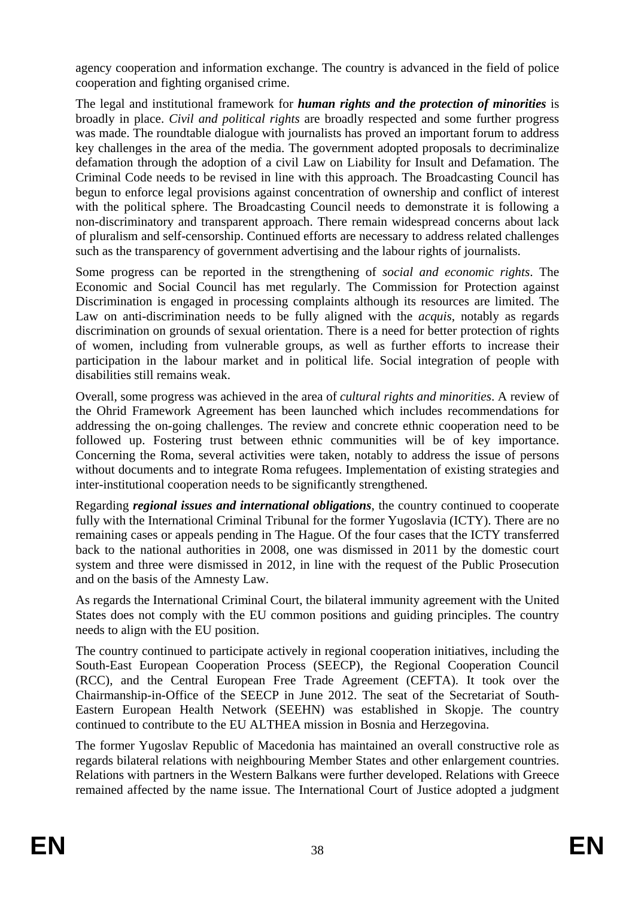agency cooperation and information exchange. The country is advanced in the field of police cooperation and fighting organised crime.

The legal and institutional framework for *human rights and the protection of minorities* is broadly in place. *Civil and political rights* are broadly respected and some further progress was made. The roundtable dialogue with journalists has proved an important forum to address key challenges in the area of the media. The government adopted proposals to decriminalize defamation through the adoption of a civil Law on Liability for Insult and Defamation. The Criminal Code needs to be revised in line with this approach. The Broadcasting Council has begun to enforce legal provisions against concentration of ownership and conflict of interest with the political sphere. The Broadcasting Council needs to demonstrate it is following a non-discriminatory and transparent approach. There remain widespread concerns about lack of pluralism and self-censorship. Continued efforts are necessary to address related challenges such as the transparency of government advertising and the labour rights of journalists.

Some progress can be reported in the strengthening of *social and economic rights*. The Economic and Social Council has met regularly. The Commission for Protection against Discrimination is engaged in processing complaints although its resources are limited. The Law on anti-discrimination needs to be fully aligned with the *acquis*, notably as regards discrimination on grounds of sexual orientation. There is a need for better protection of rights of women, including from vulnerable groups, as well as further efforts to increase their participation in the labour market and in political life. Social integration of people with disabilities still remains weak.

Overall, some progress was achieved in the area of *cultural rights and minorities*. A review of the Ohrid Framework Agreement has been launched which includes recommendations for addressing the on-going challenges. The review and concrete ethnic cooperation need to be followed up. Fostering trust between ethnic communities will be of key importance. Concerning the Roma, several activities were taken, notably to address the issue of persons without documents and to integrate Roma refugees. Implementation of existing strategies and inter-institutional cooperation needs to be significantly strengthened.

Regarding *regional issues and international obligations*, the country continued to cooperate fully with the International Criminal Tribunal for the former Yugoslavia (ICTY). There are no remaining cases or appeals pending in The Hague. Of the four cases that the ICTY transferred back to the national authorities in 2008, one was dismissed in 2011 by the domestic court system and three were dismissed in 2012, in line with the request of the Public Prosecution and on the basis of the Amnesty Law.

As regards the International Criminal Court, the bilateral immunity agreement with the United States does not comply with the EU common positions and guiding principles. The country needs to align with the EU position.

The country continued to participate actively in regional cooperation initiatives, including the South-East European Cooperation Process (SEECP), the Regional Cooperation Council (RCC), and the Central European Free Trade Agreement (CEFTA). It took over the Chairmanship-in-Office of the SEECP in June 2012. The seat of the Secretariat of South-Eastern European Health Network (SEEHN) was established in Skopje. The country continued to contribute to the EU ALTHEA mission in Bosnia and Herzegovina.

The former Yugoslav Republic of Macedonia has maintained an overall constructive role as regards bilateral relations with neighbouring Member States and other enlargement countries. Relations with partners in the Western Balkans were further developed. Relations with Greece remained affected by the name issue. The International Court of Justice adopted a judgment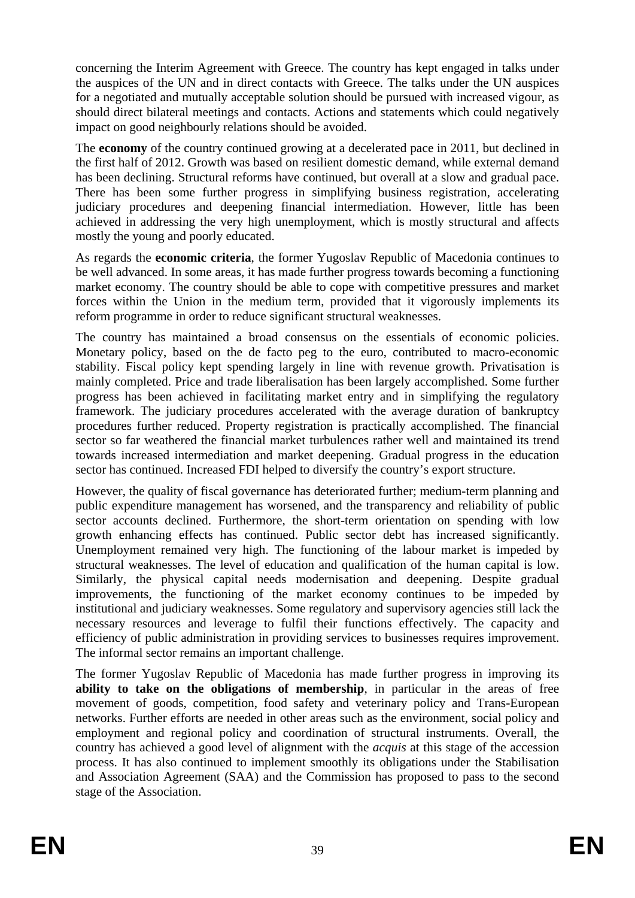concerning the Interim Agreement with Greece. The country has kept engaged in talks under the auspices of the UN and in direct contacts with Greece. The talks under the UN auspices for a negotiated and mutually acceptable solution should be pursued with increased vigour, as should direct bilateral meetings and contacts. Actions and statements which could negatively impact on good neighbourly relations should be avoided.

The **economy** of the country continued growing at a decelerated pace in 2011, but declined in the first half of 2012. Growth was based on resilient domestic demand, while external demand has been declining. Structural reforms have continued, but overall at a slow and gradual pace. There has been some further progress in simplifying business registration, accelerating judiciary procedures and deepening financial intermediation. However, little has been achieved in addressing the very high unemployment, which is mostly structural and affects mostly the young and poorly educated.

As regards the **economic criteria**, the former Yugoslav Republic of Macedonia continues to be well advanced. In some areas, it has made further progress towards becoming a functioning market economy. The country should be able to cope with competitive pressures and market forces within the Union in the medium term, provided that it vigorously implements its reform programme in order to reduce significant structural weaknesses.

The country has maintained a broad consensus on the essentials of economic policies. Monetary policy, based on the de facto peg to the euro, contributed to macro-economic stability. Fiscal policy kept spending largely in line with revenue growth. Privatisation is mainly completed. Price and trade liberalisation has been largely accomplished. Some further progress has been achieved in facilitating market entry and in simplifying the regulatory framework. The judiciary procedures accelerated with the average duration of bankruptcy procedures further reduced. Property registration is practically accomplished. The financial sector so far weathered the financial market turbulences rather well and maintained its trend towards increased intermediation and market deepening. Gradual progress in the education sector has continued. Increased FDI helped to diversify the country's export structure.

However, the quality of fiscal governance has deteriorated further; medium-term planning and public expenditure management has worsened, and the transparency and reliability of public sector accounts declined. Furthermore, the short-term orientation on spending with low growth enhancing effects has continued. Public sector debt has increased significantly. Unemployment remained very high. The functioning of the labour market is impeded by structural weaknesses. The level of education and qualification of the human capital is low. Similarly, the physical capital needs modernisation and deepening. Despite gradual improvements, the functioning of the market economy continues to be impeded by institutional and judiciary weaknesses. Some regulatory and supervisory agencies still lack the necessary resources and leverage to fulfil their functions effectively. The capacity and efficiency of public administration in providing services to businesses requires improvement. The informal sector remains an important challenge.

The former Yugoslav Republic of Macedonia has made further progress in improving its **ability to take on the obligations of membership**, in particular in the areas of free movement of goods, competition, food safety and veterinary policy and Trans-European networks. Further efforts are needed in other areas such as the environment, social policy and employment and regional policy and coordination of structural instruments. Overall, the country has achieved a good level of alignment with the *acquis* at this stage of the accession process. It has also continued to implement smoothly its obligations under the Stabilisation and Association Agreement (SAA) and the Commission has proposed to pass to the second stage of the Association.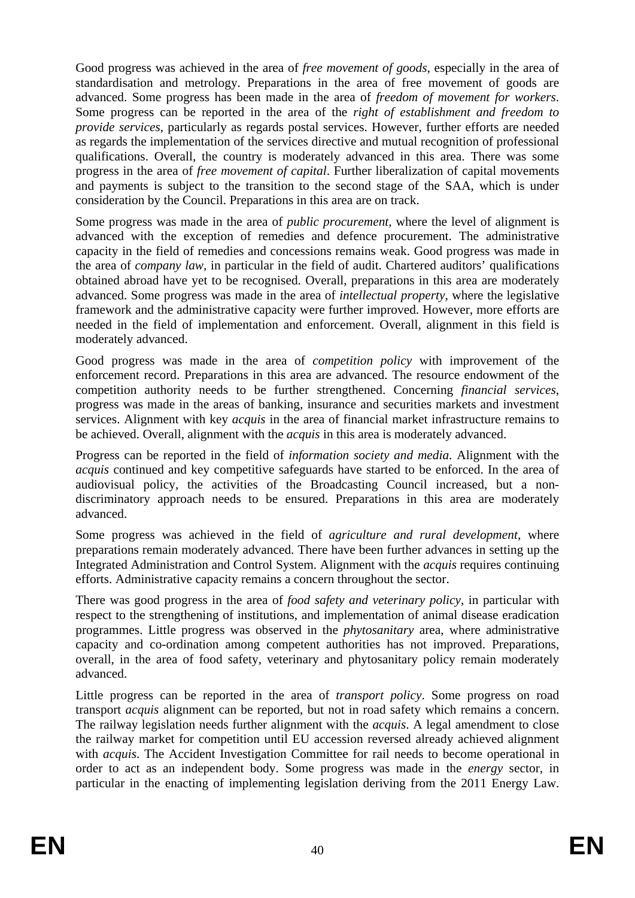Good progress was achieved in the area of *free movement of goods*, especially in the area of standardisation and metrology. Preparations in the area of free movement of goods are advanced. Some progress has been made in the area of *freedom of movement for workers*. Some progress can be reported in the area of the *right of establishment and freedom to provide services*, particularly as regards postal services. However, further efforts are needed as regards the implementation of the services directive and mutual recognition of professional qualifications. Overall, the country is moderately advanced in this area. There was some progress in the area of *free movement of capital*. Further liberalization of capital movements and payments is subject to the transition to the second stage of the SAA, which is under consideration by the Council. Preparations in this area are on track.

Some progress was made in the area of *public procurement,* where the level of alignment is advanced with the exception of remedies and defence procurement. The administrative capacity in the field of remedies and concessions remains weak. Good progress was made in the area of *company law,* in particular in the field of audit. Chartered auditors' qualifications obtained abroad have yet to be recognised. Overall, preparations in this area are moderately advanced. Some progress was made in the area of *intellectual property*, where the legislative framework and the administrative capacity were further improved. However, more efforts are needed in the field of implementation and enforcement. Overall, alignment in this field is moderately advanced.

Good progress was made in the area of *competition policy* with improvement of the enforcement record. Preparations in this area are advanced. The resource endowment of the competition authority needs to be further strengthened. Concerning *financial services*, progress was made in the areas of banking, insurance and securities markets and investment services. Alignment with key *acquis* in the area of financial market infrastructure remains to be achieved. Overall, alignment with the *acquis* in this area is moderately advanced.

Progress can be reported in the field of *information society and media*. Alignment with the *acquis* continued and key competitive safeguards have started to be enforced. In the area of audiovisual policy, the activities of the Broadcasting Council increased, but a nondiscriminatory approach needs to be ensured. Preparations in this area are moderately advanced.

Some progress was achieved in the field of *agriculture and rural development*, where preparations remain moderately advanced. There have been further advances in setting up the Integrated Administration and Control System. Alignment with the *acquis* requires continuing efforts. Administrative capacity remains a concern throughout the sector.

There was good progress in the area of *food safety and veterinary policy*, in particular with respect to the strengthening of institutions, and implementation of animal disease eradication programmes. Little progress was observed in the *phytosanitary* area, where administrative capacity and co-ordination among competent authorities has not improved. Preparations, overall, in the area of food safety, veterinary and phytosanitary policy remain moderately advanced.

Little progress can be reported in the area of *transport policy*. Some progress on road transport *acquis* alignment can be reported, but not in road safety which remains a concern. The railway legislation needs further alignment with the *acquis*. A legal amendment to close the railway market for competition until EU accession reversed already achieved alignment with *acquis*. The Accident Investigation Committee for rail needs to become operational in order to act as an independent body. Some progress was made in the *energy* sector, in particular in the enacting of implementing legislation deriving from the 2011 Energy Law.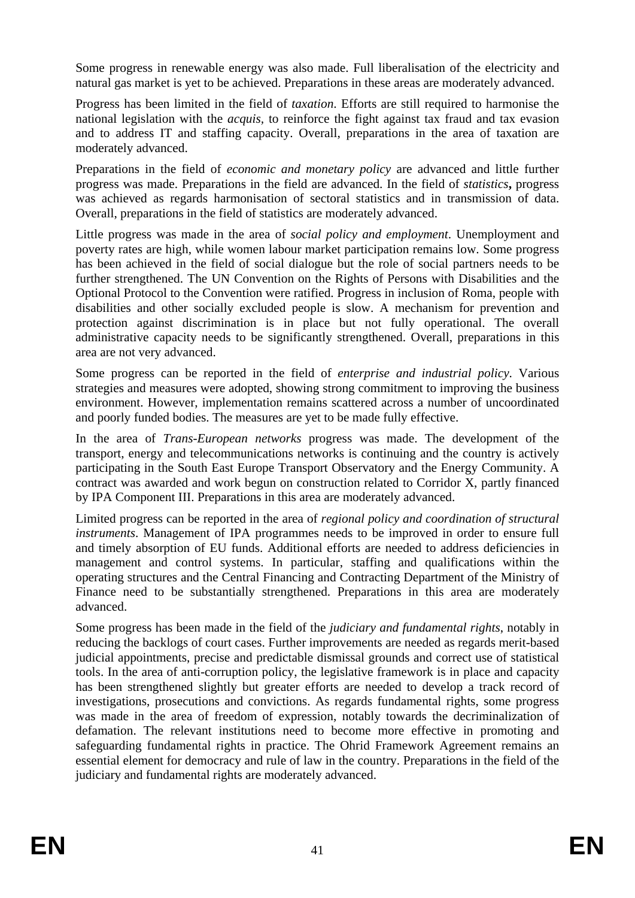Some progress in renewable energy was also made. Full liberalisation of the electricity and natural gas market is yet to be achieved. Preparations in these areas are moderately advanced.

Progress has been limited in the field of *taxation*. Efforts are still required to harmonise the national legislation with the *acquis,* to reinforce the fight against tax fraud and tax evasion and to address IT and staffing capacity. Overall, preparations in the area of taxation are moderately advanced.

Preparations in the field of *economic and monetary policy* are advanced and little further progress was made. Preparations in the field are advanced. In the field of *statistics***,** progress was achieved as regards harmonisation of sectoral statistics and in transmission of data. Overall, preparations in the field of statistics are moderately advanced.

Little progress was made in the area of *social policy and employment*. Unemployment and poverty rates are high, while women labour market participation remains low. Some progress has been achieved in the field of social dialogue but the role of social partners needs to be further strengthened. The UN Convention on the Rights of Persons with Disabilities and the Optional Protocol to the Convention were ratified. Progress in inclusion of Roma, people with disabilities and other socially excluded people is slow. A mechanism for prevention and protection against discrimination is in place but not fully operational. The overall administrative capacity needs to be significantly strengthened. Overall, preparations in this area are not very advanced.

Some progress can be reported in the field of *enterprise and industrial policy*. Various strategies and measures were adopted, showing strong commitment to improving the business environment. However, implementation remains scattered across a number of uncoordinated and poorly funded bodies. The measures are yet to be made fully effective.

In the area of *Trans-European networks* progress was made. The development of the transport, energy and telecommunications networks is continuing and the country is actively participating in the South East Europe Transport Observatory and the Energy Community. A contract was awarded and work begun on construction related to Corridor X, partly financed by IPA Component III. Preparations in this area are moderately advanced.

Limited progress can be reported in the area of *regional policy and coordination of structural instruments*. Management of IPA programmes needs to be improved in order to ensure full and timely absorption of EU funds. Additional efforts are needed to address deficiencies in management and control systems. In particular, staffing and qualifications within the operating structures and the Central Financing and Contracting Department of the Ministry of Finance need to be substantially strengthened. Preparations in this area are moderately advanced.

Some progress has been made in the field of the *judiciary and fundamental rights*, notably in reducing the backlogs of court cases. Further improvements are needed as regards merit-based judicial appointments, precise and predictable dismissal grounds and correct use of statistical tools. In the area of anti-corruption policy, the legislative framework is in place and capacity has been strengthened slightly but greater efforts are needed to develop a track record of investigations, prosecutions and convictions. As regards fundamental rights, some progress was made in the area of freedom of expression, notably towards the decriminalization of defamation. The relevant institutions need to become more effective in promoting and safeguarding fundamental rights in practice. The Ohrid Framework Agreement remains an essential element for democracy and rule of law in the country. Preparations in the field of the judiciary and fundamental rights are moderately advanced.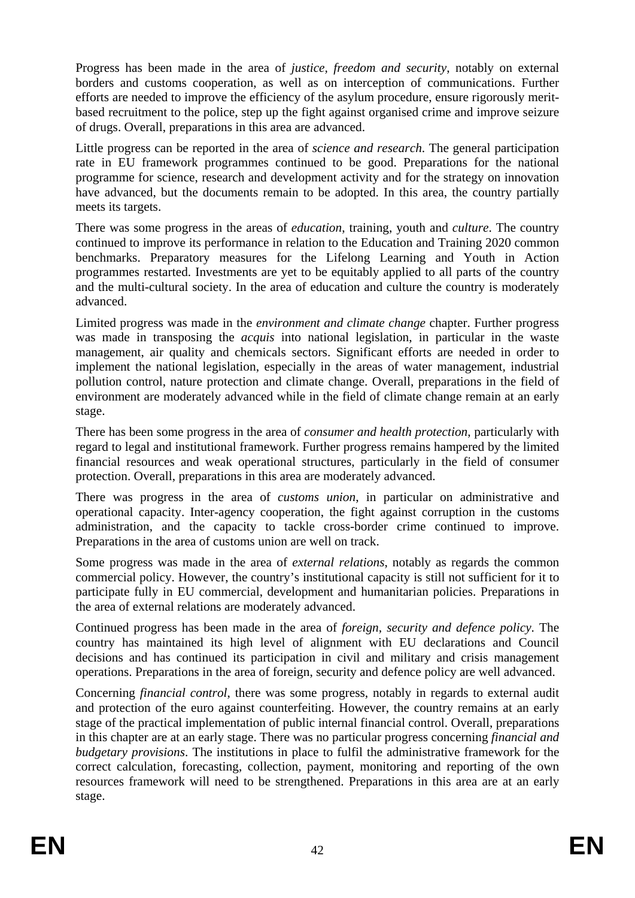Progress has been made in the area of *justice, freedom and security*, notably on external borders and customs cooperation, as well as on interception of communications. Further efforts are needed to improve the efficiency of the asylum procedure, ensure rigorously meritbased recruitment to the police, step up the fight against organised crime and improve seizure of drugs. Overall, preparations in this area are advanced.

Little progress can be reported in the area of *science and research*. The general participation rate in EU framework programmes continued to be good. Preparations for the national programme for science, research and development activity and for the strategy on innovation have advanced, but the documents remain to be adopted. In this area, the country partially meets its targets.

There was some progress in the areas of *education*, training, youth and *culture*. The country continued to improve its performance in relation to the Education and Training 2020 common benchmarks. Preparatory measures for the Lifelong Learning and Youth in Action programmes restarted. Investments are yet to be equitably applied to all parts of the country and the multi-cultural society. In the area of education and culture the country is moderately advanced.

Limited progress was made in the *environment and climate change* chapter. Further progress was made in transposing the *acquis* into national legislation, in particular in the waste management, air quality and chemicals sectors. Significant efforts are needed in order to implement the national legislation, especially in the areas of water management, industrial pollution control, nature protection and climate change. Overall, preparations in the field of environment are moderately advanced while in the field of climate change remain at an early stage.

There has been some progress in the area of *consumer and health protection*, particularly with regard to legal and institutional framework. Further progress remains hampered by the limited financial resources and weak operational structures, particularly in the field of consumer protection. Overall, preparations in this area are moderately advanced.

There was progress in the area of *customs union*, in particular on administrative and operational capacity. Inter-agency cooperation, the fight against corruption in the customs administration, and the capacity to tackle cross-border crime continued to improve. Preparations in the area of customs union are well on track.

Some progress was made in the area of *external relations*, notably as regards the common commercial policy. However, the country's institutional capacity is still not sufficient for it to participate fully in EU commercial, development and humanitarian policies. Preparations in the area of external relations are moderately advanced.

Continued progress has been made in the area of *foreign, security and defence policy*. The country has maintained its high level of alignment with EU declarations and Council decisions and has continued its participation in civil and military and crisis management operations. Preparations in the area of foreign, security and defence policy are well advanced.

Concerning *financial control*, there was some progress, notably in regards to external audit and protection of the euro against counterfeiting. However, the country remains at an early stage of the practical implementation of public internal financial control. Overall, preparations in this chapter are at an early stage. There was no particular progress concerning *financial and budgetary provisions*. The institutions in place to fulfil the administrative framework for the correct calculation, forecasting, collection, payment, monitoring and reporting of the own resources framework will need to be strengthened. Preparations in this area are at an early stage.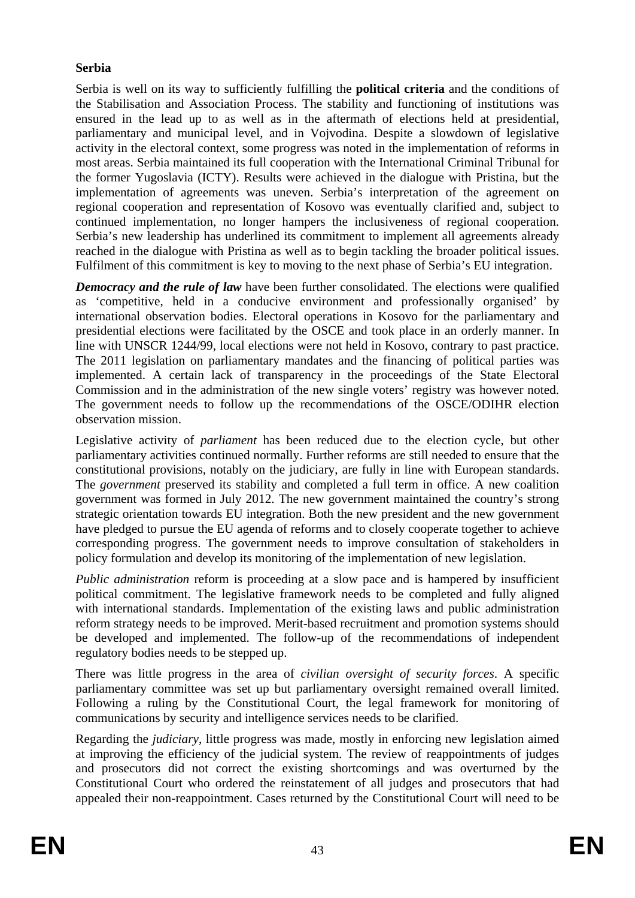## **Serbia**

Serbia is well on its way to sufficiently fulfilling the **political criteria** and the conditions of the Stabilisation and Association Process. The stability and functioning of institutions was ensured in the lead up to as well as in the aftermath of elections held at presidential, parliamentary and municipal level, and in Vojvodina. Despite a slowdown of legislative activity in the electoral context, some progress was noted in the implementation of reforms in most areas. Serbia maintained its full cooperation with the International Criminal Tribunal for the former Yugoslavia (ICTY). Results were achieved in the dialogue with Pristina, but the implementation of agreements was uneven. Serbia's interpretation of the agreement on regional cooperation and representation of Kosovo was eventually clarified and, subject to continued implementation, no longer hampers the inclusiveness of regional cooperation. Serbia's new leadership has underlined its commitment to implement all agreements already reached in the dialogue with Pristina as well as to begin tackling the broader political issues. Fulfilment of this commitment is key to moving to the next phase of Serbia's EU integration.

*Democracy and the rule of law* have been further consolidated. The elections were qualified as 'competitive, held in a conducive environment and professionally organised' by international observation bodies. Electoral operations in Kosovo for the parliamentary and presidential elections were facilitated by the OSCE and took place in an orderly manner. In line with UNSCR 1244/99, local elections were not held in Kosovo, contrary to past practice. The 2011 legislation on parliamentary mandates and the financing of political parties was implemented. A certain lack of transparency in the proceedings of the State Electoral Commission and in the administration of the new single voters' registry was however noted. The government needs to follow up the recommendations of the OSCE/ODIHR election observation mission.

Legislative activity of *parliament* has been reduced due to the election cycle, but other parliamentary activities continued normally. Further reforms are still needed to ensure that the constitutional provisions, notably on the judiciary, are fully in line with European standards. The *government* preserved its stability and completed a full term in office. A new coalition government was formed in July 2012. The new government maintained the country's strong strategic orientation towards EU integration. Both the new president and the new government have pledged to pursue the EU agenda of reforms and to closely cooperate together to achieve corresponding progress. The government needs to improve consultation of stakeholders in policy formulation and develop its monitoring of the implementation of new legislation.

*Public administration* reform is proceeding at a slow pace and is hampered by insufficient political commitment. The legislative framework needs to be completed and fully aligned with international standards. Implementation of the existing laws and public administration reform strategy needs to be improved. Merit-based recruitment and promotion systems should be developed and implemented. The follow-up of the recommendations of independent regulatory bodies needs to be stepped up.

There was little progress in the area of *civilian oversight of security forces*. A specific parliamentary committee was set up but parliamentary oversight remained overall limited. Following a ruling by the Constitutional Court, the legal framework for monitoring of communications by security and intelligence services needs to be clarified.

Regarding the *judiciary*, little progress was made, mostly in enforcing new legislation aimed at improving the efficiency of the judicial system. The review of reappointments of judges and prosecutors did not correct the existing shortcomings and was overturned by the Constitutional Court who ordered the reinstatement of all judges and prosecutors that had appealed their non-reappointment. Cases returned by the Constitutional Court will need to be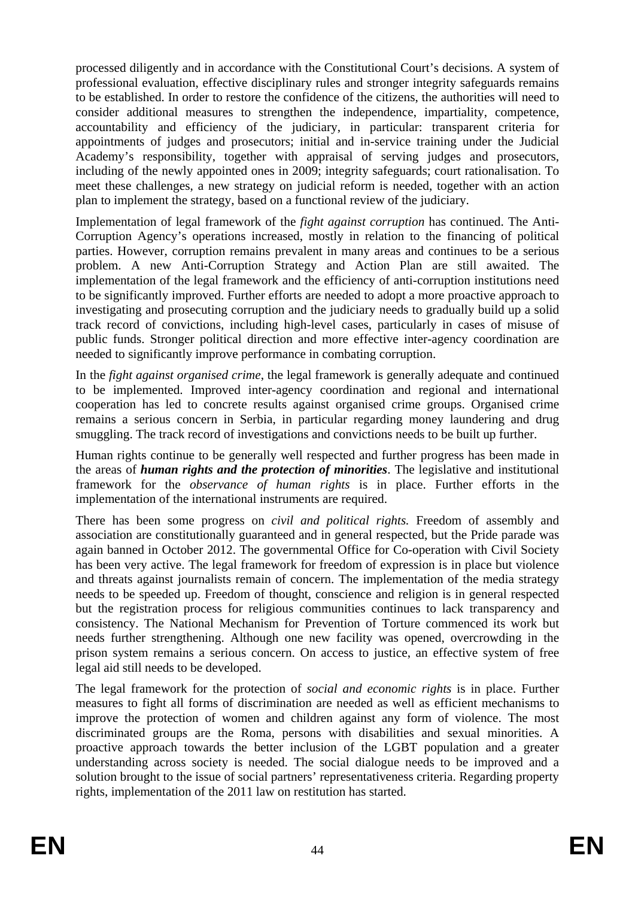processed diligently and in accordance with the Constitutional Court's decisions. A system of professional evaluation, effective disciplinary rules and stronger integrity safeguards remains to be established. In order to restore the confidence of the citizens, the authorities will need to consider additional measures to strengthen the independence, impartiality, competence, accountability and efficiency of the judiciary, in particular: transparent criteria for appointments of judges and prosecutors; initial and in-service training under the Judicial Academy's responsibility, together with appraisal of serving judges and prosecutors, including of the newly appointed ones in 2009; integrity safeguards; court rationalisation. To meet these challenges, a new strategy on judicial reform is needed, together with an action plan to implement the strategy, based on a functional review of the judiciary.

Implementation of legal framework of the *fight against corruption* has continued. The Anti-Corruption Agency's operations increased, mostly in relation to the financing of political parties. However, corruption remains prevalent in many areas and continues to be a serious problem. A new Anti-Corruption Strategy and Action Plan are still awaited. The implementation of the legal framework and the efficiency of anti-corruption institutions need to be significantly improved. Further efforts are needed to adopt a more proactive approach to investigating and prosecuting corruption and the judiciary needs to gradually build up a solid track record of convictions, including high-level cases, particularly in cases of misuse of public funds. Stronger political direction and more effective inter-agency coordination are needed to significantly improve performance in combating corruption.

In the *fight against organised crime*, the legal framework is generally adequate and continued to be implemented. Improved inter-agency coordination and regional and international cooperation has led to concrete results against organised crime groups. Organised crime remains a serious concern in Serbia, in particular regarding money laundering and drug smuggling. The track record of investigations and convictions needs to be built up further.

Human rights continue to be generally well respected and further progress has been made in the areas of *human rights and the protection of minorities*. The legislative and institutional framework for the *observance of human rights* is in place. Further efforts in the implementation of the international instruments are required.

There has been some progress on *civil and political rights.* Freedom of assembly and association are constitutionally guaranteed and in general respected, but the Pride parade was again banned in October 2012. The governmental Office for Co-operation with Civil Society has been very active. The legal framework for freedom of expression is in place but violence and threats against journalists remain of concern. The implementation of the media strategy needs to be speeded up. Freedom of thought, conscience and religion is in general respected but the registration process for religious communities continues to lack transparency and consistency. The National Mechanism for Prevention of Torture commenced its work but needs further strengthening. Although one new facility was opened, overcrowding in the prison system remains a serious concern. On access to justice, an effective system of free legal aid still needs to be developed.

The legal framework for the protection of *social and economic rights* is in place. Further measures to fight all forms of discrimination are needed as well as efficient mechanisms to improve the protection of women and children against any form of violence. The most discriminated groups are the Roma, persons with disabilities and sexual minorities. A proactive approach towards the better inclusion of the LGBT population and a greater understanding across society is needed. The social dialogue needs to be improved and a solution brought to the issue of social partners' representativeness criteria. Regarding property rights, implementation of the 2011 law on restitution has started.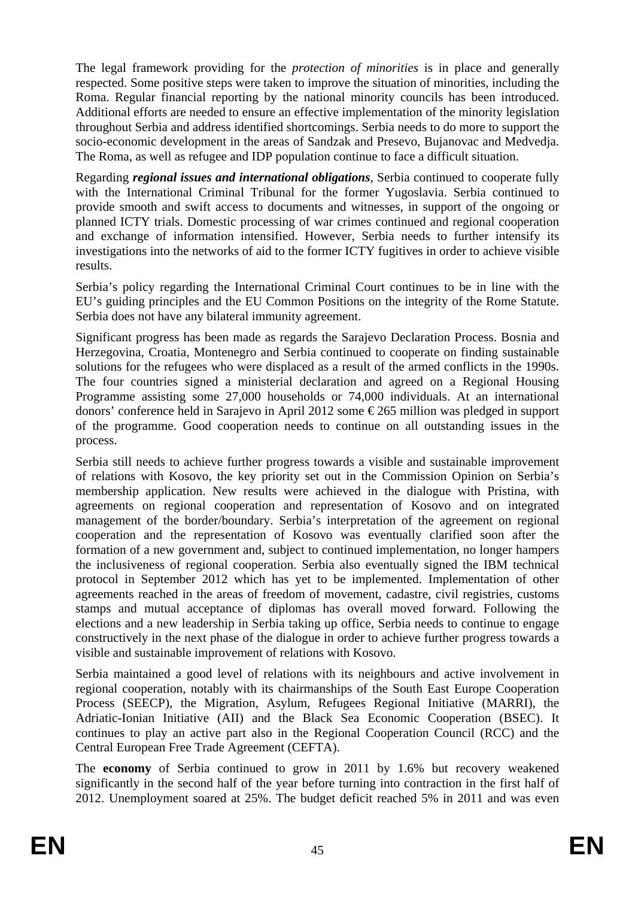The legal framework providing for the *protection of minorities* is in place and generally respected. Some positive steps were taken to improve the situation of minorities, including the Roma. Regular financial reporting by the national minority councils has been introduced. Additional efforts are needed to ensure an effective implementation of the minority legislation throughout Serbia and address identified shortcomings. Serbia needs to do more to support the socio-economic development in the areas of Sandzak and Presevo, Bujanovac and Medvedja. The Roma, as well as refugee and IDP population continue to face a difficult situation.

Regarding *regional issues and international obligations*, Serbia continued to cooperate fully with the International Criminal Tribunal for the former Yugoslavia. Serbia continued to provide smooth and swift access to documents and witnesses, in support of the ongoing or planned ICTY trials. Domestic processing of war crimes continued and regional cooperation and exchange of information intensified. However, Serbia needs to further intensify its investigations into the networks of aid to the former ICTY fugitives in order to achieve visible results.

Serbia's policy regarding the International Criminal Court continues to be in line with the EU's guiding principles and the EU Common Positions on the integrity of the Rome Statute. Serbia does not have any bilateral immunity agreement.

Significant progress has been made as regards the Sarajevo Declaration Process. Bosnia and Herzegovina, Croatia, Montenegro and Serbia continued to cooperate on finding sustainable solutions for the refugees who were displaced as a result of the armed conflicts in the 1990s. The four countries signed a ministerial declaration and agreed on a Regional Housing Programme assisting some 27,000 households or 74,000 individuals. At an international donors' conference held in Sarajevo in April 2012 some € 265 million was pledged in support of the programme. Good cooperation needs to continue on all outstanding issues in the process.

Serbia still needs to achieve further progress towards a visible and sustainable improvement of relations with Kosovo, the key priority set out in the Commission Opinion on Serbia's membership application. New results were achieved in the dialogue with Pristina, with agreements on regional cooperation and representation of Kosovo and on integrated management of the border/boundary. Serbia's interpretation of the agreement on regional cooperation and the representation of Kosovo was eventually clarified soon after the formation of a new government and, subject to continued implementation, no longer hampers the inclusiveness of regional cooperation. Serbia also eventually signed the IBM technical protocol in September 2012 which has yet to be implemented. Implementation of other agreements reached in the areas of freedom of movement, cadastre, civil registries, customs stamps and mutual acceptance of diplomas has overall moved forward. Following the elections and a new leadership in Serbia taking up office, Serbia needs to continue to engage constructively in the next phase of the dialogue in order to achieve further progress towards a visible and sustainable improvement of relations with Kosovo.

Serbia maintained a good level of relations with its neighbours and active involvement in regional cooperation, notably with its chairmanships of the South East Europe Cooperation Process (SEECP), the Migration, Asylum, Refugees Regional Initiative (MARRI), the Adriatic-Ionian Initiative (AII) and the Black Sea Economic Cooperation (BSEC). It continues to play an active part also in the Regional Cooperation Council (RCC) and the Central European Free Trade Agreement (CEFTA).

The **economy** of Serbia continued to grow in 2011 by 1.6% but recovery weakened significantly in the second half of the year before turning into contraction in the first half of 2012. Unemployment soared at 25%. The budget deficit reached 5% in 2011 and was even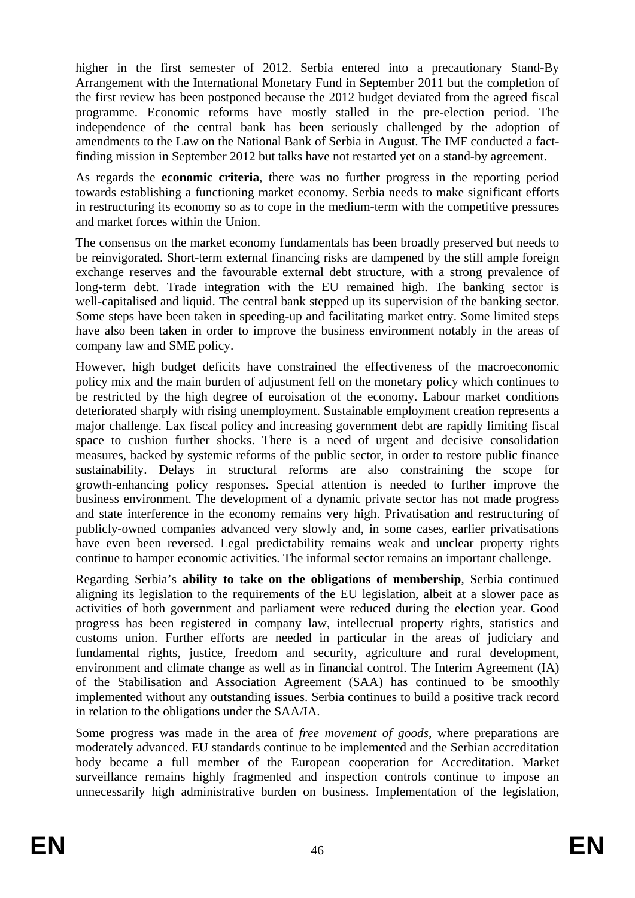higher in the first semester of 2012. Serbia entered into a precautionary Stand-By Arrangement with the International Monetary Fund in September 2011 but the completion of the first review has been postponed because the 2012 budget deviated from the agreed fiscal programme. Economic reforms have mostly stalled in the pre-election period. The independence of the central bank has been seriously challenged by the adoption of amendments to the Law on the National Bank of Serbia in August. The IMF conducted a factfinding mission in September 2012 but talks have not restarted yet on a stand-by agreement.

As regards the **economic criteria**, there was no further progress in the reporting period towards establishing a functioning market economy. Serbia needs to make significant efforts in restructuring its economy so as to cope in the medium-term with the competitive pressures and market forces within the Union.

The consensus on the market economy fundamentals has been broadly preserved but needs to be reinvigorated. Short-term external financing risks are dampened by the still ample foreign exchange reserves and the favourable external debt structure, with a strong prevalence of long-term debt. Trade integration with the EU remained high. The banking sector is well-capitalised and liquid. The central bank stepped up its supervision of the banking sector. Some steps have been taken in speeding-up and facilitating market entry. Some limited steps have also been taken in order to improve the business environment notably in the areas of company law and SME policy.

However, high budget deficits have constrained the effectiveness of the macroeconomic policy mix and the main burden of adjustment fell on the monetary policy which continues to be restricted by the high degree of euroisation of the economy. Labour market conditions deteriorated sharply with rising unemployment. Sustainable employment creation represents a major challenge. Lax fiscal policy and increasing government debt are rapidly limiting fiscal space to cushion further shocks. There is a need of urgent and decisive consolidation measures, backed by systemic reforms of the public sector, in order to restore public finance sustainability. Delays in structural reforms are also constraining the scope for growth-enhancing policy responses. Special attention is needed to further improve the business environment. The development of a dynamic private sector has not made progress and state interference in the economy remains very high. Privatisation and restructuring of publicly-owned companies advanced very slowly and, in some cases, earlier privatisations have even been reversed. Legal predictability remains weak and unclear property rights continue to hamper economic activities. The informal sector remains an important challenge.

Regarding Serbia's **ability to take on the obligations of membership**, Serbia continued aligning its legislation to the requirements of the EU legislation, albeit at a slower pace as activities of both government and parliament were reduced during the election year. Good progress has been registered in company law, intellectual property rights, statistics and customs union. Further efforts are needed in particular in the areas of judiciary and fundamental rights, justice, freedom and security, agriculture and rural development, environment and climate change as well as in financial control. The Interim Agreement (IA) of the Stabilisation and Association Agreement (SAA) has continued to be smoothly implemented without any outstanding issues. Serbia continues to build a positive track record in relation to the obligations under the SAA/IA.

Some progress was made in the area of *free movement of goods*, where preparations are moderately advanced. EU standards continue to be implemented and the Serbian accreditation body became a full member of the European cooperation for Accreditation. Market surveillance remains highly fragmented and inspection controls continue to impose an unnecessarily high administrative burden on business. Implementation of the legislation,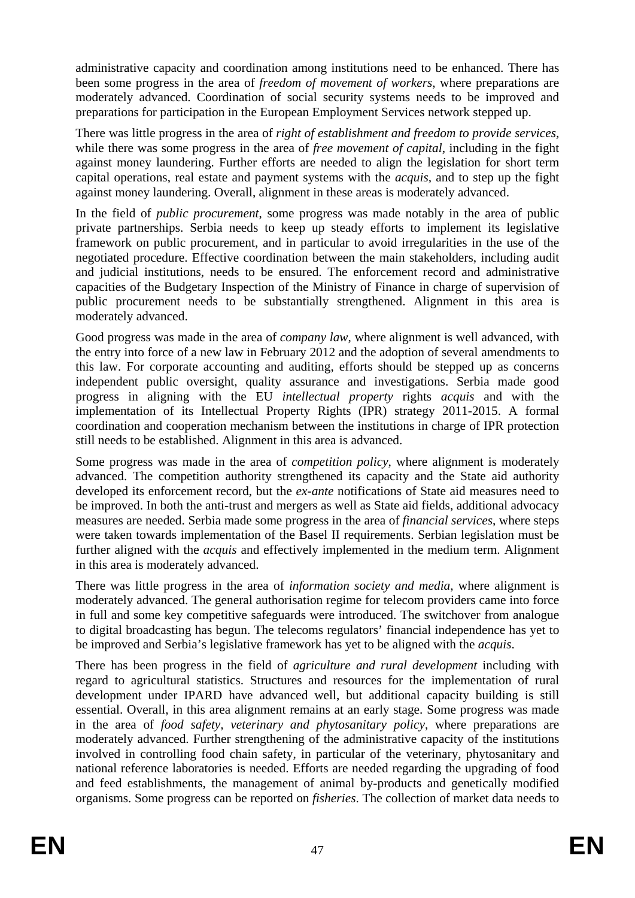administrative capacity and coordination among institutions need to be enhanced. There has been some progress in the area of *freedom of movement of workers*, where preparations are moderately advanced. Coordination of social security systems needs to be improved and preparations for participation in the European Employment Services network stepped up.

There was little progress in the area of *right of establishment and freedom to provide services,* while there was some progress in the area of *free movement of capital*, including in the fight against money laundering. Further efforts are needed to align the legislation for short term capital operations, real estate and payment systems with the *acquis,* and to step up the fight against money laundering. Overall, alignment in these areas is moderately advanced.

In the field of *public procurement*, some progress was made notably in the area of public private partnerships. Serbia needs to keep up steady efforts to implement its legislative framework on public procurement, and in particular to avoid irregularities in the use of the negotiated procedure. Effective coordination between the main stakeholders, including audit and judicial institutions, needs to be ensured. The enforcement record and administrative capacities of the Budgetary Inspection of the Ministry of Finance in charge of supervision of public procurement needs to be substantially strengthened. Alignment in this area is moderately advanced.

Good progress was made in the area of *company law*, where alignment is well advanced, with the entry into force of a new law in February 2012 and the adoption of several amendments to this law. For corporate accounting and auditing, efforts should be stepped up as concerns independent public oversight, quality assurance and investigations. Serbia made good progress in aligning with the EU *intellectual property* rights *acquis* and with the implementation of its Intellectual Property Rights (IPR) strategy 2011-2015. A formal coordination and cooperation mechanism between the institutions in charge of IPR protection still needs to be established. Alignment in this area is advanced.

Some progress was made in the area of *competition policy*, where alignment is moderately advanced. The competition authority strengthened its capacity and the State aid authority developed its enforcement record, but the *ex-ante* notifications of State aid measures need to be improved. In both the anti-trust and mergers as well as State aid fields, additional advocacy measures are needed. Serbia made some progress in the area of *financial services*, where steps were taken towards implementation of the Basel II requirements. Serbian legislation must be further aligned with the *acquis* and effectively implemented in the medium term. Alignment in this area is moderately advanced.

There was little progress in the area of *information society and media*, where alignment is moderately advanced. The general authorisation regime for telecom providers came into force in full and some key competitive safeguards were introduced. The switchover from analogue to digital broadcasting has begun. The telecoms regulators' financial independence has yet to be improved and Serbia's legislative framework has yet to be aligned with the *acquis*.

There has been progress in the field of *agriculture and rural development* including with regard to agricultural statistics. Structures and resources for the implementation of rural development under IPARD have advanced well, but additional capacity building is still essential. Overall, in this area alignment remains at an early stage. Some progress was made in the area of *food safety, veterinary and phytosanitary policy*, where preparations are moderately advanced. Further strengthening of the administrative capacity of the institutions involved in controlling food chain safety, in particular of the veterinary, phytosanitary and national reference laboratories is needed. Efforts are needed regarding the upgrading of food and feed establishments, the management of animal by-products and genetically modified organisms. Some progress can be reported on *fisheries*. The collection of market data needs to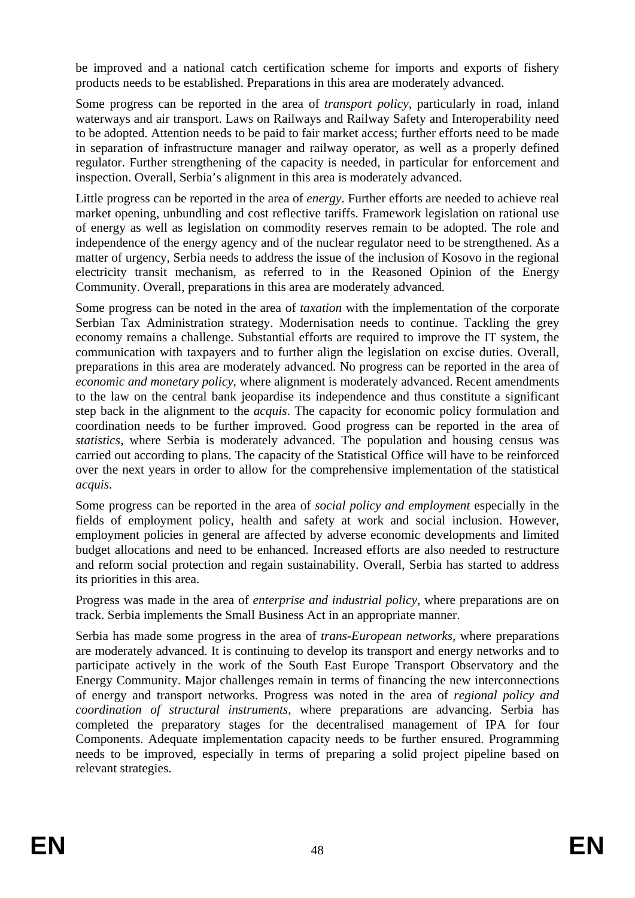be improved and a national catch certification scheme for imports and exports of fishery products needs to be established. Preparations in this area are moderately advanced.

Some progress can be reported in the area of *transport policy*, particularly in road, inland waterways and air transport. Laws on Railways and Railway Safety and Interoperability need to be adopted. Attention needs to be paid to fair market access; further efforts need to be made in separation of infrastructure manager and railway operator, as well as a properly defined regulator. Further strengthening of the capacity is needed, in particular for enforcement and inspection. Overall, Serbia's alignment in this area is moderately advanced.

Little progress can be reported in the area of *energy*. Further efforts are needed to achieve real market opening, unbundling and cost reflective tariffs. Framework legislation on rational use of energy as well as legislation on commodity reserves remain to be adopted. The role and independence of the energy agency and of the nuclear regulator need to be strengthened. As a matter of urgency, Serbia needs to address the issue of the inclusion of Kosovo in the regional electricity transit mechanism, as referred to in the Reasoned Opinion of the Energy Community. Overall, preparations in this area are moderately advanced.

Some progress can be noted in the area of *taxation* with the implementation of the corporate Serbian Tax Administration strategy. Modernisation needs to continue. Tackling the grey economy remains a challenge. Substantial efforts are required to improve the IT system, the communication with taxpayers and to further align the legislation on excise duties. Overall, preparations in this area are moderately advanced. No progress can be reported in the area of *economic and monetary policy*, where alignment is moderately advanced. Recent amendments to the law on the central bank jeopardise its independence and thus constitute a significant step back in the alignment to the *acquis*. The capacity for economic policy formulation and coordination needs to be further improved. Good progress can be reported in the area of *statistics*, where Serbia is moderately advanced. The population and housing census was carried out according to plans. The capacity of the Statistical Office will have to be reinforced over the next years in order to allow for the comprehensive implementation of the statistical *acquis*.

Some progress can be reported in the area of *social policy and employment* especially in the fields of employment policy, health and safety at work and social inclusion. However, employment policies in general are affected by adverse economic developments and limited budget allocations and need to be enhanced. Increased efforts are also needed to restructure and reform social protection and regain sustainability. Overall, Serbia has started to address its priorities in this area.

Progress was made in the area of *enterprise and industrial policy*, where preparations are on track. Serbia implements the Small Business Act in an appropriate manner.

Serbia has made some progress in the area of *trans-European networks,* where preparations are moderately advanced. It is continuing to develop its transport and energy networks and to participate actively in the work of the South East Europe Transport Observatory and the Energy Community. Major challenges remain in terms of financing the new interconnections of energy and transport networks. Progress was noted in the area of *regional policy and coordination of structural instruments*, where preparations are advancing. Serbia has completed the preparatory stages for the decentralised management of IPA for four Components. Adequate implementation capacity needs to be further ensured. Programming needs to be improved, especially in terms of preparing a solid project pipeline based on relevant strategies.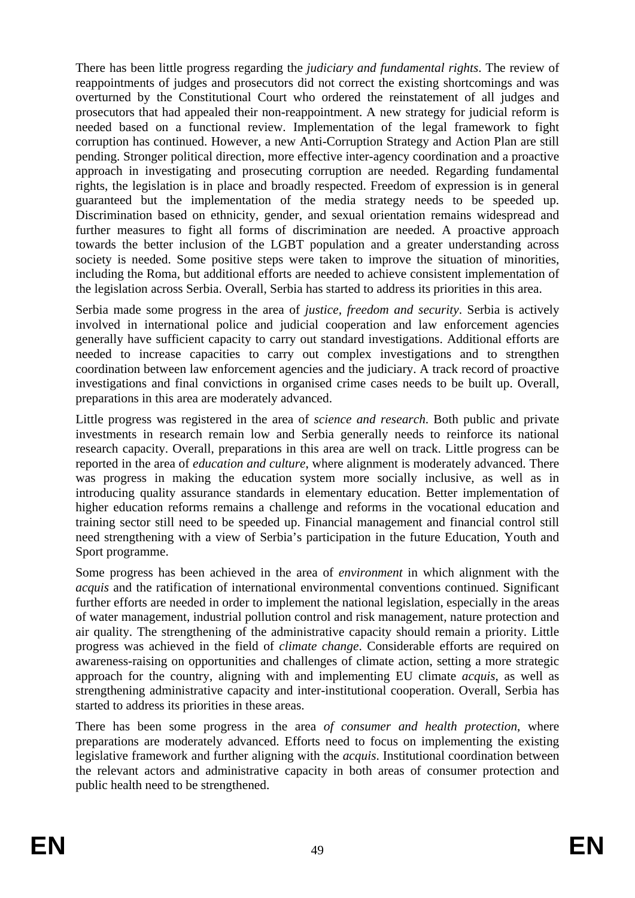There has been little progress regarding the *judiciary and fundamental rights*. The review of reappointments of judges and prosecutors did not correct the existing shortcomings and was overturned by the Constitutional Court who ordered the reinstatement of all judges and prosecutors that had appealed their non-reappointment. A new strategy for judicial reform is needed based on a functional review. Implementation of the legal framework to fight corruption has continued. However, a new Anti-Corruption Strategy and Action Plan are still pending. Stronger political direction, more effective inter-agency coordination and a proactive approach in investigating and prosecuting corruption are needed. Regarding fundamental rights, the legislation is in place and broadly respected. Freedom of expression is in general guaranteed but the implementation of the media strategy needs to be speeded up. Discrimination based on ethnicity, gender, and sexual orientation remains widespread and further measures to fight all forms of discrimination are needed. A proactive approach towards the better inclusion of the LGBT population and a greater understanding across society is needed. Some positive steps were taken to improve the situation of minorities, including the Roma, but additional efforts are needed to achieve consistent implementation of the legislation across Serbia. Overall, Serbia has started to address its priorities in this area.

Serbia made some progress in the area of *justice, freedom and security*. Serbia is actively involved in international police and judicial cooperation and law enforcement agencies generally have sufficient capacity to carry out standard investigations. Additional efforts are needed to increase capacities to carry out complex investigations and to strengthen coordination between law enforcement agencies and the judiciary. A track record of proactive investigations and final convictions in organised crime cases needs to be built up. Overall, preparations in this area are moderately advanced.

Little progress was registered in the area of *science and research*. Both public and private investments in research remain low and Serbia generally needs to reinforce its national research capacity. Overall, preparations in this area are well on track. Little progress can be reported in the area of *education and culture*, where alignment is moderately advanced. There was progress in making the education system more socially inclusive, as well as in introducing quality assurance standards in elementary education. Better implementation of higher education reforms remains a challenge and reforms in the vocational education and training sector still need to be speeded up. Financial management and financial control still need strengthening with a view of Serbia's participation in the future Education, Youth and Sport programme.

Some progress has been achieved in the area of *environment* in which alignment with the *acquis* and the ratification of international environmental conventions continued. Significant further efforts are needed in order to implement the national legislation, especially in the areas of water management, industrial pollution control and risk management, nature protection and air quality. The strengthening of the administrative capacity should remain a priority. Little progress was achieved in the field of *climate change*. Considerable efforts are required on awareness-raising on opportunities and challenges of climate action, setting a more strategic approach for the country, aligning with and implementing EU climate *acquis*, as well as strengthening administrative capacity and inter-institutional cooperation. Overall, Serbia has started to address its priorities in these areas.

There has been some progress in the area *of consumer and health protection*, where preparations are moderately advanced. Efforts need to focus on implementing the existing legislative framework and further aligning with the *acquis*. Institutional coordination between the relevant actors and administrative capacity in both areas of consumer protection and public health need to be strengthened.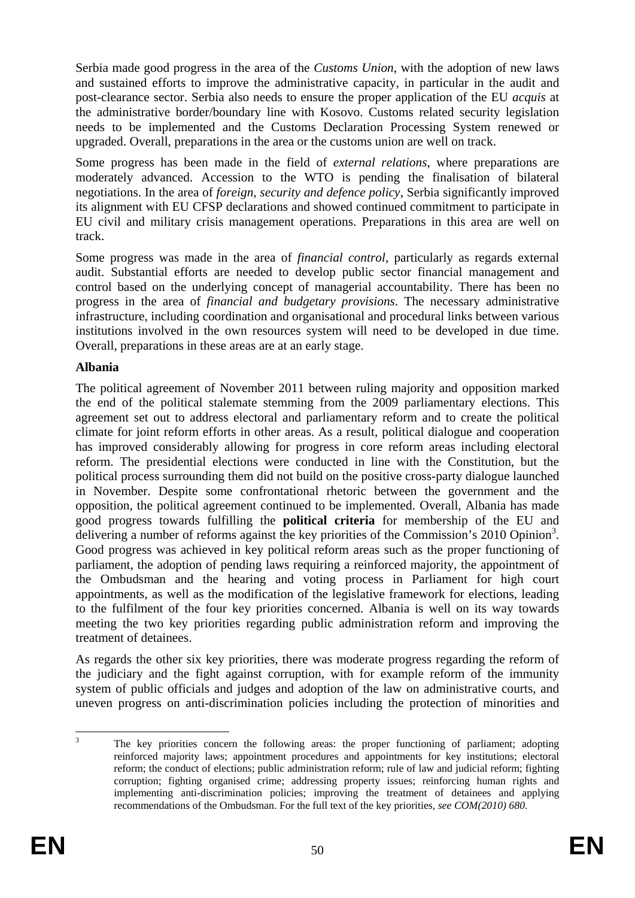Serbia made good progress in the area of the *Customs Union*, with the adoption of new laws and sustained efforts to improve the administrative capacity, in particular in the audit and post-clearance sector. Serbia also needs to ensure the proper application of the EU *acquis* at the administrative border/boundary line with Kosovo. Customs related security legislation needs to be implemented and the Customs Declaration Processing System renewed or upgraded. Overall, preparations in the area or the customs union are well on track.

Some progress has been made in the field of *external relations*, where preparations are moderately advanced. Accession to the WTO is pending the finalisation of bilateral negotiations. In the area of *foreign, security and defence policy*, Serbia significantly improved its alignment with EU CFSP declarations and showed continued commitment to participate in EU civil and military crisis management operations. Preparations in this area are well on track.

Some progress was made in the area of *financial control*, particularly as regards external audit. Substantial efforts are needed to develop public sector financial management and control based on the underlying concept of managerial accountability. There has been no progress in the area of *financial and budgetary provisions*. The necessary administrative infrastructure, including coordination and organisational and procedural links between various institutions involved in the own resources system will need to be developed in due time. Overall, preparations in these areas are at an early stage.

## **Albania**

The political agreement of November 2011 between ruling majority and opposition marked the end of the political stalemate stemming from the 2009 parliamentary elections. This agreement set out to address electoral and parliamentary reform and to create the political climate for joint reform efforts in other areas. As a result, political dialogue and cooperation has improved considerably allowing for progress in core reform areas including electoral reform. The presidential elections were conducted in line with the Constitution, but the political process surrounding them did not build on the positive cross-party dialogue launched in November. Despite some confrontational rhetoric between the government and the opposition, the political agreement continued to be implemented. Overall, Albania has made good progress towards fulfilling the **political criteria** for membership of the EU and delivering a number of reforms against the key priorities of the Commission's 2010 Opinion<sup>3</sup>. Good progress was achieved in key political reform areas such as the proper functioning of parliament, the adoption of pending laws requiring a reinforced majority, the appointment of the Ombudsman and the hearing and voting process in Parliament for high court appointments, as well as the modification of the legislative framework for elections, leading to the fulfilment of the four key priorities concerned. Albania is well on its way towards meeting the two key priorities regarding public administration reform and improving the treatment of detainees.

As regards the other six key priorities, there was moderate progress regarding the reform of the judiciary and the fight against corruption, with for example reform of the immunity system of public officials and judges and adoption of the law on administrative courts, and uneven progress on anti-discrimination policies including the protection of minorities and

 $\frac{1}{3}$  The key priorities concern the following areas: the proper functioning of parliament; adopting reinforced majority laws; appointment procedures and appointments for key institutions; electoral reform; the conduct of elections; public administration reform; rule of law and judicial reform; fighting corruption; fighting organised crime; addressing property issues; reinforcing human rights and implementing anti-discrimination policies; improving the treatment of detainees and applying recommendations of the Ombudsman. For the full text of the key priorities, *see COM(2010) 680*.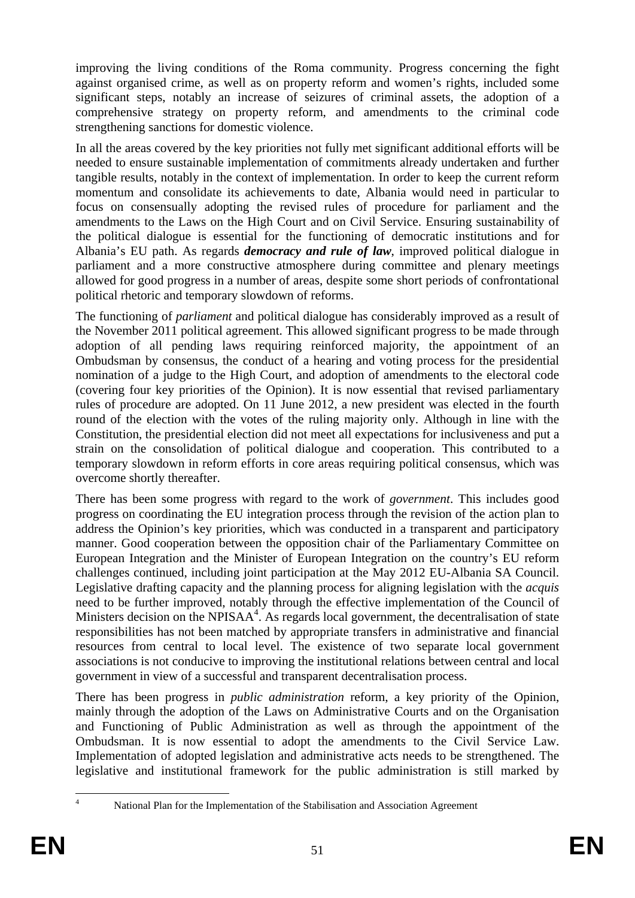improving the living conditions of the Roma community. Progress concerning the fight against organised crime, as well as on property reform and women's rights, included some significant steps, notably an increase of seizures of criminal assets, the adoption of a comprehensive strategy on property reform, and amendments to the criminal code strengthening sanctions for domestic violence.

In all the areas covered by the key priorities not fully met significant additional efforts will be needed to ensure sustainable implementation of commitments already undertaken and further tangible results, notably in the context of implementation. In order to keep the current reform momentum and consolidate its achievements to date, Albania would need in particular to focus on consensually adopting the revised rules of procedure for parliament and the amendments to the Laws on the High Court and on Civil Service. Ensuring sustainability of the political dialogue is essential for the functioning of democratic institutions and for Albania's EU path. As regards *democracy and rule of law*, improved political dialogue in parliament and a more constructive atmosphere during committee and plenary meetings allowed for good progress in a number of areas, despite some short periods of confrontational political rhetoric and temporary slowdown of reforms.

The functioning of *parliament* and political dialogue has considerably improved as a result of the November 2011 political agreement. This allowed significant progress to be made through adoption of all pending laws requiring reinforced majority, the appointment of an Ombudsman by consensus, the conduct of a hearing and voting process for the presidential nomination of a judge to the High Court, and adoption of amendments to the electoral code (covering four key priorities of the Opinion). It is now essential that revised parliamentary rules of procedure are adopted. On 11 June 2012, a new president was elected in the fourth round of the election with the votes of the ruling majority only. Although in line with the Constitution, the presidential election did not meet all expectations for inclusiveness and put a strain on the consolidation of political dialogue and cooperation. This contributed to a temporary slowdown in reform efforts in core areas requiring political consensus, which was overcome shortly thereafter.

There has been some progress with regard to the work of *government*. This includes good progress on coordinating the EU integration process through the revision of the action plan to address the Opinion's key priorities, which was conducted in a transparent and participatory manner. Good cooperation between the opposition chair of the Parliamentary Committee on European Integration and the Minister of European Integration on the country's EU reform challenges continued, including joint participation at the May 2012 EU-Albania SA Council. Legislative drafting capacity and the planning process for aligning legislation with the *acquis* need to be further improved, notably through the effective implementation of the Council of Ministers decision on the NPISA $A<sup>4</sup>$ . As regards local government, the decentralisation of state responsibilities has not been matched by appropriate transfers in administrative and financial resources from central to local level. The existence of two separate local government associations is not conducive to improving the institutional relations between central and local government in view of a successful and transparent decentralisation process.

There has been progress in *public administration* reform, a key priority of the Opinion, mainly through the adoption of the Laws on Administrative Courts and on the Organisation and Functioning of Public Administration as well as through the appointment of the Ombudsman. It is now essential to adopt the amendments to the Civil Service Law. Implementation of adopted legislation and administrative acts needs to be strengthened. The legislative and institutional framework for the public administration is still marked by

<sup>1</sup> 4

National Plan for the Implementation of the Stabilisation and Association Agreement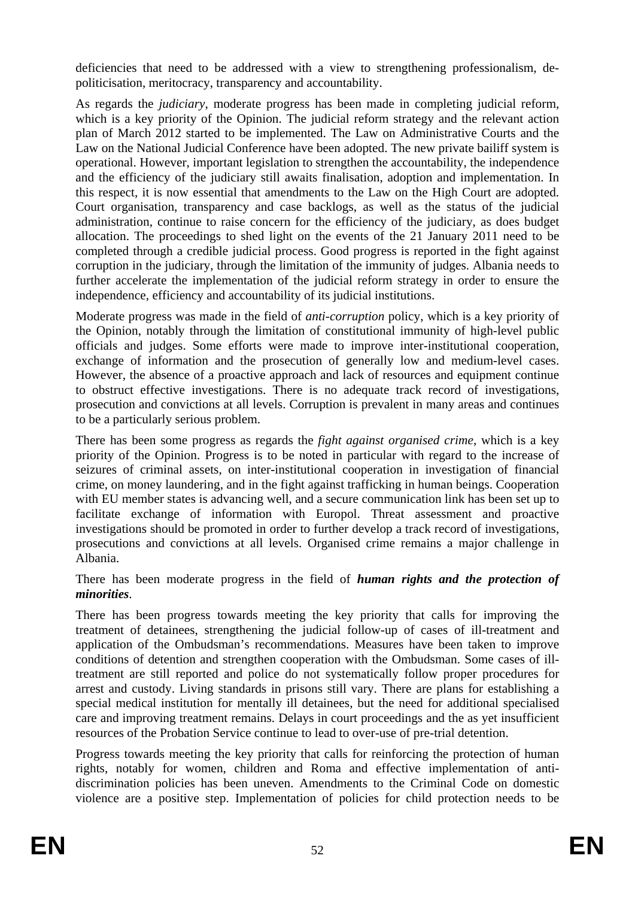deficiencies that need to be addressed with a view to strengthening professionalism, depoliticisation, meritocracy, transparency and accountability.

As regards the *judiciary*, moderate progress has been made in completing judicial reform, which is a key priority of the Opinion. The judicial reform strategy and the relevant action plan of March 2012 started to be implemented. The Law on Administrative Courts and the Law on the National Judicial Conference have been adopted. The new private bailiff system is operational. However, important legislation to strengthen the accountability, the independence and the efficiency of the judiciary still awaits finalisation, adoption and implementation. In this respect, it is now essential that amendments to the Law on the High Court are adopted. Court organisation, transparency and case backlogs, as well as the status of the judicial administration, continue to raise concern for the efficiency of the judiciary, as does budget allocation. The proceedings to shed light on the events of the 21 January 2011 need to be completed through a credible judicial process. Good progress is reported in the fight against corruption in the judiciary, through the limitation of the immunity of judges. Albania needs to further accelerate the implementation of the judicial reform strategy in order to ensure the independence, efficiency and accountability of its judicial institutions.

Moderate progress was made in the field of *anti-corruption* policy, which is a key priority of the Opinion, notably through the limitation of constitutional immunity of high-level public officials and judges. Some efforts were made to improve inter-institutional cooperation, exchange of information and the prosecution of generally low and medium-level cases. However, the absence of a proactive approach and lack of resources and equipment continue to obstruct effective investigations. There is no adequate track record of investigations, prosecution and convictions at all levels. Corruption is prevalent in many areas and continues to be a particularly serious problem.

There has been some progress as regards the *fight against organised crime*, which is a key priority of the Opinion. Progress is to be noted in particular with regard to the increase of seizures of criminal assets, on inter-institutional cooperation in investigation of financial crime, on money laundering, and in the fight against trafficking in human beings. Cooperation with EU member states is advancing well, and a secure communication link has been set up to facilitate exchange of information with Europol. Threat assessment and proactive investigations should be promoted in order to further develop a track record of investigations, prosecutions and convictions at all levels. Organised crime remains a major challenge in Albania.

There has been moderate progress in the field of *human rights and the protection of minorities*.

There has been progress towards meeting the key priority that calls for improving the treatment of detainees, strengthening the judicial follow-up of cases of ill-treatment and application of the Ombudsman's recommendations. Measures have been taken to improve conditions of detention and strengthen cooperation with the Ombudsman. Some cases of illtreatment are still reported and police do not systematically follow proper procedures for arrest and custody. Living standards in prisons still vary. There are plans for establishing a special medical institution for mentally ill detainees, but the need for additional specialised care and improving treatment remains. Delays in court proceedings and the as yet insufficient resources of the Probation Service continue to lead to over-use of pre-trial detention.

Progress towards meeting the key priority that calls for reinforcing the protection of human rights, notably for women, children and Roma and effective implementation of antidiscrimination policies has been uneven. Amendments to the Criminal Code on domestic violence are a positive step. Implementation of policies for child protection needs to be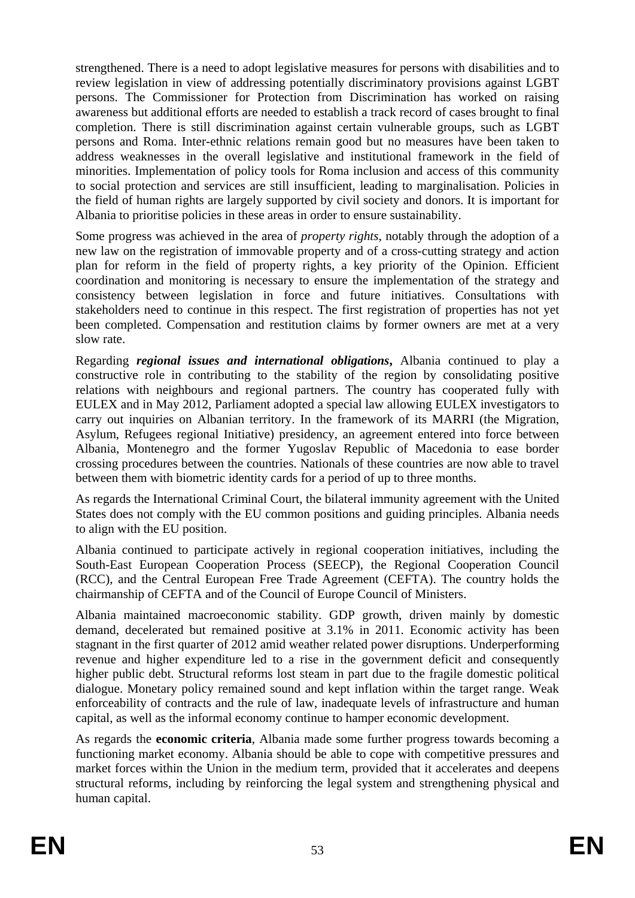strengthened. There is a need to adopt legislative measures for persons with disabilities and to review legislation in view of addressing potentially discriminatory provisions against LGBT persons. The Commissioner for Protection from Discrimination has worked on raising awareness but additional efforts are needed to establish a track record of cases brought to final completion. There is still discrimination against certain vulnerable groups, such as LGBT persons and Roma. Inter-ethnic relations remain good but no measures have been taken to address weaknesses in the overall legislative and institutional framework in the field of minorities. Implementation of policy tools for Roma inclusion and access of this community to social protection and services are still insufficient, leading to marginalisation. Policies in the field of human rights are largely supported by civil society and donors. It is important for Albania to prioritise policies in these areas in order to ensure sustainability.

Some progress was achieved in the area of *property rights*, notably through the adoption of a new law on the registration of immovable property and of a cross-cutting strategy and action plan for reform in the field of property rights, a key priority of the Opinion. Efficient coordination and monitoring is necessary to ensure the implementation of the strategy and consistency between legislation in force and future initiatives. Consultations with stakeholders need to continue in this respect. The first registration of properties has not yet been completed. Compensation and restitution claims by former owners are met at a very slow rate.

Regarding *regional issues and international obligations***,** Albania continued to play a constructive role in contributing to the stability of the region by consolidating positive relations with neighbours and regional partners. The country has cooperated fully with EULEX and in May 2012, Parliament adopted a special law allowing EULEX investigators to carry out inquiries on Albanian territory. In the framework of its MARRI (the Migration, Asylum, Refugees regional Initiative) presidency, an agreement entered into force between Albania, Montenegro and the former Yugoslav Republic of Macedonia to ease border crossing procedures between the countries. Nationals of these countries are now able to travel between them with biometric identity cards for a period of up to three months.

As regards the International Criminal Court, the bilateral immunity agreement with the United States does not comply with the EU common positions and guiding principles. Albania needs to align with the EU position.

Albania continued to participate actively in regional cooperation initiatives, including the South-East European Cooperation Process (SEECP), the Regional Cooperation Council (RCC), and the Central European Free Trade Agreement (CEFTA). The country holds the chairmanship of CEFTA and of the Council of Europe Council of Ministers.

Albania maintained macroeconomic stability. GDP growth, driven mainly by domestic demand, decelerated but remained positive at 3.1% in 2011. Economic activity has been stagnant in the first quarter of 2012 amid weather related power disruptions. Underperforming revenue and higher expenditure led to a rise in the government deficit and consequently higher public debt. Structural reforms lost steam in part due to the fragile domestic political dialogue. Monetary policy remained sound and kept inflation within the target range. Weak enforceability of contracts and the rule of law, inadequate levels of infrastructure and human capital, as well as the informal economy continue to hamper economic development.

As regards the **economic criteria**, Albania made some further progress towards becoming a functioning market economy. Albania should be able to cope with competitive pressures and market forces within the Union in the medium term, provided that it accelerates and deepens structural reforms, including by reinforcing the legal system and strengthening physical and human capital.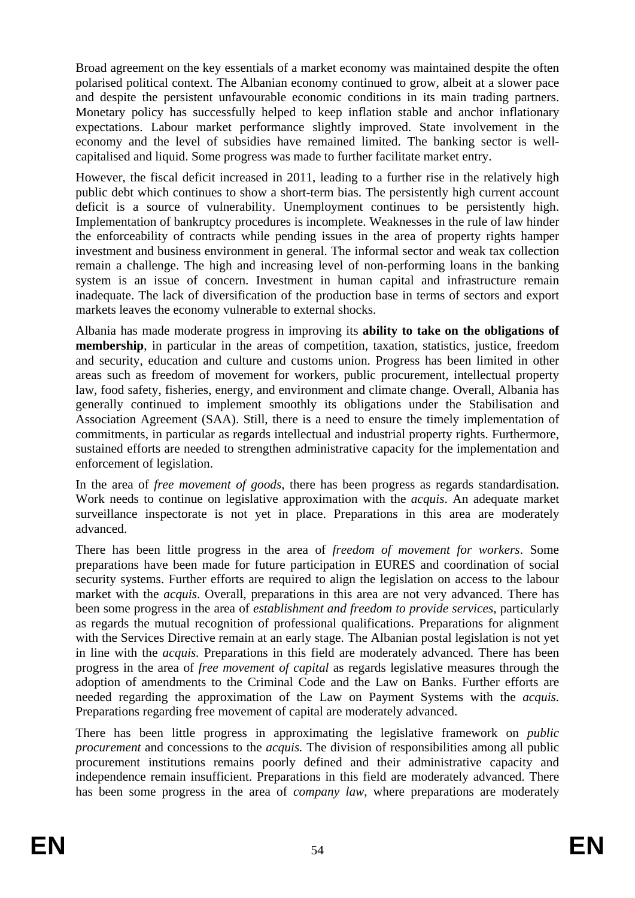Broad agreement on the key essentials of a market economy was maintained despite the often polarised political context. The Albanian economy continued to grow, albeit at a slower pace and despite the persistent unfavourable economic conditions in its main trading partners. Monetary policy has successfully helped to keep inflation stable and anchor inflationary expectations. Labour market performance slightly improved. State involvement in the economy and the level of subsidies have remained limited. The banking sector is wellcapitalised and liquid. Some progress was made to further facilitate market entry.

However, the fiscal deficit increased in 2011, leading to a further rise in the relatively high public debt which continues to show a short-term bias. The persistently high current account deficit is a source of vulnerability. Unemployment continues to be persistently high. Implementation of bankruptcy procedures is incomplete. Weaknesses in the rule of law hinder the enforceability of contracts while pending issues in the area of property rights hamper investment and business environment in general. The informal sector and weak tax collection remain a challenge. The high and increasing level of non-performing loans in the banking system is an issue of concern. Investment in human capital and infrastructure remain inadequate. The lack of diversification of the production base in terms of sectors and export markets leaves the economy vulnerable to external shocks.

Albania has made moderate progress in improving its **ability to take on the obligations of membership**, in particular in the areas of competition, taxation, statistics, justice, freedom and security, education and culture and customs union. Progress has been limited in other areas such as freedom of movement for workers, public procurement, intellectual property law, food safety, fisheries, energy, and environment and climate change. Overall, Albania has generally continued to implement smoothly its obligations under the Stabilisation and Association Agreement (SAA). Still, there is a need to ensure the timely implementation of commitments, in particular as regards intellectual and industrial property rights. Furthermore, sustained efforts are needed to strengthen administrative capacity for the implementation and enforcement of legislation.

In the area of *free movement of goods,* there has been progress as regards standardisation. Work needs to continue on legislative approximation with the *acquis*. An adequate market surveillance inspectorate is not yet in place. Preparations in this area are moderately advanced.

There has been little progress in the area of *freedom of movement for workers*. Some preparations have been made for future participation in EURES and coordination of social security systems. Further efforts are required to align the legislation on access to the labour market with the *acquis*. Overall, preparations in this area are not very advanced. There has been some progress in the area of *establishment and freedom to provide services*, particularly as regards the mutual recognition of professional qualifications. Preparations for alignment with the Services Directive remain at an early stage. The Albanian postal legislation is not yet in line with the *acquis.* Preparations in this field are moderately advanced. There has been progress in the area of *free movement of capital* as regards legislative measures through the adoption of amendments to the Criminal Code and the Law on Banks. Further efforts are needed regarding the approximation of the Law on Payment Systems with the *acquis.* Preparations regarding free movement of capital are moderately advanced.

There has been little progress in approximating the legislative framework on *public procurement* and concessions to the *acquis.* The division of responsibilities among all public procurement institutions remains poorly defined and their administrative capacity and independence remain insufficient. Preparations in this field are moderately advanced. There has been some progress in the area of *company law*, where preparations are moderately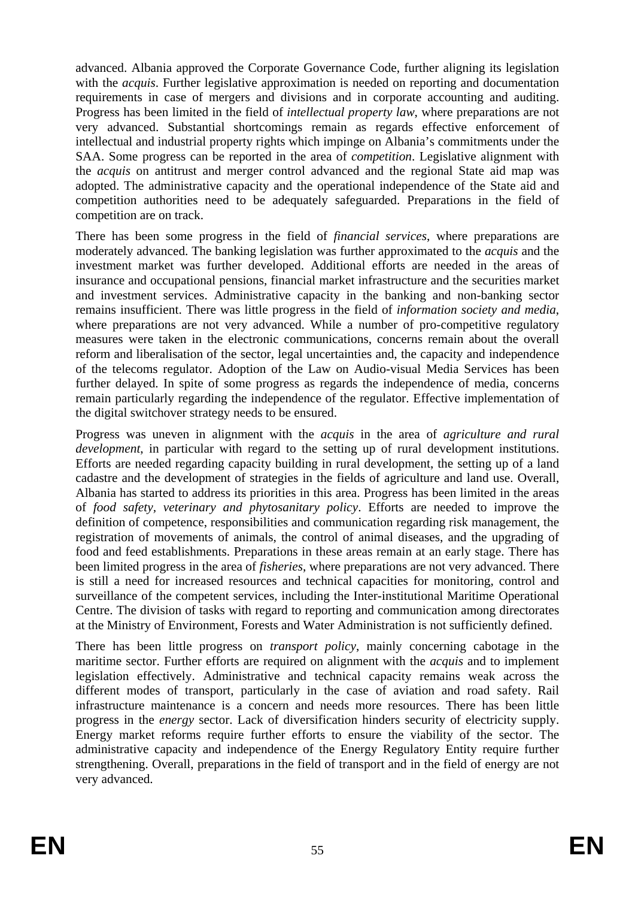advanced. Albania approved the Corporate Governance Code, further aligning its legislation with the *acquis*. Further legislative approximation is needed on reporting and documentation requirements in case of mergers and divisions and in corporate accounting and auditing. Progress has been limited in the field of *intellectual property law*, where preparations are not very advanced. Substantial shortcomings remain as regards effective enforcement of intellectual and industrial property rights which impinge on Albania's commitments under the SAA. Some progress can be reported in the area of *competition*. Legislative alignment with the *acquis* on antitrust and merger control advanced and the regional State aid map was adopted. The administrative capacity and the operational independence of the State aid and competition authorities need to be adequately safeguarded. Preparations in the field of competition are on track.

There has been some progress in the field of *financial services*, where preparations are moderately advanced. The banking legislation was further approximated to the *acquis* and the investment market was further developed. Additional efforts are needed in the areas of insurance and occupational pensions, financial market infrastructure and the securities market and investment services. Administrative capacity in the banking and non-banking sector remains insufficient. There was little progress in the field of *information society and media*, where preparations are not very advanced. While a number of pro-competitive regulatory measures were taken in the electronic communications, concerns remain about the overall reform and liberalisation of the sector, legal uncertainties and, the capacity and independence of the telecoms regulator. Adoption of the Law on Audio-visual Media Services has been further delayed. In spite of some progress as regards the independence of media, concerns remain particularly regarding the independence of the regulator. Effective implementation of the digital switchover strategy needs to be ensured.

Progress was uneven in alignment with the *acquis* in the area of *agriculture and rural development*, in particular with regard to the setting up of rural development institutions. Efforts are needed regarding capacity building in rural development, the setting up of a land cadastre and the development of strategies in the fields of agriculture and land use. Overall, Albania has started to address its priorities in this area. Progress has been limited in the areas of *food safety, veterinary and phytosanitary policy*. Efforts are needed to improve the definition of competence, responsibilities and communication regarding risk management, the registration of movements of animals, the control of animal diseases, and the upgrading of food and feed establishments. Preparations in these areas remain at an early stage. There has been limited progress in the area of *fisheries*, where preparations are not very advanced. There is still a need for increased resources and technical capacities for monitoring, control and surveillance of the competent services, including the Inter-institutional Maritime Operational Centre. The division of tasks with regard to reporting and communication among directorates at the Ministry of Environment, Forests and Water Administration is not sufficiently defined.

There has been little progress on *transport policy*, mainly concerning cabotage in the maritime sector. Further efforts are required on alignment with the *acquis* and to implement legislation effectively. Administrative and technical capacity remains weak across the different modes of transport, particularly in the case of aviation and road safety. Rail infrastructure maintenance is a concern and needs more resources. There has been little progress in the *energy* sector. Lack of diversification hinders security of electricity supply. Energy market reforms require further efforts to ensure the viability of the sector. The administrative capacity and independence of the Energy Regulatory Entity require further strengthening. Overall, preparations in the field of transport and in the field of energy are not very advanced.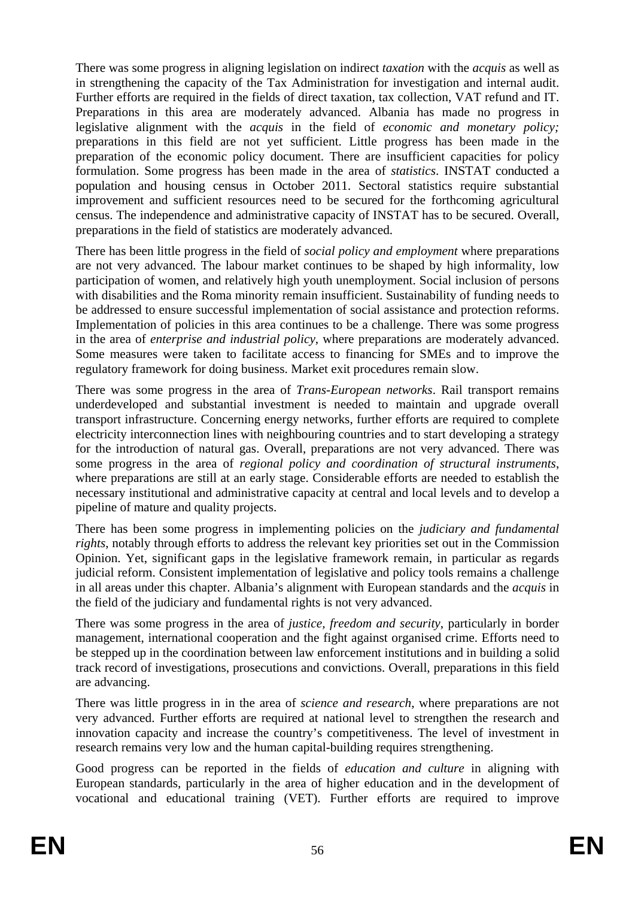There was some progress in aligning legislation on indirect *taxation* with the *acquis* as well as in strengthening the capacity of the Tax Administration for investigation and internal audit. Further efforts are required in the fields of direct taxation, tax collection, VAT refund and IT. Preparations in this area are moderately advanced. Albania has made no progress in legislative alignment with the *acquis* in the field of *economic and monetary policy;* preparations in this field are not yet sufficient. Little progress has been made in the preparation of the economic policy document. There are insufficient capacities for policy formulation. Some progress has been made in the area of *statistics*. INSTAT conducted a population and housing census in October 2011. Sectoral statistics require substantial improvement and sufficient resources need to be secured for the forthcoming agricultural census. The independence and administrative capacity of INSTAT has to be secured. Overall, preparations in the field of statistics are moderately advanced.

There has been little progress in the field of *social policy and employment* where preparations are not very advanced. The labour market continues to be shaped by high informality, low participation of women, and relatively high youth unemployment. Social inclusion of persons with disabilities and the Roma minority remain insufficient. Sustainability of funding needs to be addressed to ensure successful implementation of social assistance and protection reforms. Implementation of policies in this area continues to be a challenge. There was some progress in the area of *enterprise and industrial policy*, where preparations are moderately advanced. Some measures were taken to facilitate access to financing for SMEs and to improve the regulatory framework for doing business. Market exit procedures remain slow.

There was some progress in the area of *Trans-European networks*. Rail transport remains underdeveloped and substantial investment is needed to maintain and upgrade overall transport infrastructure. Concerning energy networks, further efforts are required to complete electricity interconnection lines with neighbouring countries and to start developing a strategy for the introduction of natural gas. Overall, preparations are not very advanced. There was some progress in the area of *regional policy and coordination of structural instruments*, where preparations are still at an early stage. Considerable efforts are needed to establish the necessary institutional and administrative capacity at central and local levels and to develop a pipeline of mature and quality projects.

There has been some progress in implementing policies on the *judiciary and fundamental rights*, notably through efforts to address the relevant key priorities set out in the Commission Opinion. Yet, significant gaps in the legislative framework remain, in particular as regards judicial reform. Consistent implementation of legislative and policy tools remains a challenge in all areas under this chapter. Albania's alignment with European standards and the *acquis* in the field of the judiciary and fundamental rights is not very advanced.

There was some progress in the area of *justice, freedom and security*, particularly in border management, international cooperation and the fight against organised crime. Efforts need to be stepped up in the coordination between law enforcement institutions and in building a solid track record of investigations, prosecutions and convictions. Overall, preparations in this field are advancing.

There was little progress in in the area of *science and research*, where preparations are not very advanced. Further efforts are required at national level to strengthen the research and innovation capacity and increase the country's competitiveness. The level of investment in research remains very low and the human capital-building requires strengthening.

Good progress can be reported in the fields of *education and culture* in aligning with European standards, particularly in the area of higher education and in the development of vocational and educational training (VET). Further efforts are required to improve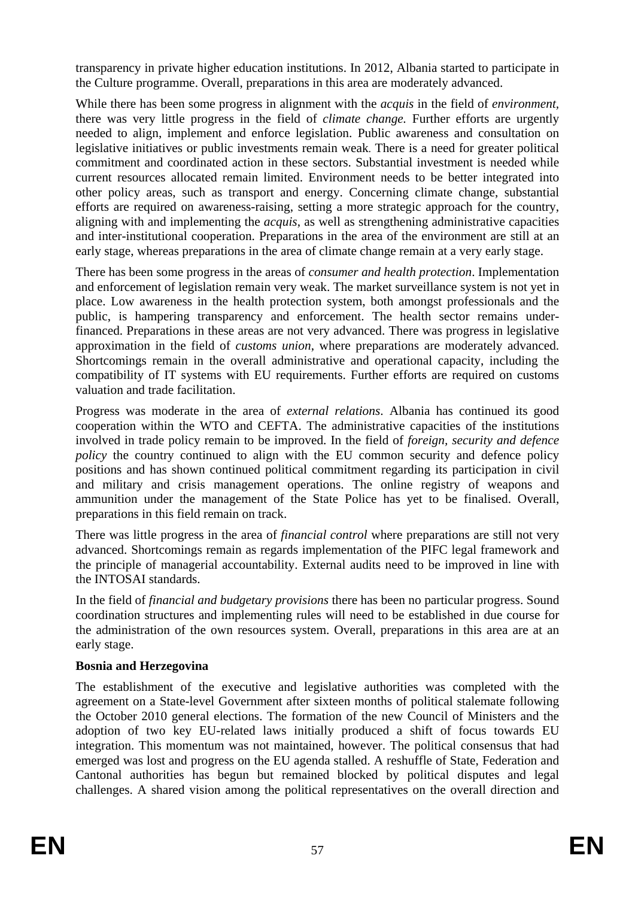transparency in private higher education institutions. In 2012, Albania started to participate in the Culture programme. Overall, preparations in this area are moderately advanced.

While there has been some progress in alignment with the *acquis* in the field of *environment,*  there was very little progress in the field of *climate change.* Further efforts are urgently needed to align, implement and enforce legislation. Public awareness and consultation on legislative initiatives or public investments remain weak. There is a need for greater political commitment and coordinated action in these sectors. Substantial investment is needed while current resources allocated remain limited. Environment needs to be better integrated into other policy areas, such as transport and energy. Concerning climate change, substantial efforts are required on awareness-raising, setting a more strategic approach for the country, aligning with and implementing the *acquis*, as well as strengthening administrative capacities and inter-institutional cooperation. Preparations in the area of the environment are still at an early stage, whereas preparations in the area of climate change remain at a very early stage.

There has been some progress in the areas of *consumer and health protection*. Implementation and enforcement of legislation remain very weak. The market surveillance system is not yet in place. Low awareness in the health protection system, both amongst professionals and the public, is hampering transparency and enforcement. The health sector remains underfinanced. Preparations in these areas are not very advanced. There was progress in legislative approximation in the field of *customs union*, where preparations are moderately advanced. Shortcomings remain in the overall administrative and operational capacity, including the compatibility of IT systems with EU requirements. Further efforts are required on customs valuation and trade facilitation.

Progress was moderate in the area of *external relations*. Albania has continued its good cooperation within the WTO and CEFTA. The administrative capacities of the institutions involved in trade policy remain to be improved. In the field of *foreign, security and defence policy* the country continued to align with the EU common security and defence policy positions and has shown continued political commitment regarding its participation in civil and military and crisis management operations. The online registry of weapons and ammunition under the management of the State Police has yet to be finalised. Overall, preparations in this field remain on track.

There was little progress in the area of *financial control* where preparations are still not very advanced. Shortcomings remain as regards implementation of the PIFC legal framework and the principle of managerial accountability. External audits need to be improved in line with the INTOSAI standards.

In the field of *financial and budgetary provisions* there has been no particular progress. Sound coordination structures and implementing rules will need to be established in due course for the administration of the own resources system. Overall*,* preparations in this area are at an early stage.

## **Bosnia and Herzegovina**

The establishment of the executive and legislative authorities was completed with the agreement on a State-level Government after sixteen months of political stalemate following the October 2010 general elections. The formation of the new Council of Ministers and the adoption of two key EU-related laws initially produced a shift of focus towards EU integration. This momentum was not maintained, however. The political consensus that had emerged was lost and progress on the EU agenda stalled. A reshuffle of State, Federation and Cantonal authorities has begun but remained blocked by political disputes and legal challenges. A shared vision among the political representatives on the overall direction and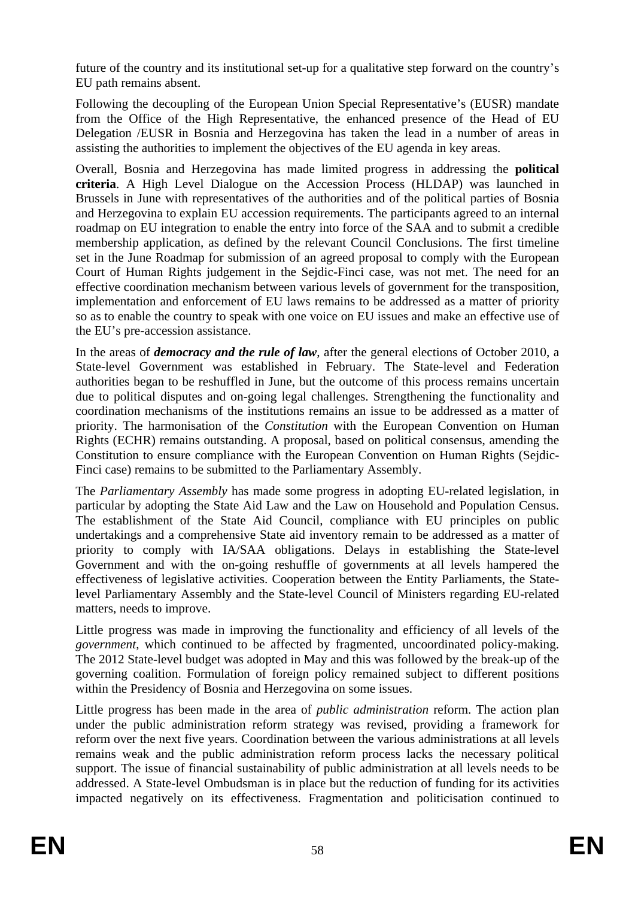future of the country and its institutional set-up for a qualitative step forward on the country's EU path remains absent.

Following the decoupling of the European Union Special Representative's (EUSR) mandate from the Office of the High Representative, the enhanced presence of the Head of EU Delegation /EUSR in Bosnia and Herzegovina has taken the lead in a number of areas in assisting the authorities to implement the objectives of the EU agenda in key areas.

Overall, Bosnia and Herzegovina has made limited progress in addressing the **political criteria**. A High Level Dialogue on the Accession Process (HLDAP) was launched in Brussels in June with representatives of the authorities and of the political parties of Bosnia and Herzegovina to explain EU accession requirements. The participants agreed to an internal roadmap on EU integration to enable the entry into force of the SAA and to submit a credible membership application, as defined by the relevant Council Conclusions. The first timeline set in the June Roadmap for submission of an agreed proposal to comply with the European Court of Human Rights judgement in the Sejdic-Finci case, was not met. The need for an effective coordination mechanism between various levels of government for the transposition, implementation and enforcement of EU laws remains to be addressed as a matter of priority so as to enable the country to speak with one voice on EU issues and make an effective use of the EU's pre-accession assistance.

In the areas of *democracy and the rule of law*, after the general elections of October 2010, a State-level Government was established in February. The State-level and Federation authorities began to be reshuffled in June, but the outcome of this process remains uncertain due to political disputes and on-going legal challenges. Strengthening the functionality and coordination mechanisms of the institutions remains an issue to be addressed as a matter of priority. The harmonisation of the *Constitution* with the European Convention on Human Rights (ECHR) remains outstanding. A proposal, based on political consensus, amending the Constitution to ensure compliance with the European Convention on Human Rights (Sejdic-Finci case) remains to be submitted to the Parliamentary Assembly.

The *Parliamentary Assembly* has made some progress in adopting EU-related legislation, in particular by adopting the State Aid Law and the Law on Household and Population Census. The establishment of the State Aid Council, compliance with EU principles on public undertakings and a comprehensive State aid inventory remain to be addressed as a matter of priority to comply with IA/SAA obligations. Delays in establishing the State-level Government and with the on-going reshuffle of governments at all levels hampered the effectiveness of legislative activities. Cooperation between the Entity Parliaments, the Statelevel Parliamentary Assembly and the State-level Council of Ministers regarding EU-related matters, needs to improve.

Little progress was made in improving the functionality and efficiency of all levels of the *government*, which continued to be affected by fragmented, uncoordinated policy-making. The 2012 State-level budget was adopted in May and this was followed by the break-up of the governing coalition. Formulation of foreign policy remained subject to different positions within the Presidency of Bosnia and Herzegovina on some issues.

Little progress has been made in the area of *public administration* reform. The action plan under the public administration reform strategy was revised, providing a framework for reform over the next five years. Coordination between the various administrations at all levels remains weak and the public administration reform process lacks the necessary political support. The issue of financial sustainability of public administration at all levels needs to be addressed. A State-level Ombudsman is in place but the reduction of funding for its activities impacted negatively on its effectiveness. Fragmentation and politicisation continued to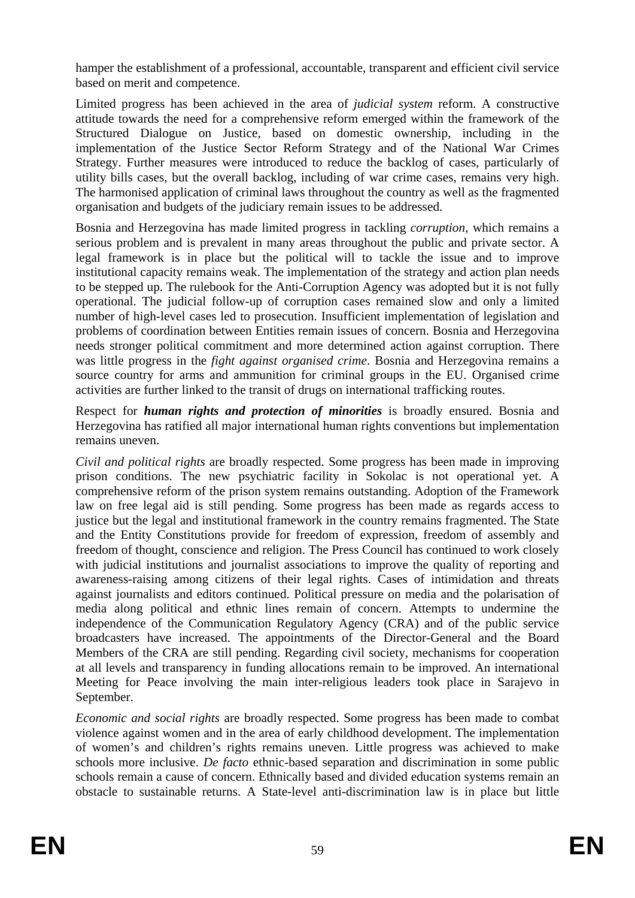hamper the establishment of a professional, accountable, transparent and efficient civil service based on merit and competence.

Limited progress has been achieved in the area of *judicial system* reform. A constructive attitude towards the need for a comprehensive reform emerged within the framework of the Structured Dialogue on Justice, based on domestic ownership, including in the implementation of the Justice Sector Reform Strategy and of the National War Crimes Strategy. Further measures were introduced to reduce the backlog of cases, particularly of utility bills cases, but the overall backlog, including of war crime cases, remains very high. The harmonised application of criminal laws throughout the country as well as the fragmented organisation and budgets of the judiciary remain issues to be addressed.

Bosnia and Herzegovina has made limited progress in tackling *corruption*, which remains a serious problem and is prevalent in many areas throughout the public and private sector. A legal framework is in place but the political will to tackle the issue and to improve institutional capacity remains weak. The implementation of the strategy and action plan needs to be stepped up. The rulebook for the Anti-Corruption Agency was adopted but it is not fully operational. The judicial follow-up of corruption cases remained slow and only a limited number of high-level cases led to prosecution. Insufficient implementation of legislation and problems of coordination between Entities remain issues of concern. Bosnia and Herzegovina needs stronger political commitment and more determined action against corruption. There was little progress in the *fight against organised crime*. Bosnia and Herzegovina remains a source country for arms and ammunition for criminal groups in the EU. Organised crime activities are further linked to the transit of drugs on international trafficking routes.

Respect for *human rights and protection of minorities* is broadly ensured. Bosnia and Herzegovina has ratified all major international human rights conventions but implementation remains uneven.

*Civil and political rights* are broadly respected. Some progress has been made in improving prison conditions. The new psychiatric facility in Sokolac is not operational yet. A comprehensive reform of the prison system remains outstanding. Adoption of the Framework law on free legal aid is still pending. Some progress has been made as regards access to justice but the legal and institutional framework in the country remains fragmented. The State and the Entity Constitutions provide for freedom of expression, freedom of assembly and freedom of thought, conscience and religion. The Press Council has continued to work closely with judicial institutions and journalist associations to improve the quality of reporting and awareness-raising among citizens of their legal rights. Cases of intimidation and threats against journalists and editors continued. Political pressure on media and the polarisation of media along political and ethnic lines remain of concern. Attempts to undermine the independence of the Communication Regulatory Agency (CRA) and of the public service broadcasters have increased. The appointments of the Director-General and the Board Members of the CRA are still pending. Regarding civil society, mechanisms for cooperation at all levels and transparency in funding allocations remain to be improved. An international Meeting for Peace involving the main inter-religious leaders took place in Sarajevo in September.

*Economic and social rights* are broadly respected. Some progress has been made to combat violence against women and in the area of early childhood development. The implementation of women's and children's rights remains uneven. Little progress was achieved to make schools more inclusive. *De facto* ethnic-based separation and discrimination in some public schools remain a cause of concern. Ethnically based and divided education systems remain an obstacle to sustainable returns. A State-level anti-discrimination law is in place but little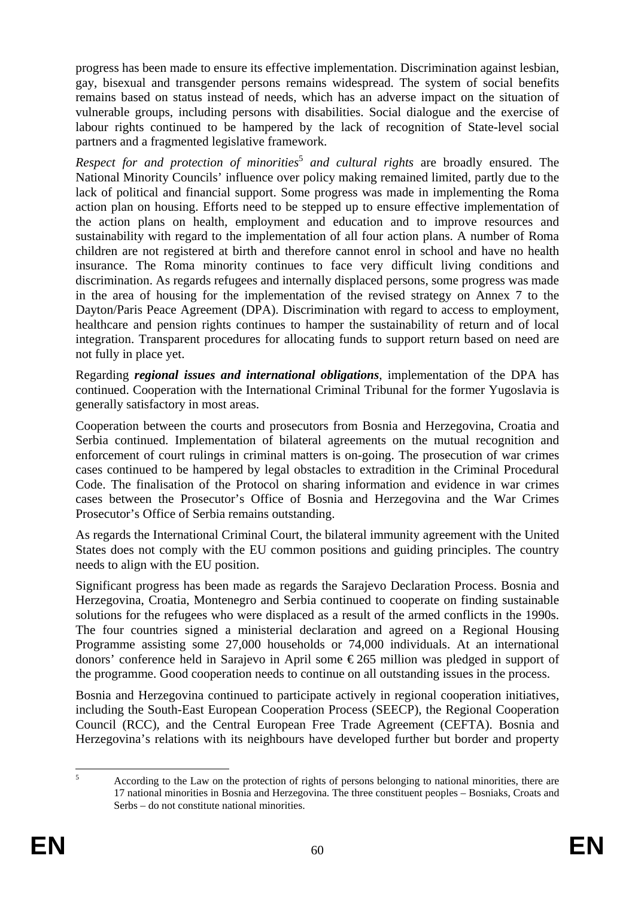progress has been made to ensure its effective implementation. Discrimination against lesbian, gay, bisexual and transgender persons remains widespread. The system of social benefits remains based on status instead of needs, which has an adverse impact on the situation of vulnerable groups, including persons with disabilities. Social dialogue and the exercise of labour rights continued to be hampered by the lack of recognition of State-level social partners and a fragmented legislative framework.

Respect for and protection of minorities<sup>5</sup> and cultural rights are broadly ensured. The National Minority Councils' influence over policy making remained limited, partly due to the lack of political and financial support. Some progress was made in implementing the Roma action plan on housing. Efforts need to be stepped up to ensure effective implementation of the action plans on health, employment and education and to improve resources and sustainability with regard to the implementation of all four action plans. A number of Roma children are not registered at birth and therefore cannot enrol in school and have no health insurance. The Roma minority continues to face very difficult living conditions and discrimination. As regards refugees and internally displaced persons, some progress was made in the area of housing for the implementation of the revised strategy on Annex 7 to the Dayton/Paris Peace Agreement (DPA). Discrimination with regard to access to employment, healthcare and pension rights continues to hamper the sustainability of return and of local integration. Transparent procedures for allocating funds to support return based on need are not fully in place yet.

Regarding *regional issues and international obligations*, implementation of the DPA has continued. Cooperation with the International Criminal Tribunal for the former Yugoslavia is generally satisfactory in most areas.

Cooperation between the courts and prosecutors from Bosnia and Herzegovina, Croatia and Serbia continued. Implementation of bilateral agreements on the mutual recognition and enforcement of court rulings in criminal matters is on-going. The prosecution of war crimes cases continued to be hampered by legal obstacles to extradition in the Criminal Procedural Code. The finalisation of the Protocol on sharing information and evidence in war crimes cases between the Prosecutor's Office of Bosnia and Herzegovina and the War Crimes Prosecutor's Office of Serbia remains outstanding.

As regards the International Criminal Court, the bilateral immunity agreement with the United States does not comply with the EU common positions and guiding principles. The country needs to align with the EU position.

Significant progress has been made as regards the Sarajevo Declaration Process. Bosnia and Herzegovina, Croatia, Montenegro and Serbia continued to cooperate on finding sustainable solutions for the refugees who were displaced as a result of the armed conflicts in the 1990s. The four countries signed a ministerial declaration and agreed on a Regional Housing Programme assisting some 27,000 households or 74,000 individuals. At an international donors' conference held in Sarajevo in April some € 265 million was pledged in support of the programme. Good cooperation needs to continue on all outstanding issues in the process.

Bosnia and Herzegovina continued to participate actively in regional cooperation initiatives, including the South-East European Cooperation Process (SEECP), the Regional Cooperation Council (RCC), and the Central European Free Trade Agreement (CEFTA). Bosnia and Herzegovina's relations with its neighbours have developed further but border and property

 $\frac{1}{5}$ 

According to the Law on the protection of rights of persons belonging to national minorities, there are 17 national minorities in Bosnia and Herzegovina. The three constituent peoples – Bosniaks, Croats and Serbs – do not constitute national minorities.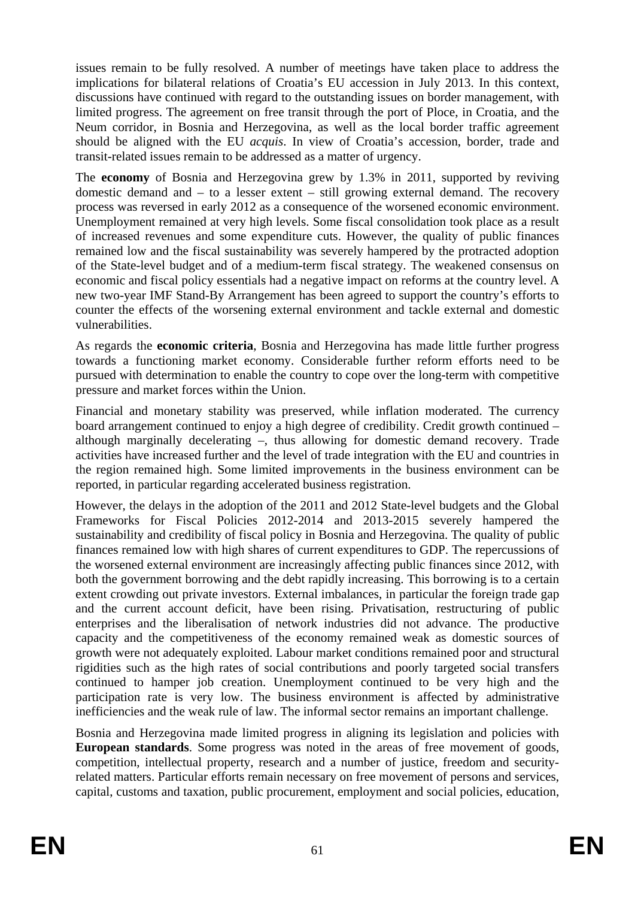issues remain to be fully resolved. A number of meetings have taken place to address the implications for bilateral relations of Croatia's EU accession in July 2013. In this context, discussions have continued with regard to the outstanding issues on border management, with limited progress. The agreement on free transit through the port of Ploce, in Croatia, and the Neum corridor, in Bosnia and Herzegovina, as well as the local border traffic agreement should be aligned with the EU *acquis*. In view of Croatia's accession, border, trade and transit-related issues remain to be addressed as a matter of urgency.

The **economy** of Bosnia and Herzegovina grew by 1.3% in 2011, supported by reviving domestic demand and – to a lesser extent – still growing external demand. The recovery process was reversed in early 2012 as a consequence of the worsened economic environment. Unemployment remained at very high levels. Some fiscal consolidation took place as a result of increased revenues and some expenditure cuts. However, the quality of public finances remained low and the fiscal sustainability was severely hampered by the protracted adoption of the State-level budget and of a medium-term fiscal strategy. The weakened consensus on economic and fiscal policy essentials had a negative impact on reforms at the country level. A new two-year IMF Stand-By Arrangement has been agreed to support the country's efforts to counter the effects of the worsening external environment and tackle external and domestic vulnerabilities.

As regards the **economic criteria**, Bosnia and Herzegovina has made little further progress towards a functioning market economy. Considerable further reform efforts need to be pursued with determination to enable the country to cope over the long-term with competitive pressure and market forces within the Union.

Financial and monetary stability was preserved, while inflation moderated. The currency board arrangement continued to enjoy a high degree of credibility. Credit growth continued – although marginally decelerating –, thus allowing for domestic demand recovery. Trade activities have increased further and the level of trade integration with the EU and countries in the region remained high. Some limited improvements in the business environment can be reported, in particular regarding accelerated business registration.

However, the delays in the adoption of the 2011 and 2012 State-level budgets and the Global Frameworks for Fiscal Policies 2012-2014 and 2013-2015 severely hampered the sustainability and credibility of fiscal policy in Bosnia and Herzegovina. The quality of public finances remained low with high shares of current expenditures to GDP. The repercussions of the worsened external environment are increasingly affecting public finances since 2012, with both the government borrowing and the debt rapidly increasing. This borrowing is to a certain extent crowding out private investors. External imbalances, in particular the foreign trade gap and the current account deficit, have been rising. Privatisation, restructuring of public enterprises and the liberalisation of network industries did not advance. The productive capacity and the competitiveness of the economy remained weak as domestic sources of growth were not adequately exploited. Labour market conditions remained poor and structural rigidities such as the high rates of social contributions and poorly targeted social transfers continued to hamper job creation. Unemployment continued to be very high and the participation rate is very low. The business environment is affected by administrative inefficiencies and the weak rule of law. The informal sector remains an important challenge.

Bosnia and Herzegovina made limited progress in aligning its legislation and policies with **European standards**. Some progress was noted in the areas of free movement of goods, competition, intellectual property, research and a number of justice, freedom and securityrelated matters. Particular efforts remain necessary on free movement of persons and services, capital, customs and taxation, public procurement, employment and social policies, education,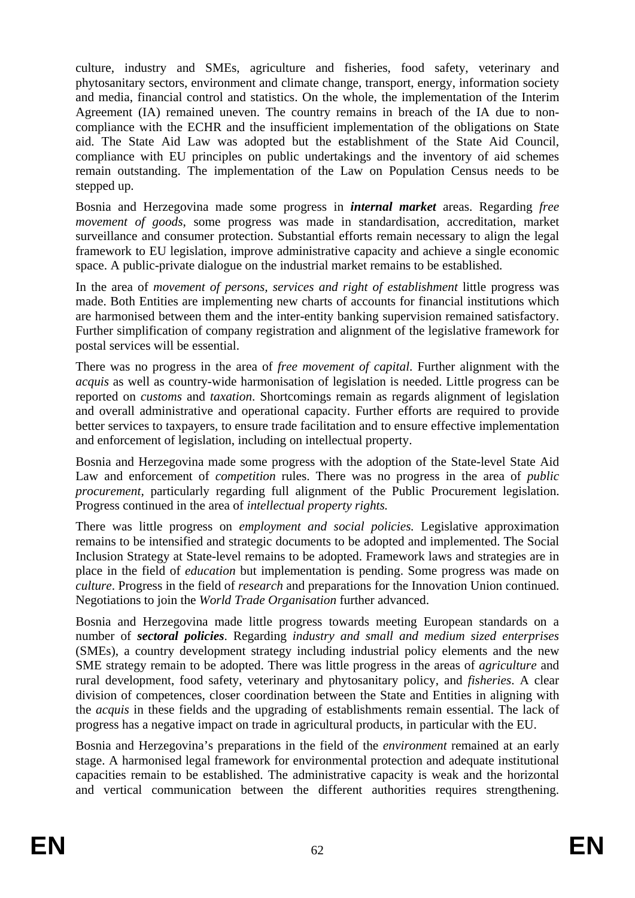culture, industry and SMEs, agriculture and fisheries, food safety, veterinary and phytosanitary sectors, environment and climate change, transport, energy, information society and media, financial control and statistics. On the whole, the implementation of the Interim Agreement (IA) remained uneven. The country remains in breach of the IA due to noncompliance with the ECHR and the insufficient implementation of the obligations on State aid. The State Aid Law was adopted but the establishment of the State Aid Council, compliance with EU principles on public undertakings and the inventory of aid schemes remain outstanding. The implementation of the Law on Population Census needs to be stepped up.

Bosnia and Herzegovina made some progress in *internal market* areas. Regarding *free movement of goods*, some progress was made in standardisation, accreditation, market surveillance and consumer protection. Substantial efforts remain necessary to align the legal framework to EU legislation, improve administrative capacity and achieve a single economic space. A public-private dialogue on the industrial market remains to be established.

In the area of *movement of persons, services and right of establishment* little progress was made. Both Entities are implementing new charts of accounts for financial institutions which are harmonised between them and the inter-entity banking supervision remained satisfactory. Further simplification of company registration and alignment of the legislative framework for postal services will be essential.

There was no progress in the area of *free movement of capital*. Further alignment with the *acquis* as well as country-wide harmonisation of legislation is needed. Little progress can be reported on *customs* and *taxation*. Shortcomings remain as regards alignment of legislation and overall administrative and operational capacity. Further efforts are required to provide better services to taxpayers, to ensure trade facilitation and to ensure effective implementation and enforcement of legislation, including on intellectual property.

Bosnia and Herzegovina made some progress with the adoption of the State-level State Aid Law and enforcement of *competition* rules. There was no progress in the area of *public procurement,* particularly regarding full alignment of the Public Procurement legislation. Progress continued in the area of *intellectual property rights.*

There was little progress on *employment and social policies.* Legislative approximation remains to be intensified and strategic documents to be adopted and implemented. The Social Inclusion Strategy at State-level remains to be adopted. Framework laws and strategies are in place in the field of *education* but implementation is pending. Some progress was made on *culture*. Progress in the field of *research* and preparations for the Innovation Union continued. Negotiations to join the *World Trade Organisation* further advanced.

Bosnia and Herzegovina made little progress towards meeting European standards on a number of *sectoral policies*. Regarding *industry and small and medium sized enterprises* (SMEs), a country development strategy including industrial policy elements and the new SME strategy remain to be adopted. There was little progress in the areas of *agriculture* and rural development, food safety, veterinary and phytosanitary policy, and *fisheries*. A clear division of competences, closer coordination between the State and Entities in aligning with the *acquis* in these fields and the upgrading of establishments remain essential. The lack of progress has a negative impact on trade in agricultural products, in particular with the EU.

Bosnia and Herzegovina's preparations in the field of the *environment* remained at an early stage. A harmonised legal framework for environmental protection and adequate institutional capacities remain to be established. The administrative capacity is weak and the horizontal and vertical communication between the different authorities requires strengthening.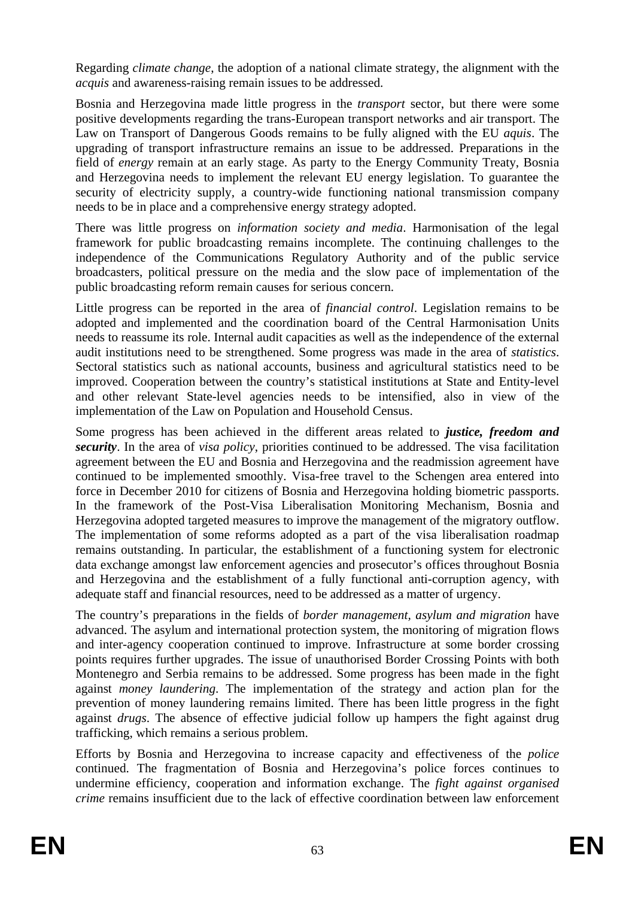Regarding *climate change*, the adoption of a national climate strategy, the alignment with the *acquis* and awareness-raising remain issues to be addressed.

Bosnia and Herzegovina made little progress in the *transport* sector, but there were some positive developments regarding the trans-European transport networks and air transport. The Law on Transport of Dangerous Goods remains to be fully aligned with the EU *aquis*. The upgrading of transport infrastructure remains an issue to be addressed. Preparations in the field of *energy* remain at an early stage. As party to the Energy Community Treaty, Bosnia and Herzegovina needs to implement the relevant EU energy legislation. To guarantee the security of electricity supply, a country-wide functioning national transmission company needs to be in place and a comprehensive energy strategy adopted.

There was little progress on *information society and media*. Harmonisation of the legal framework for public broadcasting remains incomplete. The continuing challenges to the independence of the Communications Regulatory Authority and of the public service broadcasters, political pressure on the media and the slow pace of implementation of the public broadcasting reform remain causes for serious concern.

Little progress can be reported in the area of *financial control*. Legislation remains to be adopted and implemented and the coordination board of the Central Harmonisation Units needs to reassume its role. Internal audit capacities as well as the independence of the external audit institutions need to be strengthened. Some progress was made in the area of *statistics*. Sectoral statistics such as national accounts, business and agricultural statistics need to be improved. Cooperation between the country's statistical institutions at State and Entity-level and other relevant State-level agencies needs to be intensified, also in view of the implementation of the Law on Population and Household Census.

Some progress has been achieved in the different areas related to *justice, freedom and security*. In the area of *visa policy*, priorities continued to be addressed. The visa facilitation agreement between the EU and Bosnia and Herzegovina and the readmission agreement have continued to be implemented smoothly. Visa-free travel to the Schengen area entered into force in December 2010 for citizens of Bosnia and Herzegovina holding biometric passports. In the framework of the Post-Visa Liberalisation Monitoring Mechanism, Bosnia and Herzegovina adopted targeted measures to improve the management of the migratory outflow. The implementation of some reforms adopted as a part of the visa liberalisation roadmap remains outstanding. In particular, the establishment of a functioning system for electronic data exchange amongst law enforcement agencies and prosecutor's offices throughout Bosnia and Herzegovina and the establishment of a fully functional anti-corruption agency, with adequate staff and financial resources, need to be addressed as a matter of urgency.

The country's preparations in the fields of *border management, asylum and migration* have advanced. The asylum and international protection system, the monitoring of migration flows and inter-agency cooperation continued to improve. Infrastructure at some border crossing points requires further upgrades. The issue of unauthorised Border Crossing Points with both Montenegro and Serbia remains to be addressed. Some progress has been made in the fight against *money laundering*. The implementation of the strategy and action plan for the prevention of money laundering remains limited. There has been little progress in the fight against *drugs*. The absence of effective judicial follow up hampers the fight against drug trafficking, which remains a serious problem.

Efforts by Bosnia and Herzegovina to increase capacity and effectiveness of the *police* continued. The fragmentation of Bosnia and Herzegovina's police forces continues to undermine efficiency, cooperation and information exchange. The *fight against organised crime* remains insufficient due to the lack of effective coordination between law enforcement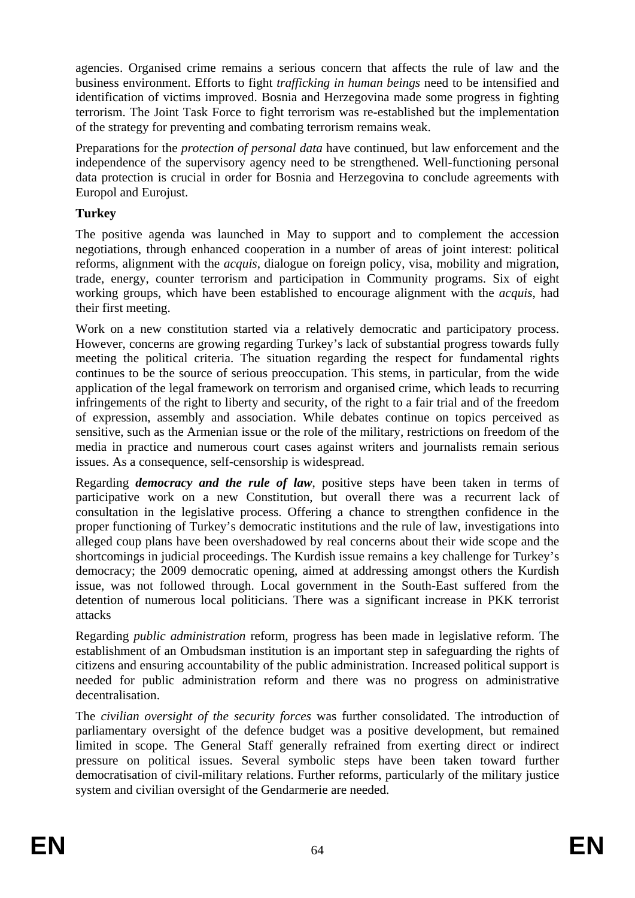agencies. Organised crime remains a serious concern that affects the rule of law and the business environment. Efforts to fight *trafficking in human beings* need to be intensified and identification of victims improved. Bosnia and Herzegovina made some progress in fighting terrorism. The Joint Task Force to fight terrorism was re-established but the implementation of the strategy for preventing and combating terrorism remains weak.

Preparations for the *protection of personal data* have continued, but law enforcement and the independence of the supervisory agency need to be strengthened. Well-functioning personal data protection is crucial in order for Bosnia and Herzegovina to conclude agreements with Europol and Eurojust.

## **Turkey**

The positive agenda was launched in May to support and to complement the accession negotiations, through enhanced cooperation in a number of areas of joint interest: political reforms, alignment with the *acquis*, dialogue on foreign policy, visa, mobility and migration, trade, energy, counter terrorism and participation in Community programs. Six of eight working groups, which have been established to encourage alignment with the *acquis*, had their first meeting.

Work on a new constitution started via a relatively democratic and participatory process. However, concerns are growing regarding Turkey's lack of substantial progress towards fully meeting the political criteria. The situation regarding the respect for fundamental rights continues to be the source of serious preoccupation. This stems, in particular, from the wide application of the legal framework on terrorism and organised crime, which leads to recurring infringements of the right to liberty and security, of the right to a fair trial and of the freedom of expression, assembly and association. While debates continue on topics perceived as sensitive, such as the Armenian issue or the role of the military, restrictions on freedom of the media in practice and numerous court cases against writers and journalists remain serious issues. As a consequence, self-censorship is widespread.

Regarding *democracy and the rule of law*, positive steps have been taken in terms of participative work on a new Constitution, but overall there was a recurrent lack of consultation in the legislative process. Offering a chance to strengthen confidence in the proper functioning of Turkey's democratic institutions and the rule of law, investigations into alleged coup plans have been overshadowed by real concerns about their wide scope and the shortcomings in judicial proceedings. The Kurdish issue remains a key challenge for Turkey's democracy; the 2009 democratic opening, aimed at addressing amongst others the Kurdish issue, was not followed through. Local government in the South-East suffered from the detention of numerous local politicians. There was a significant increase in PKK terrorist attacks

Regarding *public administration* reform, progress has been made in legislative reform. The establishment of an Ombudsman institution is an important step in safeguarding the rights of citizens and ensuring accountability of the public administration. Increased political support is needed for public administration reform and there was no progress on administrative decentralisation.

The *civilian oversight of the security forces* was further consolidated*.* The introduction of parliamentary oversight of the defence budget was a positive development, but remained limited in scope. The General Staff generally refrained from exerting direct or indirect pressure on political issues. Several symbolic steps have been taken toward further democratisation of civil-military relations. Further reforms, particularly of the military justice system and civilian oversight of the Gendarmerie are needed.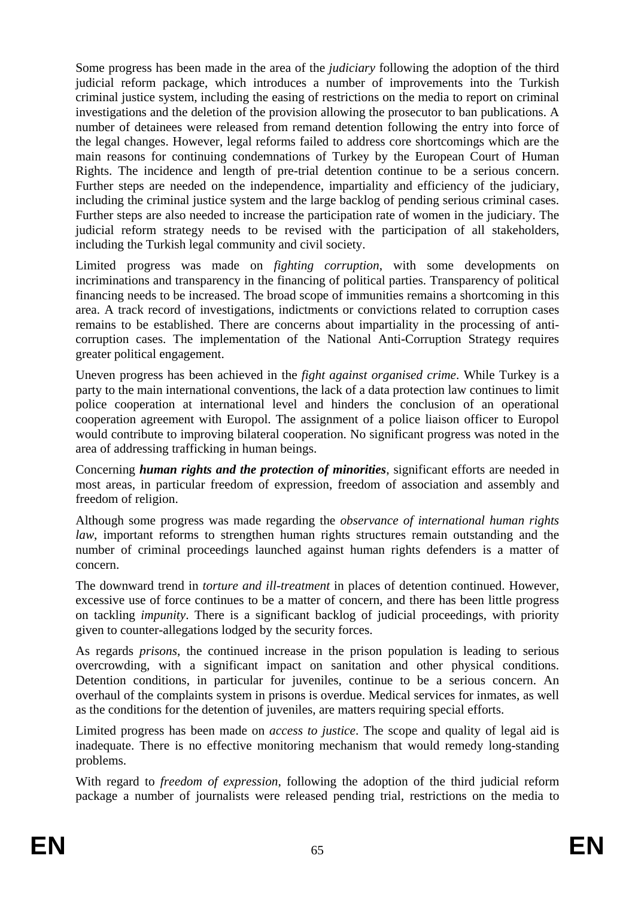Some progress has been made in the area of the *judiciary* following the adoption of the third judicial reform package, which introduces a number of improvements into the Turkish criminal justice system, including the easing of restrictions on the media to report on criminal investigations and the deletion of the provision allowing the prosecutor to ban publications. A number of detainees were released from remand detention following the entry into force of the legal changes. However, legal reforms failed to address core shortcomings which are the main reasons for continuing condemnations of Turkey by the European Court of Human Rights. The incidence and length of pre-trial detention continue to be a serious concern. Further steps are needed on the independence, impartiality and efficiency of the judiciary, including the criminal justice system and the large backlog of pending serious criminal cases. Further steps are also needed to increase the participation rate of women in the judiciary. The judicial reform strategy needs to be revised with the participation of all stakeholders, including the Turkish legal community and civil society.

Limited progress was made on *fighting corruption*, with some developments on incriminations and transparency in the financing of political parties. Transparency of political financing needs to be increased. The broad scope of immunities remains a shortcoming in this area. A track record of investigations, indictments or convictions related to corruption cases remains to be established. There are concerns about impartiality in the processing of anticorruption cases. The implementation of the National Anti-Corruption Strategy requires greater political engagement.

Uneven progress has been achieved in the *fight against organised crime*. While Turkey is a party to the main international conventions, the lack of a data protection law continues to limit police cooperation at international level and hinders the conclusion of an operational cooperation agreement with Europol. The assignment of a police liaison officer to Europol would contribute to improving bilateral cooperation. No significant progress was noted in the area of addressing trafficking in human beings.

Concerning *human rights and the protection of minorities*, significant efforts are needed in most areas, in particular freedom of expression, freedom of association and assembly and freedom of religion.

Although some progress was made regarding the *observance of international human rights law*, important reforms to strengthen human rights structures remain outstanding and the number of criminal proceedings launched against human rights defenders is a matter of concern.

The downward trend in *torture and ill-treatment* in places of detention continued. However, excessive use of force continues to be a matter of concern, and there has been little progress on tackling *impunity*. There is a significant backlog of judicial proceedings, with priority given to counter-allegations lodged by the security forces.

As regards *prisons*, the continued increase in the prison population is leading to serious overcrowding, with a significant impact on sanitation and other physical conditions. Detention conditions, in particular for juveniles, continue to be a serious concern. An overhaul of the complaints system in prisons is overdue. Medical services for inmates, as well as the conditions for the detention of juveniles, are matters requiring special efforts.

Limited progress has been made on *access to justice*. The scope and quality of legal aid is inadequate. There is no effective monitoring mechanism that would remedy long-standing problems.

With regard to *freedom of expression*, following the adoption of the third judicial reform package a number of journalists were released pending trial, restrictions on the media to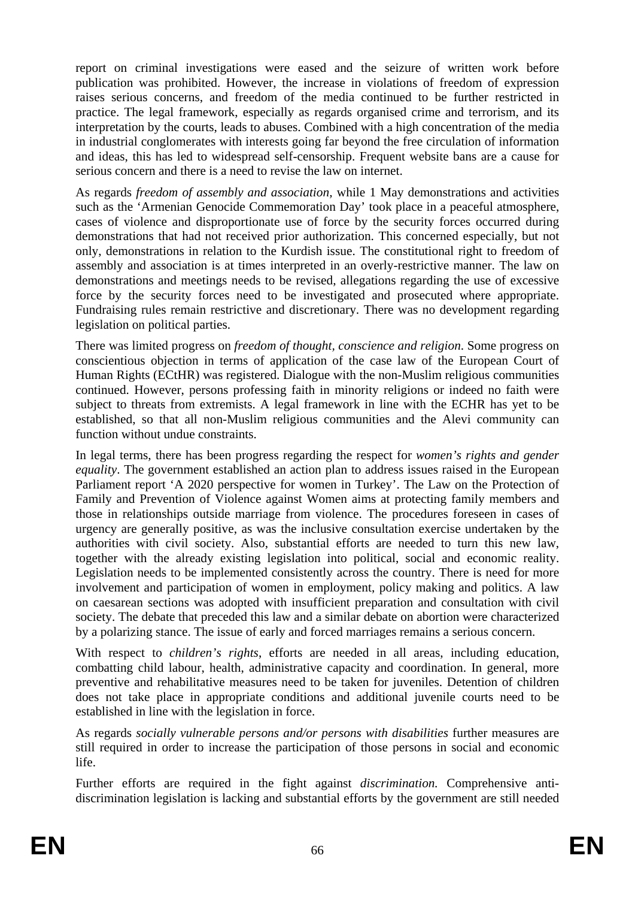report on criminal investigations were eased and the seizure of written work before publication was prohibited. However, the increase in violations of freedom of expression raises serious concerns, and freedom of the media continued to be further restricted in practice. The legal framework, especially as regards organised crime and terrorism, and its interpretation by the courts, leads to abuses. Combined with a high concentration of the media in industrial conglomerates with interests going far beyond the free circulation of information and ideas, this has led to widespread self-censorship. Frequent website bans are a cause for serious concern and there is a need to revise the law on internet.

As regards *freedom of assembly and association,* while 1 May demonstrations and activities such as the 'Armenian Genocide Commemoration Day' took place in a peaceful atmosphere, cases of violence and disproportionate use of force by the security forces occurred during demonstrations that had not received prior authorization. This concerned especially, but not only, demonstrations in relation to the Kurdish issue. The constitutional right to freedom of assembly and association is at times interpreted in an overly-restrictive manner. The law on demonstrations and meetings needs to be revised, allegations regarding the use of excessive force by the security forces need to be investigated and prosecuted where appropriate. Fundraising rules remain restrictive and discretionary. There was no development regarding legislation on political parties.

There was limited progress on *freedom of thought, conscience and religion*. Some progress on conscientious objection in terms of application of the case law of the European Court of Human Rights (ECtHR) was registered. Dialogue with the non-Muslim religious communities continued. However, persons professing faith in minority religions or indeed no faith were subject to threats from extremists. A legal framework in line with the ECHR has yet to be established, so that all non-Muslim religious communities and the Alevi community can function without undue constraints.

In legal terms, there has been progress regarding the respect for *women's rights and gender equality*. The government established an action plan to address issues raised in the European Parliament report 'A 2020 perspective for women in Turkey'. The Law on the Protection of Family and Prevention of Violence against Women aims at protecting family members and those in relationships outside marriage from violence. The procedures foreseen in cases of urgency are generally positive, as was the inclusive consultation exercise undertaken by the authorities with civil society. Also, substantial efforts are needed to turn this new law, together with the already existing legislation into political, social and economic reality. Legislation needs to be implemented consistently across the country. There is need for more involvement and participation of women in employment, policy making and politics. A law on caesarean sections was adopted with insufficient preparation and consultation with civil society. The debate that preceded this law and a similar debate on abortion were characterized by a polarizing stance. The issue of early and forced marriages remains a serious concern.

With respect to *children's rights*, efforts are needed in all areas, including education, combatting child labour, health, administrative capacity and coordination. In general, more preventive and rehabilitative measures need to be taken for juveniles. Detention of children does not take place in appropriate conditions and additional juvenile courts need to be established in line with the legislation in force.

As regards *socially vulnerable persons and/or persons with disabilities* further measures are still required in order to increase the participation of those persons in social and economic life.

Further efforts are required in the fight against *discrimination.* Comprehensive antidiscrimination legislation is lacking and substantial efforts by the government are still needed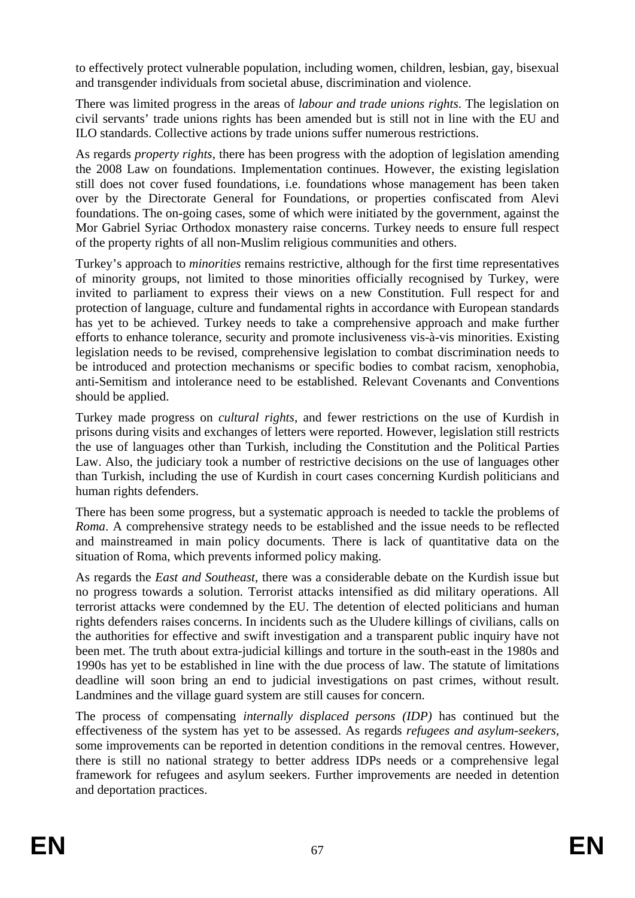to effectively protect vulnerable population, including women, children, lesbian, gay, bisexual and transgender individuals from societal abuse, discrimination and violence.

There was limited progress in the areas of *labour and trade unions rights*. The legislation on civil servants' trade unions rights has been amended but is still not in line with the EU and ILO standards. Collective actions by trade unions suffer numerous restrictions.

As regards *property rights*, there has been progress with the adoption of legislation amending the 2008 Law on foundations. Implementation continues. However, the existing legislation still does not cover fused foundations, i.e. foundations whose management has been taken over by the Directorate General for Foundations, or properties confiscated from Alevi foundations. The on-going cases, some of which were initiated by the government, against the Mor Gabriel Syriac Orthodox monastery raise concerns. Turkey needs to ensure full respect of the property rights of all non-Muslim religious communities and others.

Turkey's approach to *minorities* remains restrictive, although for the first time representatives of minority groups, not limited to those minorities officially recognised by Turkey, were invited to parliament to express their views on a new Constitution. Full respect for and protection of language, culture and fundamental rights in accordance with European standards has yet to be achieved. Turkey needs to take a comprehensive approach and make further efforts to enhance tolerance, security and promote inclusiveness vis-à-vis minorities. Existing legislation needs to be revised, comprehensive legislation to combat discrimination needs to be introduced and protection mechanisms or specific bodies to combat racism, xenophobia, anti-Semitism and intolerance need to be established. Relevant Covenants and Conventions should be applied.

Turkey made progress on *cultural rights*, and fewer restrictions on the use of Kurdish in prisons during visits and exchanges of letters were reported. However, legislation still restricts the use of languages other than Turkish, including the Constitution and the Political Parties Law. Also, the judiciary took a number of restrictive decisions on the use of languages other than Turkish, including the use of Kurdish in court cases concerning Kurdish politicians and human rights defenders.

There has been some progress, but a systematic approach is needed to tackle the problems of *Roma*. A comprehensive strategy needs to be established and the issue needs to be reflected and mainstreamed in main policy documents. There is lack of quantitative data on the situation of Roma, which prevents informed policy making.

As regards the *East and Southeast*, there was a considerable debate on the Kurdish issue but no progress towards a solution. Terrorist attacks intensified as did military operations. All terrorist attacks were condemned by the EU. The detention of elected politicians and human rights defenders raises concerns. In incidents such as the Uludere killings of civilians, calls on the authorities for effective and swift investigation and a transparent public inquiry have not been met. The truth about extra-judicial killings and torture in the south-east in the 1980s and 1990s has yet to be established in line with the due process of law. The statute of limitations deadline will soon bring an end to judicial investigations on past crimes, without result. Landmines and the village guard system are still causes for concern.

The process of compensating *internally displaced persons (IDP)* has continued but the effectiveness of the system has yet to be assessed. As regards *refugees and asylum-seekers,* some improvements can be reported in detention conditions in the removal centres. However, there is still no national strategy to better address IDPs needs or a comprehensive legal framework for refugees and asylum seekers. Further improvements are needed in detention and deportation practices.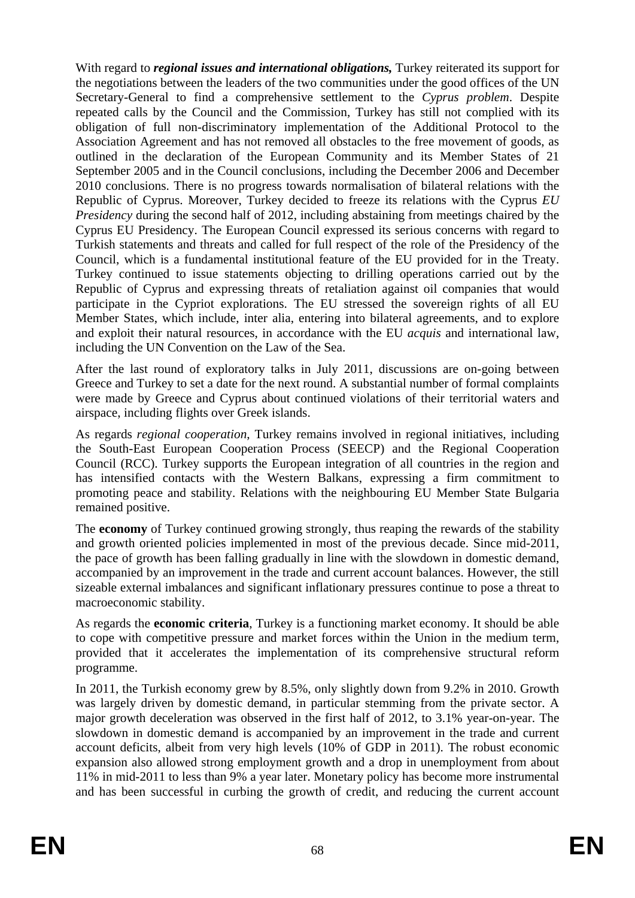With regard to *regional issues and international obligations,* Turkey reiterated its support for the negotiations between the leaders of the two communities under the good offices of the UN Secretary-General to find a comprehensive settlement to the *Cyprus problem*. Despite repeated calls by the Council and the Commission, Turkey has still not complied with its obligation of full non-discriminatory implementation of the Additional Protocol to the Association Agreement and has not removed all obstacles to the free movement of goods, as outlined in the declaration of the European Community and its Member States of 21 September 2005 and in the Council conclusions, including the December 2006 and December 2010 conclusions. There is no progress towards normalisation of bilateral relations with the Republic of Cyprus. Moreover, Turkey decided to freeze its relations with the Cyprus *EU Presidency* during the second half of 2012, including abstaining from meetings chaired by the Cyprus EU Presidency. The European Council expressed its serious concerns with regard to Turkish statements and threats and called for full respect of the role of the Presidency of the Council, which is a fundamental institutional feature of the EU provided for in the Treaty. Turkey continued to issue statements objecting to drilling operations carried out by the Republic of Cyprus and expressing threats of retaliation against oil companies that would participate in the Cypriot explorations. The EU stressed the sovereign rights of all EU Member States, which include, inter alia, entering into bilateral agreements, and to explore and exploit their natural resources, in accordance with the EU *acquis* and international law, including the UN Convention on the Law of the Sea.

After the last round of exploratory talks in July 2011, discussions are on-going between Greece and Turkey to set a date for the next round. A substantial number of formal complaints were made by Greece and Cyprus about continued violations of their territorial waters and airspace, including flights over Greek islands.

As regards *regional cooperation*, Turkey remains involved in regional initiatives, including the South-East European Cooperation Process (SEECP) and the Regional Cooperation Council (RCC). Turkey supports the European integration of all countries in the region and has intensified contacts with the Western Balkans, expressing a firm commitment to promoting peace and stability. Relations with the neighbouring EU Member State Bulgaria remained positive.

The **economy** of Turkey continued growing strongly, thus reaping the rewards of the stability and growth oriented policies implemented in most of the previous decade. Since mid-2011, the pace of growth has been falling gradually in line with the slowdown in domestic demand, accompanied by an improvement in the trade and current account balances. However, the still sizeable external imbalances and significant inflationary pressures continue to pose a threat to macroeconomic stability.

As regards the **economic criteria**, Turkey is a functioning market economy. It should be able to cope with competitive pressure and market forces within the Union in the medium term, provided that it accelerates the implementation of its comprehensive structural reform programme.

In 2011, the Turkish economy grew by 8.5%, only slightly down from 9.2% in 2010. Growth was largely driven by domestic demand, in particular stemming from the private sector. A major growth deceleration was observed in the first half of 2012, to 3.1% year-on-year. The slowdown in domestic demand is accompanied by an improvement in the trade and current account deficits, albeit from very high levels (10% of GDP in 2011). The robust economic expansion also allowed strong employment growth and a drop in unemployment from about 11% in mid-2011 to less than 9% a year later. Monetary policy has become more instrumental and has been successful in curbing the growth of credit, and reducing the [current account](http://www.roubini.com/analysis/154587.php)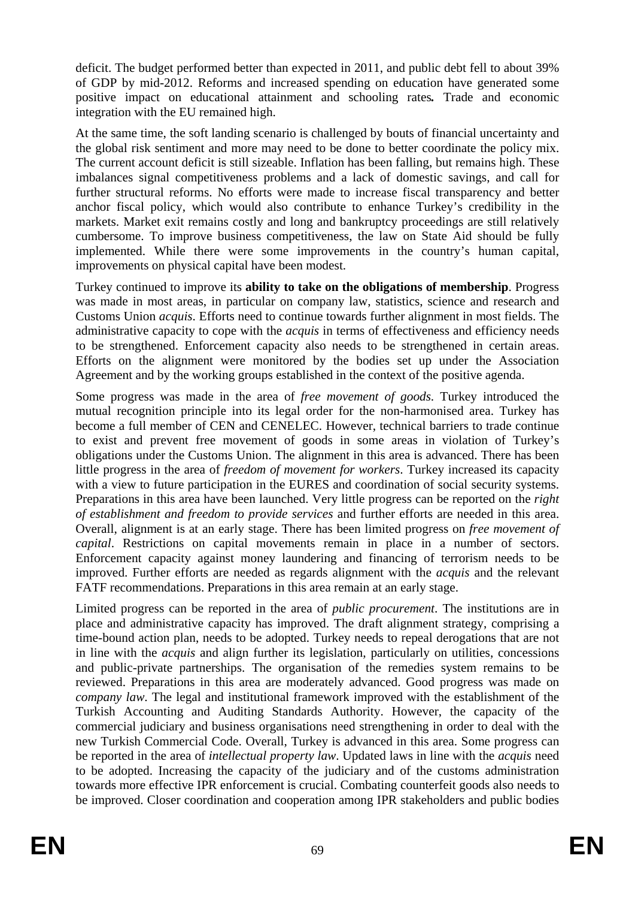[deficit.](http://www.roubini.com/analysis/154587.php) The budget performed better than expected in 2011, and public debt fell to about 39% of GDP by mid-2012. Reforms and increased spending on education have generated some positive impact on educational attainment and schooling rates*.* Trade and economic integration with the EU remained high.

At the same time, the soft landing scenario is challenged by bouts of financial uncertainty and the global risk sentiment and more may need to be done to better coordinate the policy mix. The current account deficit is still sizeable. Inflation has been falling, but remains high. These imbalances signal competitiveness problems and a lack of domestic savings, and call for further structural reforms. No efforts were made to increase fiscal transparency and better anchor fiscal policy, which would also contribute to enhance Turkey's credibility in the markets. Market exit remains costly and long and bankruptcy proceedings are still relatively cumbersome. To improve business competitiveness, the law on State Aid should be fully implemented. While there were some improvements in the country's human capital, improvements on physical capital have been modest.

Turkey continued to improve its **ability to take on the obligations of membership**. Progress was made in most areas, in particular on company law, statistics, science and research and Customs Union *acquis*. Efforts need to continue towards further alignment in most fields. The administrative capacity to cope with the *acquis* in terms of effectiveness and efficiency needs to be strengthened. Enforcement capacity also needs to be strengthened in certain areas. Efforts on the alignment were monitored by the bodies set up under the Association Agreement and by the working groups established in the context of the positive agenda.

Some progress was made in the area of *free movement of goods.* Turkey introduced the mutual recognition principle into its legal order for the non-harmonised area. Turkey has become a full member of CEN and CENELEC. However, technical barriers to trade continue to exist and prevent free movement of goods in some areas in violation of Turkey's obligations under the Customs Union. The alignment in this area is advanced. There has been little progress in the area of *freedom of movement for workers*. Turkey increased its capacity with a view to future participation in the EURES and coordination of social security systems. Preparations in this area have been launched. Very little progress can be reported on the *right of establishment and freedom to provide services* and further efforts are needed in this area. Overall, alignment is at an early stage. There has been limited progress on *free movement of capital*. Restrictions on capital movements remain in place in a number of sectors. Enforcement capacity against money laundering and financing of terrorism needs to be improved. Further efforts are needed as regards alignment with the *acquis* and the relevant FATF recommendations. Preparations in this area remain at an early stage.

Limited progress can be reported in the area of *public procurement*. The institutions are in place and administrative capacity has improved. The draft alignment strategy, comprising a time-bound action plan, needs to be adopted. Turkey needs to repeal derogations that are not in line with the *acquis* and align further its legislation, particularly on utilities, concessions and public-private partnerships. The organisation of the remedies system remains to be reviewed. Preparations in this area are moderately advanced. Good progress was made on *company law*. The legal and institutional framework improved with the establishment of the Turkish Accounting and Auditing Standards Authority. However, the capacity of the commercial judiciary and business organisations need strengthening in order to deal with the new Turkish Commercial Code. Overall, Turkey is advanced in this area. Some progress can be reported in the area of *intellectual property law*. Updated laws in line with the *acquis* need to be adopted. Increasing the capacity of the judiciary and of the customs administration towards more effective IPR enforcement is crucial. Combating counterfeit goods also needs to be improved. Closer coordination and cooperation among IPR stakeholders and public bodies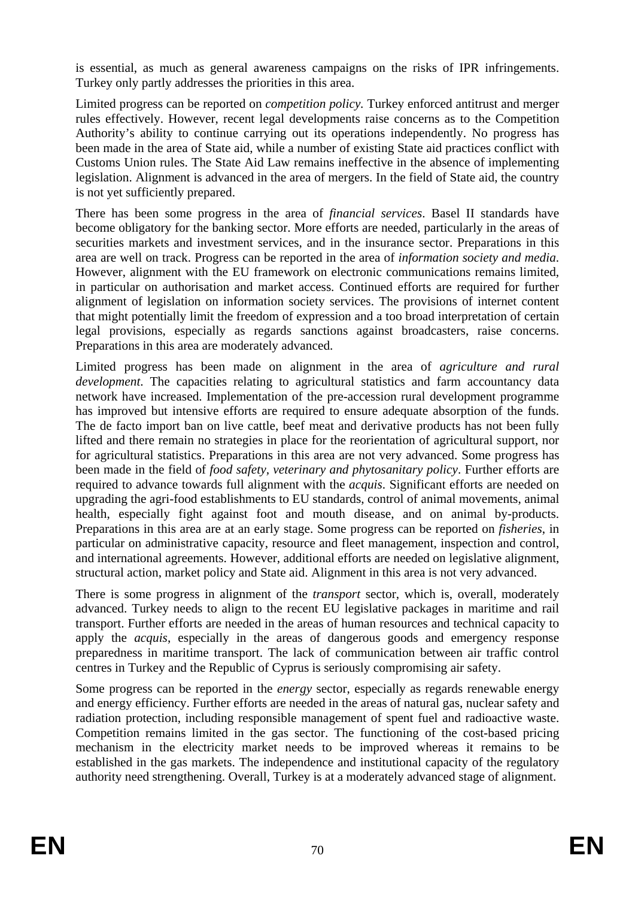is essential, as much as general awareness campaigns on the risks of IPR infringements. Turkey only partly addresses the priorities in this area.

Limited progress can be reported on *competition policy.* Turkey enforced antitrust and merger rules effectively. However, recent legal developments raise concerns as to the Competition Authority's ability to continue carrying out its operations independently. No progress has been made in the area of State aid, while a number of existing State aid practices conflict with Customs Union rules. The State Aid Law remains ineffective in the absence of implementing legislation. Alignment is advanced in the area of mergers. In the field of State aid, the country is not yet sufficiently prepared.

There has been some progress in the area of *financial services*. Basel II standards have become obligatory for the banking sector. More efforts are needed, particularly in the areas of securities markets and investment services, and in the insurance sector. Preparations in this area are well on track. Progress can be reported in the area of *information society and media*. However, alignment with the EU framework on electronic communications remains limited, in particular on authorisation and market access. Continued efforts are required for further alignment of legislation on information society services. The provisions of internet content that might potentially limit the freedom of expression and a too broad interpretation of certain legal provisions, especially as regards sanctions against broadcasters, raise concerns. Preparations in this area are moderately advanced.

Limited progress has been made on alignment in the area of *agriculture and rural development*. The capacities relating to agricultural statistics and farm accountancy data network have increased. Implementation of the pre-accession rural development programme has improved but intensive efforts are required to ensure adequate absorption of the funds. The de facto import ban on live cattle, beef meat and derivative products has not been fully lifted and there remain no strategies in place for the reorientation of agricultural support, nor for agricultural statistics. Preparations in this area are not very advanced. Some progress has been made in the field of *food safety, veterinary and phytosanitary policy*. Further efforts are required to advance towards full alignment with the *acquis*. Significant efforts are needed on upgrading the agri-food establishments to EU standards, control of animal movements, animal health, especially fight against foot and mouth disease, and on animal by-products. Preparations in this area are at an early stage. Some progress can be reported on *fisheries*, in particular on administrative capacity, resource and fleet management, inspection and control, and international agreements. However, additional efforts are needed on legislative alignment, structural action, market policy and State aid. Alignment in this area is not very advanced.

There is some progress in alignment of the *transport* sector, which is, overall, moderately advanced. Turkey needs to align to the recent EU legislative packages in maritime and rail transport. Further efforts are needed in the areas of human resources and technical capacity to apply the *acquis*, especially in the areas of dangerous goods and emergency response preparedness in maritime transport. The lack of communication between air traffic control centres in Turkey and the Republic of Cyprus is seriously compromising air safety.

Some progress can be reported in the *energy* sector, especially as regards renewable energy and energy efficiency. Further efforts are needed in the areas of natural gas, nuclear safety and radiation protection, including responsible management of spent fuel and radioactive waste. Competition remains limited in the gas sector. The functioning of the cost-based pricing mechanism in the electricity market needs to be improved whereas it remains to be established in the gas markets. The independence and institutional capacity of the regulatory authority need strengthening. Overall, Turkey is at a moderately advanced stage of alignment.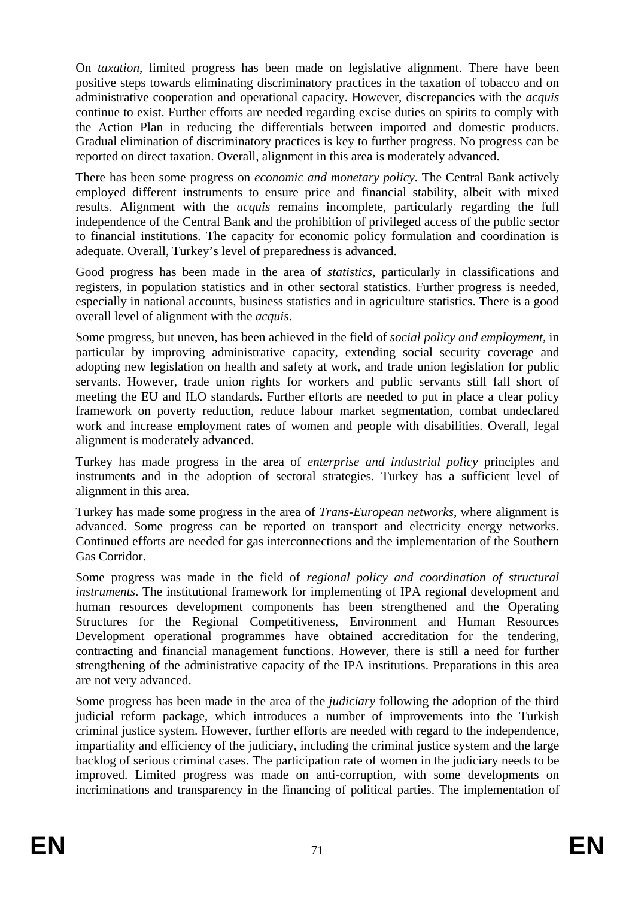On *taxation*, limited progress has been made on legislative alignment. There have been positive steps towards eliminating discriminatory practices in the taxation of tobacco and on administrative cooperation and operational capacity. However, discrepancies with the *acquis* continue to exist. Further efforts are needed regarding excise duties on spirits to comply with the Action Plan in reducing the differentials between imported and domestic products. Gradual elimination of discriminatory practices is key to further progress. No progress can be reported on direct taxation. Overall, alignment in this area is moderately advanced.

There has been some progress on *economic and monetary policy*. The Central Bank actively employed different instruments to ensure price and financial stability, albeit with mixed results. Alignment with the *acquis* remains incomplete, particularly regarding the full independence of the Central Bank and the prohibition of privileged access of the public sector to financial institutions. The capacity for economic policy formulation and coordination is adequate. Overall, Turkey's level of preparedness is advanced.

Good progress has been made in the area of *statistics*, particularly in classifications and registers, in population statistics and in other sectoral statistics. Further progress is needed, especially in national accounts, business statistics and in agriculture statistics. There is a good overall level of alignment with the *acquis*.

Some progress, but uneven, has been achieved in the field of *social policy and employment,* in particular by improving administrative capacity, extending social security coverage and adopting new legislation on health and safety at work, and trade union legislation for public servants. However, trade union rights for workers and public servants still fall short of meeting the EU and ILO standards. Further efforts are needed to put in place a clear policy framework on poverty reduction, reduce labour market segmentation, combat undeclared work and increase employment rates of women and people with disabilities. Overall, legal alignment is moderately advanced.

Turkey has made progress in the area of *enterprise and industrial policy* principles and instruments and in the adoption of sectoral strategies. Turkey has a sufficient level of alignment in this area.

Turkey has made some progress in the area of *Trans-European networks*, where alignment is advanced. Some progress can be reported on transport and electricity energy networks. Continued efforts are needed for gas interconnections and the implementation of the Southern Gas Corridor.

Some progress was made in the field of *regional policy and coordination of structural instruments*. The institutional framework for implementing of IPA regional development and human resources development components has been strengthened and the Operating Structures for the Regional Competitiveness, Environment and Human Resources Development operational programmes have obtained accreditation for the tendering, contracting and financial management functions. However, there is still a need for further strengthening of the administrative capacity of the IPA institutions. Preparations in this area are not very advanced.

Some progress has been made in the area of the *judiciary* following the adoption of the third judicial reform package, which introduces a number of improvements into the Turkish criminal justice system. However, further efforts are needed with regard to the independence, impartiality and efficiency of the judiciary, including the criminal justice system and the large backlog of serious criminal cases. The participation rate of women in the judiciary needs to be improved. Limited progress was made on anti-corruption, with some developments on incriminations and transparency in the financing of political parties. The implementation of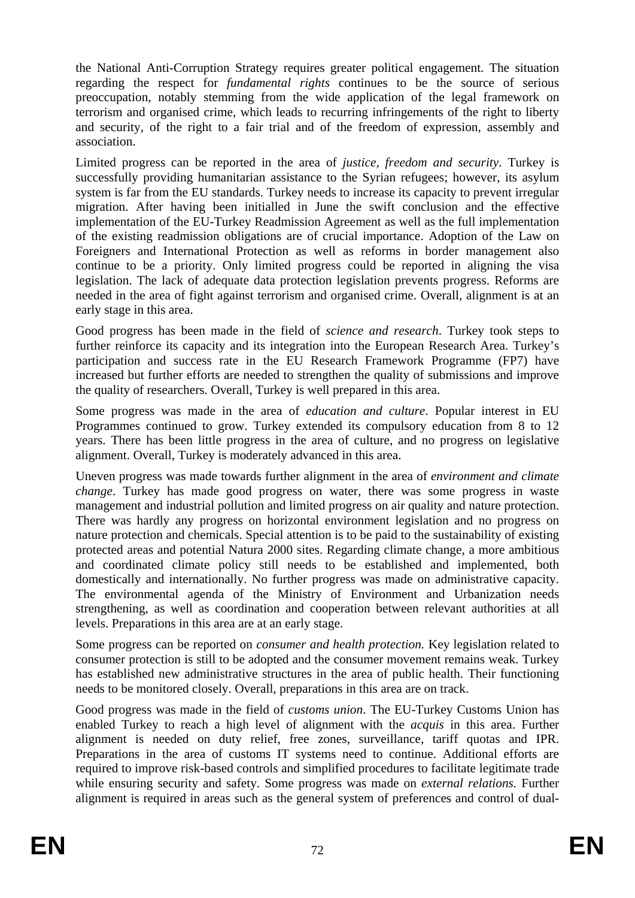the National Anti-Corruption Strategy requires greater political engagement. The situation regarding the respect for *fundamental rights* continues to be the source of serious preoccupation, notably stemming from the wide application of the legal framework on terrorism and organised crime, which leads to recurring infringements of the right to liberty and security, of the right to a fair trial and of the freedom of expression, assembly and association.

Limited progress can be reported in the area of *justice, freedom and security*. Turkey is successfully providing humanitarian assistance to the Syrian refugees; however, its asylum system is far from the EU standards. Turkey needs to increase its capacity to prevent irregular migration. After having been initialled in June the swift conclusion and the effective implementation of the EU-Turkey Readmission Agreement as well as the full implementation of the existing readmission obligations are of crucial importance. Adoption of the Law on Foreigners and International Protection as well as reforms in border management also continue to be a priority. Only limited progress could be reported in aligning the visa legislation. The lack of adequate data protection legislation prevents progress. Reforms are needed in the area of fight against terrorism and organised crime. Overall, alignment is at an early stage in this area.

Good progress has been made in the field of *science and research*. Turkey took steps to further reinforce its capacity and its integration into the European Research Area. Turkey's participation and success rate in the EU Research Framework Programme (FP7) have increased but further efforts are needed to strengthen the quality of submissions and improve the quality of researchers. Overall, Turkey is well prepared in this area.

Some progress was made in the area of *education and culture*. Popular interest in EU Programmes continued to grow. Turkey extended its compulsory education from 8 to 12 years. There has been little progress in the area of culture, and no progress on legislative alignment. Overall, Turkey is moderately advanced in this area.

Uneven progress was made towards further alignment in the area of *environment and climate change*. Turkey has made good progress on water, there was some progress in waste management and industrial pollution and limited progress on air quality and nature protection. There was hardly any progress on horizontal environment legislation and no progress on nature protection and chemicals. Special attention is to be paid to the sustainability of existing protected areas and potential Natura 2000 sites. Regarding climate change, a more ambitious and coordinated climate policy still needs to be established and implemented, both domestically and internationally. No further progress was made on administrative capacity. The environmental agenda of the Ministry of Environment and Urbanization needs strengthening, as well as coordination and cooperation between relevant authorities at all levels. Preparations in this area are at an early stage.

Some progress can be reported on *consumer and health protection.* Key legislation related to consumer protection is still to be adopted and the consumer movement remains weak. Turkey has established new administrative structures in the area of public health. Their functioning needs to be monitored closely. Overall, preparations in this area are on track.

Good progress was made in the field of *customs union*. The EU-Turkey Customs Union has enabled Turkey to reach a high level of alignment with the *acquis* in this area. Further alignment is needed on duty relief, free zones, surveillance, tariff quotas and IPR. Preparations in the area of customs IT systems need to continue. Additional efforts are required to improve risk-based controls and simplified procedures to facilitate legitimate trade while ensuring security and safety. Some progress was made on *external relations.* Further alignment is required in areas such as the general system of preferences and control of dual-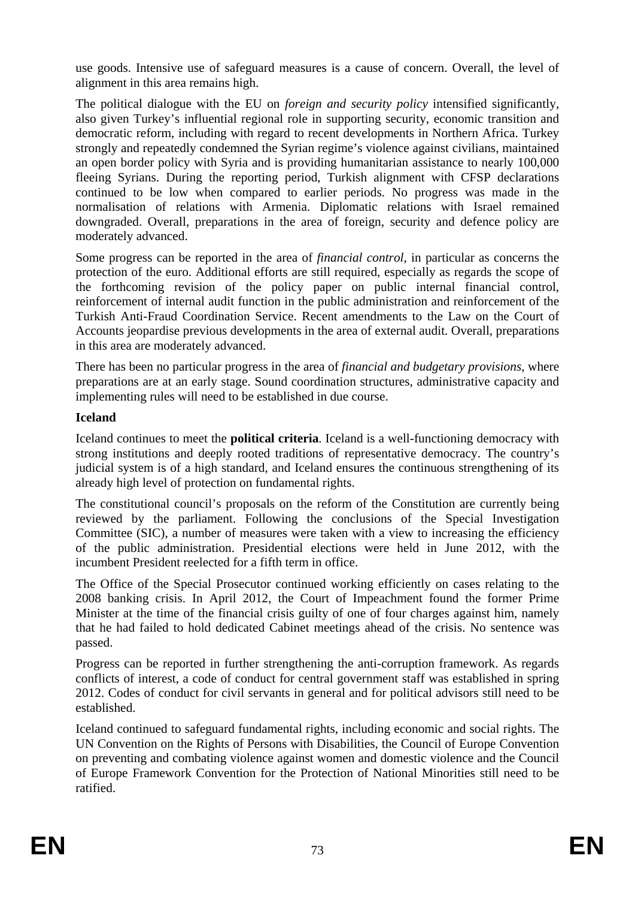use goods. Intensive use of safeguard measures is a cause of concern. Overall, the level of alignment in this area remains high.

The political dialogue with the EU on *foreign and security policy* intensified significantly, also given Turkey's influential regional role in supporting security, economic transition and democratic reform, including with regard to recent developments in Northern Africa. Turkey strongly and repeatedly condemned the Syrian regime's violence against civilians, maintained an open border policy with Syria and is providing humanitarian assistance to nearly 100,000 fleeing Syrians. During the reporting period, Turkish alignment with CFSP declarations continued to be low when compared to earlier periods. No progress was made in the normalisation of relations with Armenia. Diplomatic relations with Israel remained downgraded. Overall, preparations in the area of foreign, security and defence policy are moderately advanced.

Some progress can be reported in the area of *financial control*, in particular as concerns the protection of the euro. Additional efforts are still required, especially as regards the scope of the forthcoming revision of the policy paper on public internal financial control, reinforcement of internal audit function in the public administration and reinforcement of the Turkish Anti-Fraud Coordination Service. Recent amendments to the Law on the Court of Accounts jeopardise previous developments in the area of external audit. Overall, preparations in this area are moderately advanced.

There has been no particular progress in the area of *financial and budgetary provisions*, where preparations are at an early stage. Sound coordination structures, administrative capacity and implementing rules will need to be established in due course.

## **Iceland**

Iceland continues to meet the **political criteria**. Iceland is a well-functioning democracy with strong institutions and deeply rooted traditions of representative democracy. The country's judicial system is of a high standard, and Iceland ensures the continuous strengthening of its already high level of protection on fundamental rights.

The constitutional council's proposals on the reform of the Constitution are currently being reviewed by the parliament. Following the conclusions of the Special Investigation Committee (SIC), a number of measures were taken with a view to increasing the efficiency of the public administration. Presidential elections were held in June 2012, with the incumbent President reelected for a fifth term in office.

The Office of the Special Prosecutor continued working efficiently on cases relating to the 2008 banking crisis. In April 2012, the Court of Impeachment found the former Prime Minister at the time of the financial crisis guilty of one of four charges against him, namely that he had failed to hold dedicated Cabinet meetings ahead of the crisis. No sentence was passed.

Progress can be reported in further strengthening the anti-corruption framework. As regards conflicts of interest, a code of conduct for central government staff was established in spring 2012. Codes of conduct for civil servants in general and for political advisors still need to be established.

Iceland continued to safeguard fundamental rights, including economic and social rights. The UN Convention on the Rights of Persons with Disabilities, the Council of Europe Convention on preventing and combating violence against women and domestic violence and the Council of Europe Framework Convention for the Protection of National Minorities still need to be ratified.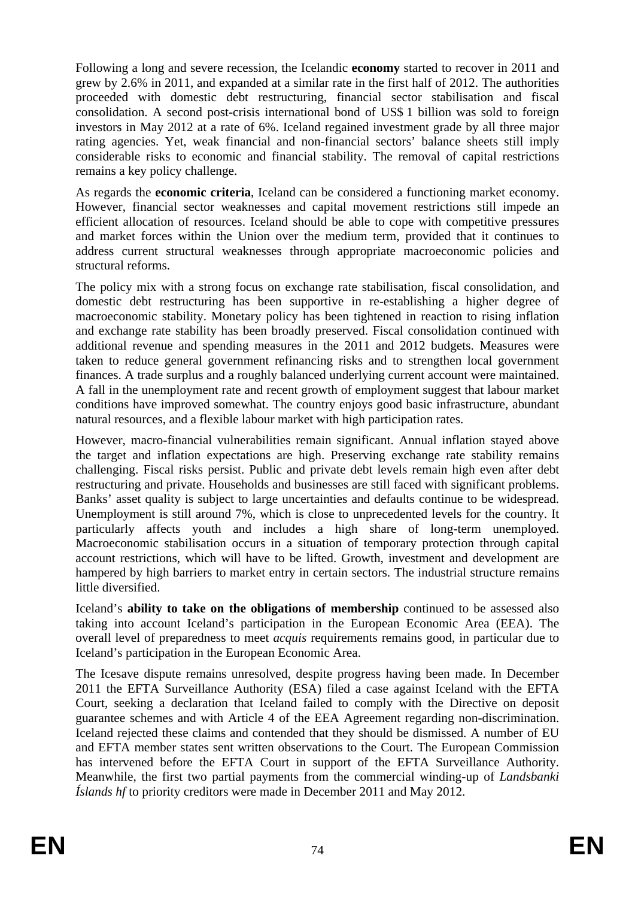Following a long and severe recession, the Icelandic **economy** started to recover in 2011 and grew by 2.6% in 2011, and expanded at a similar rate in the first half of 2012. The authorities proceeded with domestic debt restructuring, financial sector stabilisation and fiscal consolidation. A second post-crisis international bond of US\$ 1 billion was sold to foreign investors in May 2012 at a rate of 6%. Iceland regained investment grade by all three major rating agencies. Yet, weak financial and non-financial sectors' balance sheets still imply considerable risks to economic and financial stability. The removal of capital restrictions remains a key policy challenge.

As regards the **economic criteria**, Iceland can be considered a functioning market economy. However, financial sector weaknesses and capital movement restrictions still impede an efficient allocation of resources. Iceland should be able to cope with competitive pressures and market forces within the Union over the medium term, provided that it continues to address current structural weaknesses through appropriate macroeconomic policies and structural reforms.

The policy mix with a strong focus on exchange rate stabilisation, fiscal consolidation, and domestic debt restructuring has been supportive in re-establishing a higher degree of macroeconomic stability. Monetary policy has been tightened in reaction to rising inflation and exchange rate stability has been broadly preserved. Fiscal consolidation continued with additional revenue and spending measures in the 2011 and 2012 budgets. Measures were taken to reduce general government refinancing risks and to strengthen local government finances. A trade surplus and a roughly balanced underlying current account were maintained. A fall in the unemployment rate and recent growth of employment suggest that labour market conditions have improved somewhat. The country enjoys good basic infrastructure, abundant natural resources, and a flexible labour market with high participation rates.

However, macro-financial vulnerabilities remain significant. Annual inflation stayed above the target and inflation expectations are high. Preserving exchange rate stability remains challenging. Fiscal risks persist. Public and private debt levels remain high even after debt restructuring and private. Households and businesses are still faced with significant problems. Banks' asset quality is subject to large uncertainties and defaults continue to be widespread. Unemployment is still around 7%, which is close to unprecedented levels for the country. It particularly affects youth and includes a high share of long-term unemployed. Macroeconomic stabilisation occurs in a situation of temporary protection through capital account restrictions, which will have to be lifted. Growth, investment and development are hampered by high barriers to market entry in certain sectors. The industrial structure remains little diversified.

Iceland's **ability to take on the obligations of membership** continued to be assessed also taking into account Iceland's participation in the European Economic Area (EEA). The overall level of preparedness to meet *acquis* requirements remains good, in particular due to Iceland's participation in the European Economic Area.

The Icesave dispute remains unresolved, despite progress having been made. In December 2011 the EFTA Surveillance Authority (ESA) filed a case against Iceland with the EFTA Court, seeking a declaration that Iceland failed to comply with the Directive on deposit guarantee schemes and with Article 4 of the EEA Agreement regarding non-discrimination. Iceland rejected these claims and contended that they should be dismissed. A number of EU and EFTA member states sent written observations to the Court. The European Commission has intervened before the EFTA Court in support of the EFTA Surveillance Authority. Meanwhile, the first two partial payments from the commercial winding-up of *Landsbanki Íslands hf* to priority creditors were made in December 2011 and May 2012.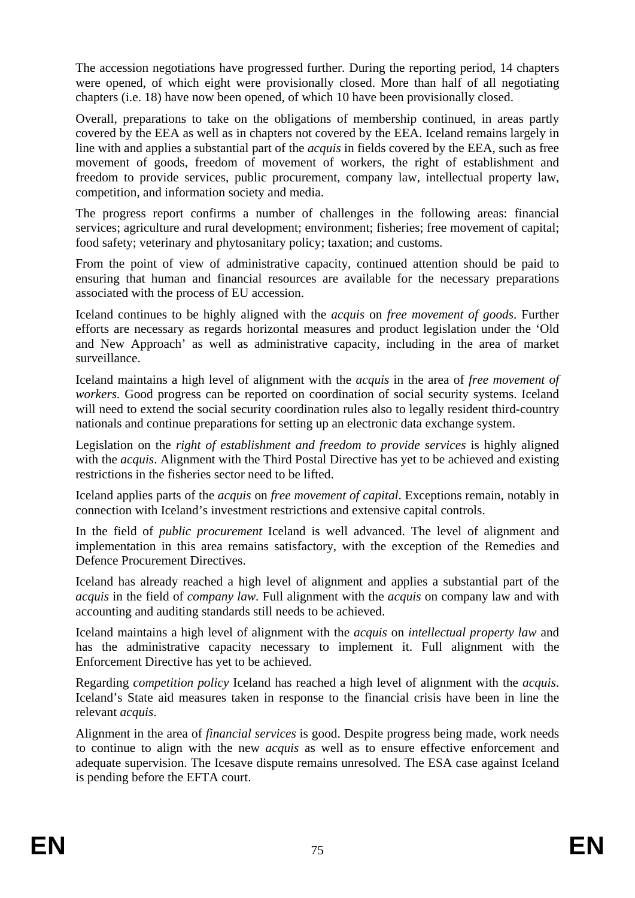The accession negotiations have progressed further. During the reporting period, 14 chapters were opened, of which eight were provisionally closed. More than half of all negotiating chapters (i.e. 18) have now been opened, of which 10 have been provisionally closed.

Overall, preparations to take on the obligations of membership continued, in areas partly covered by the EEA as well as in chapters not covered by the EEA. Iceland remains largely in line with and applies a substantial part of the *acquis* in fields covered by the EEA, such as free movement of goods, freedom of movement of workers, the right of establishment and freedom to provide services, public procurement, company law, intellectual property law, competition, and information society and media.

The progress report confirms a number of challenges in the following areas: financial services; agriculture and rural development; environment; fisheries; free movement of capital; food safety; veterinary and phytosanitary policy; taxation; and customs.

From the point of view of administrative capacity, continued attention should be paid to ensuring that human and financial resources are available for the necessary preparations associated with the process of EU accession.

Iceland continues to be highly aligned with the *acquis* on *free movement of goods*. Further efforts are necessary as regards horizontal measures and product legislation under the 'Old and New Approach' as well as administrative capacity, including in the area of market surveillance.

Iceland maintains a high level of alignment with the *acquis* in the area of *free movement of workers.* Good progress can be reported on coordination of social security systems. Iceland will need to extend the social security coordination rules also to legally resident third-country nationals and continue preparations for setting up an electronic data exchange system.

Legislation on the *right of establishment and freedom to provide services* is highly aligned with the *acquis*. Alignment with the Third Postal Directive has yet to be achieved and existing restrictions in the fisheries sector need to be lifted.

Iceland applies parts of the *acquis* on *free movement of capital*. Exceptions remain, notably in connection with Iceland's investment restrictions and extensive capital controls.

In the field of *public procurement* Iceland is well advanced. The level of alignment and implementation in this area remains satisfactory, with the exception of the Remedies and Defence Procurement Directives.

Iceland has already reached a high level of alignment and applies a substantial part of the *acquis* in the field of *company law*. Full alignment with the *acquis* on company law and with accounting and auditing standards still needs to be achieved.

Iceland maintains a high level of alignment with the *acquis* on *intellectual property law* and has the administrative capacity necessary to implement it. Full alignment with the Enforcement Directive has yet to be achieved.

Regarding *competition policy* Iceland has reached a high level of alignment with the *acquis*. Iceland's State aid measures taken in response to the financial crisis have been in line the relevant *acquis*.

Alignment in the area of *financial services* is good. Despite progress being made, work needs to continue to align with the new *acquis* as well as to ensure effective enforcement and adequate supervision. The Icesave dispute remains unresolved. The ESA case against Iceland is pending before the EFTA court.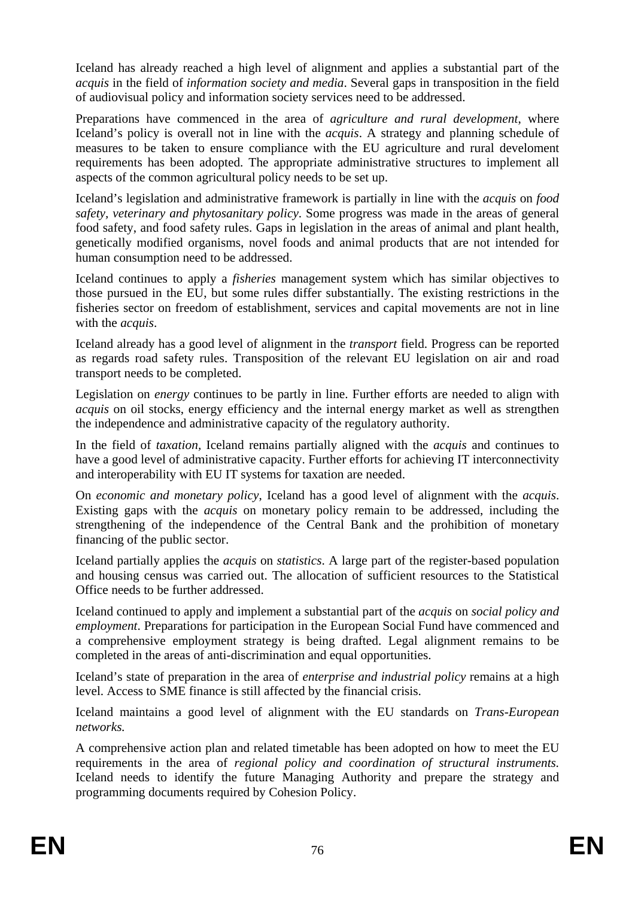Iceland has already reached a high level of alignment and applies a substantial part of the *acquis* in the field of *information society and media*. Several gaps in transposition in the field of audiovisual policy and information society services need to be addressed.

Preparations have commenced in the area of *agriculture and rural development*, where Iceland's policy is overall not in line with the *acquis*. A strategy and planning schedule of measures to be taken to ensure compliance with the EU agriculture and rural develoment requirements has been adopted. The appropriate administrative structures to implement all aspects of the common agricultural policy needs to be set up.

Iceland's legislation and administrative framework is partially in line with the *acquis* on *food safety, veterinary and phytosanitary policy*. Some progress was made in the areas of general food safety, and food safety rules. Gaps in legislation in the areas of animal and plant health, genetically modified organisms, novel foods and animal products that are not intended for human consumption need to be addressed.

Iceland continues to apply a *fisheries* management system which has similar objectives to those pursued in the EU, but some rules differ substantially. The existing restrictions in the fisheries sector on freedom of establishment, services and capital movements are not in line with the *acquis*.

Iceland already has a good level of alignment in the *transport* field. Progress can be reported as regards road safety rules. Transposition of the relevant EU legislation on air and road transport needs to be completed.

Legislation on *energy* continues to be partly in line. Further efforts are needed to align with *acquis* on oil stocks, energy efficiency and the internal energy market as well as strengthen the independence and administrative capacity of the regulatory authority.

In the field of *taxation,* Iceland remains partially aligned with the *acquis* and continues to have a good level of administrative capacity. Further efforts for achieving IT interconnectivity and interoperability with EU IT systems for taxation are needed.

On *economic and monetary policy*, Iceland has a good level of alignment with the *acquis*. Existing gaps with the *acquis* on monetary policy remain to be addressed, including the strengthening of the independence of the Central Bank and the prohibition of monetary financing of the public sector.

Iceland partially applies the *acquis* on *statistics*. A large part of the register-based population and housing census was carried out. The allocation of sufficient resources to the Statistical Office needs to be further addressed.

Iceland continued to apply and implement a substantial part of the *acquis* on *social policy and employment*. Preparations for participation in the European Social Fund have commenced and a comprehensive employment strategy is being drafted. Legal alignment remains to be completed in the areas of anti-discrimination and equal opportunities.

Iceland's state of preparation in the area of *enterprise and industrial policy* remains at a high level. Access to SME finance is still affected by the financial crisis.

Iceland maintains a good level of alignment with the EU standards on *Trans-European networks.* 

A comprehensive action plan and related timetable has been adopted on how to meet the EU requirements in the area of *regional policy and coordination of structural instruments.* Iceland needs to identify the future Managing Authority and prepare the strategy and programming documents required by Cohesion Policy.